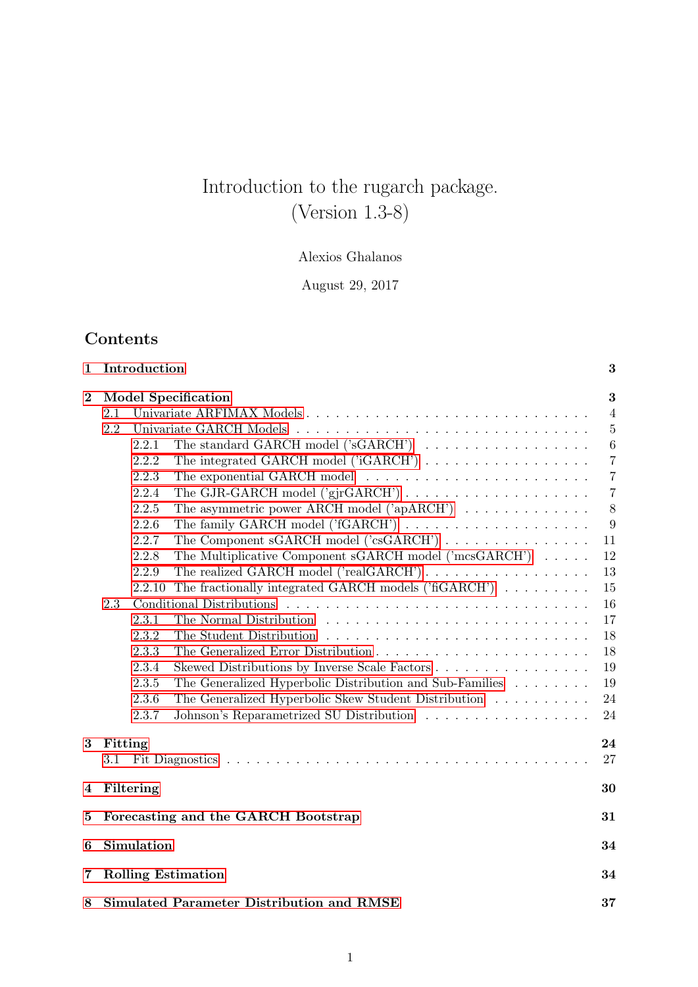# Introduction to the rugarch package. (Version 1.3-8)

# Alexios Ghalanos

August 29, 2017

# Contents

| 1        |                                                        | Introduction                                                                                                                                           |                                                                                                                                                                                                                                                                                                                                                                                                                                                                                                                                                                                                                                                                                                                                                                                  | 3                                                                                                                                                                     |  |  |  |  |  |  |
|----------|--------------------------------------------------------|--------------------------------------------------------------------------------------------------------------------------------------------------------|----------------------------------------------------------------------------------------------------------------------------------------------------------------------------------------------------------------------------------------------------------------------------------------------------------------------------------------------------------------------------------------------------------------------------------------------------------------------------------------------------------------------------------------------------------------------------------------------------------------------------------------------------------------------------------------------------------------------------------------------------------------------------------|-----------------------------------------------------------------------------------------------------------------------------------------------------------------------|--|--|--|--|--|--|
| $\bf{2}$ | 2.1<br>2.2<br>2.3                                      | 2.2.1<br>2.2.2<br>2.2.3<br>2.2.4<br>2.2.5<br>2.2.6<br>2.2.7<br>2.2.8<br>2.2.9<br>2.2.10<br>2.3.1<br>2.3.2<br>2.3.3<br>2.3.4<br>2.3.5<br>2.3.6<br>2.3.7 | <b>Model Specification</b><br>Univariate ARFIMAX Models<br>The standard GARCH model $('sGARCH') \dots \dots \dots \dots \dots \dots$<br>The integrated GARCH model $('iGARCH') \dots \dots \dots \dots \dots \dots$<br>The asymmetric power ARCH model ('apARCH') $\ldots \ldots \ldots \ldots$<br>The Component sGARCH model ('csGARCH')<br>The Multiplicative Component sGARCH model ('mcsGARCH')<br>The realized GARCH model ('realGARCH')<br>The fractionally integrated GARCH models ( $'$ fiGARCH $'$ ) $\ldots \ldots \ldots$<br>Skewed Distributions by Inverse Scale Factors<br>The Generalized Hyperbolic Distribution and Sub-Families $\hfill\ldots\ldots\ldots$<br>The Generalized Hyperbolic Skew Student Distribution<br>Johnson's Reparametrized SU Distribution | 3<br>$\overline{4}$<br>5<br>6<br>$\overline{7}$<br>$\overline{7}$<br>$\overline{7}$<br>8<br>9<br>11<br>12<br>13<br>15<br>16<br>17<br>18<br>18<br>19<br>19<br>24<br>24 |  |  |  |  |  |  |
| $\bf{3}$ | Fitting<br>3.1                                         |                                                                                                                                                        |                                                                                                                                                                                                                                                                                                                                                                                                                                                                                                                                                                                                                                                                                                                                                                                  | 24<br>27                                                                                                                                                              |  |  |  |  |  |  |
| 4        |                                                        | Filtering                                                                                                                                              |                                                                                                                                                                                                                                                                                                                                                                                                                                                                                                                                                                                                                                                                                                                                                                                  | 30                                                                                                                                                                    |  |  |  |  |  |  |
| 5        | Forecasting and the GARCH Bootstrap                    |                                                                                                                                                        |                                                                                                                                                                                                                                                                                                                                                                                                                                                                                                                                                                                                                                                                                                                                                                                  |                                                                                                                                                                       |  |  |  |  |  |  |
| 6        |                                                        | Simulation                                                                                                                                             |                                                                                                                                                                                                                                                                                                                                                                                                                                                                                                                                                                                                                                                                                                                                                                                  | 34                                                                                                                                                                    |  |  |  |  |  |  |
| 7        |                                                        |                                                                                                                                                        | <b>Rolling Estimation</b>                                                                                                                                                                                                                                                                                                                                                                                                                                                                                                                                                                                                                                                                                                                                                        | 34                                                                                                                                                                    |  |  |  |  |  |  |
| 8        | <b>Simulated Parameter Distribution and RMSE</b><br>37 |                                                                                                                                                        |                                                                                                                                                                                                                                                                                                                                                                                                                                                                                                                                                                                                                                                                                                                                                                                  |                                                                                                                                                                       |  |  |  |  |  |  |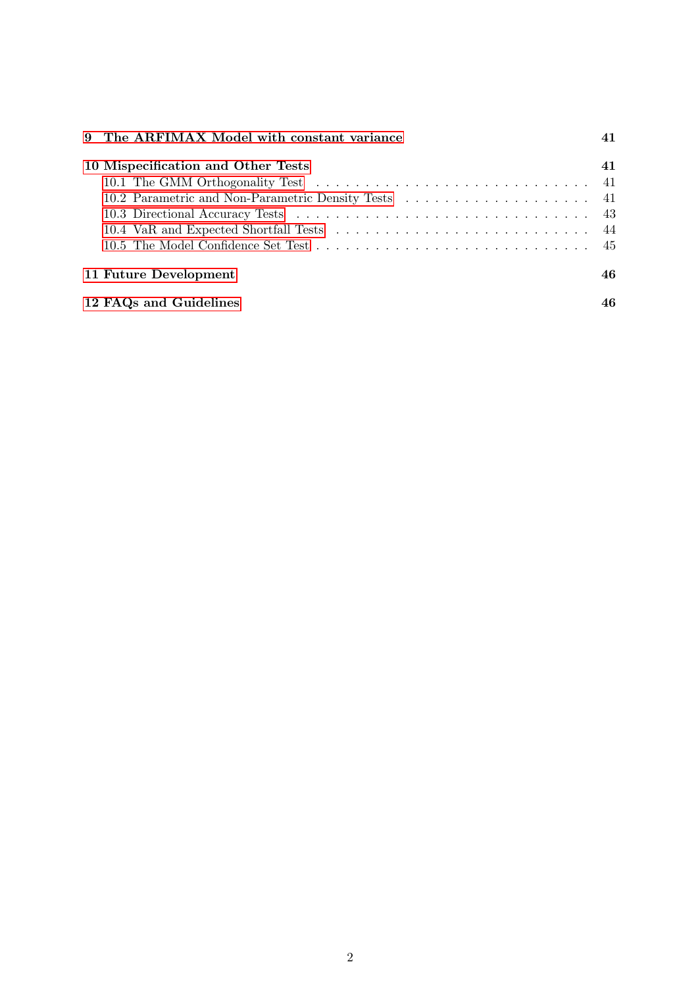| 9 The ARFIMAX Model with constant variance                                                                                                   |    |  |  |  |  |  |  |  |  |  |
|----------------------------------------------------------------------------------------------------------------------------------------------|----|--|--|--|--|--|--|--|--|--|
| 10 Mispecification and Other Tests<br>10.4 VaR and Expected Shortfall Tests $\ldots \ldots \ldots \ldots \ldots \ldots \ldots \ldots \ldots$ | 41 |  |  |  |  |  |  |  |  |  |
| 11 Future Development                                                                                                                        | 46 |  |  |  |  |  |  |  |  |  |
| 12 FAQs and Guidelines                                                                                                                       |    |  |  |  |  |  |  |  |  |  |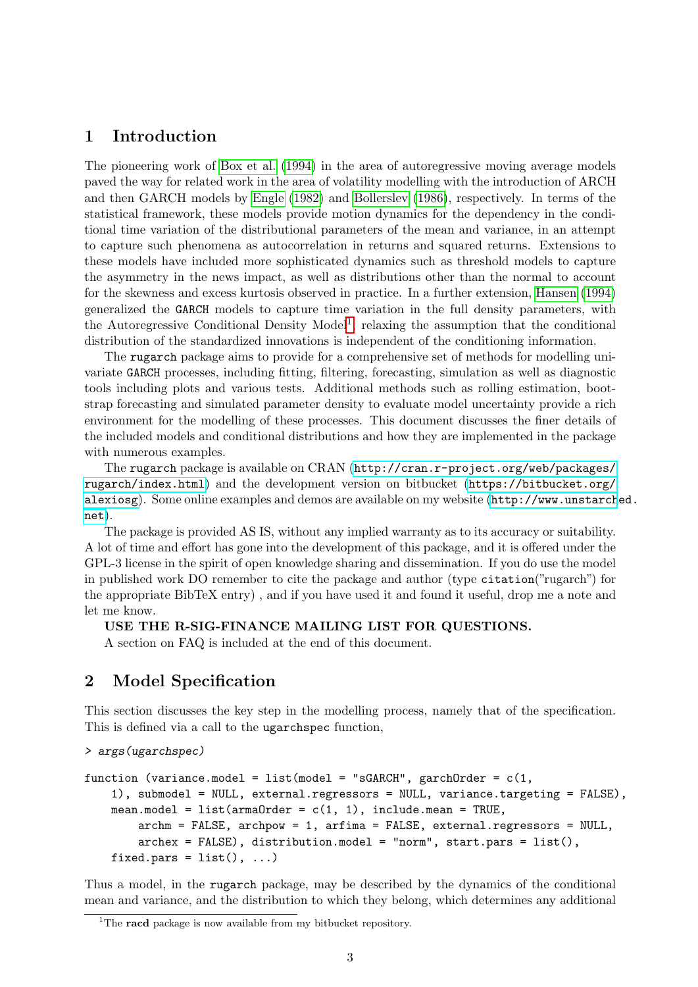# <span id="page-2-0"></span>1 Introduction

The pioneering work of [Box et al. \(1994\)](#page-47-0) in the area of autoregressive moving average models paved the way for related work in the area of volatility modelling with the introduction of ARCH and then GARCH models by [Engle \(1982\)](#page-47-1) and [Bollerslev \(1986\)](#page-47-2), respectively. In terms of the statistical framework, these models provide motion dynamics for the dependency in the conditional time variation of the distributional parameters of the mean and variance, in an attempt to capture such phenomena as autocorrelation in returns and squared returns. Extensions to these models have included more sophisticated dynamics such as threshold models to capture the asymmetry in the news impact, as well as distributions other than the normal to account for the skewness and excess kurtosis observed in practice. In a further extension, [Hansen \(1994\)](#page-48-0) generalized the GARCH models to capture time variation in the full density parameters, with the Autoregressive Conditional Density Model<sup>[1](#page-2-2)</sup>, relaxing the assumption that the conditional distribution of the standardized innovations is independent of the conditioning information.

The rugarch package aims to provide for a comprehensive set of methods for modelling univariate GARCH processes, including fitting, filtering, forecasting, simulation as well as diagnostic tools including plots and various tests. Additional methods such as rolling estimation, bootstrap forecasting and simulated parameter density to evaluate model uncertainty provide a rich environment for the modelling of these processes. This document discusses the finer details of the included models and conditional distributions and how they are implemented in the package with numerous examples.

The rugarch package is available on CRAN ([http://cran.r-project.org/web/packages/](http://cran.r-project.org/web/packages/rugarch/index.html) [rugarch/index.html](http://cran.r-project.org/web/packages/rugarch/index.html)) and the development version on bitbucket ([https://bitbucket.org/](https://bitbucket.org/alexiosg) [alexiosg](https://bitbucket.org/alexiosg)). Some online examples and demos are available on my website ([http://www.unstarch](http://www.unstarched.net)ed. [net](http://www.unstarched.net)).

The package is provided AS IS, without any implied warranty as to its accuracy or suitability. A lot of time and effort has gone into the development of this package, and it is offered under the GPL-3 license in the spirit of open knowledge sharing and dissemination. If you do use the model in published work DO remember to cite the package and author (type citation("rugarch") for the appropriate BibTeX entry) , and if you have used it and found it useful, drop me a note and let me know.

#### USE THE R-SIG-FINANCE MAILING LIST FOR QUESTIONS.

A section on FAQ is included at the end of this document.

# <span id="page-2-1"></span>2 Model Specification

This section discusses the key step in the modelling process, namely that of the specification. This is defined via a call to the ugarchspec function,

> args(ugarchspec)

```
function (variance.model = list(model = "sGARCH", garchOrder = c(1,1), submodel = NULL, external.regressors = NULL, variance.targeting = FALSE),
    mean.model = listkarmaOrder = c(1, 1), include mean = TRUE,archm = FALSE, archpow = 1, arfima = FALSE, external.regressors = NULL,
        archex = FALSE, distribution.model = "norm", start.pars = list(),
    fixed.pars = list(), ...)
```
Thus a model, in the rugarch package, may be described by the dynamics of the conditional mean and variance, and the distribution to which they belong, which determines any additional

<span id="page-2-2"></span><sup>&</sup>lt;sup>1</sup>The **racd** package is now available from my bitbucket repository.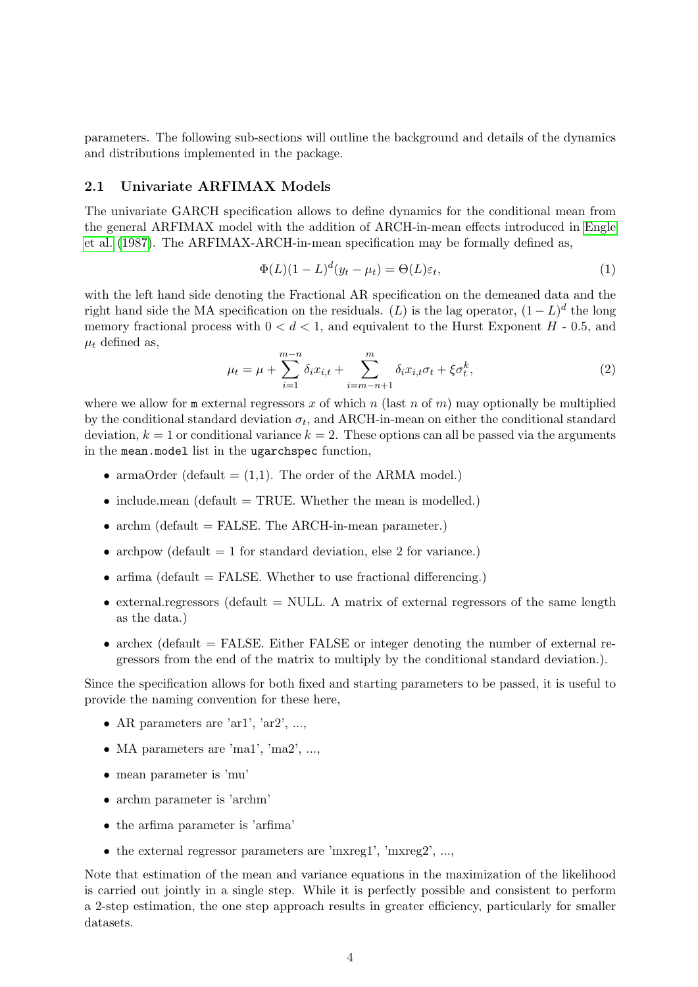parameters. The following sub-sections will outline the background and details of the dynamics and distributions implemented in the package.

#### <span id="page-3-0"></span>2.1 Univariate ARFIMAX Models

The univariate GARCH specification allows to define dynamics for the conditional mean from the general ARFIMAX model with the addition of ARCH-in-mean effects introduced in [Engle](#page-48-1) [et al. \(1987\)](#page-48-1). The ARFIMAX-ARCH-in-mean specification may be formally defined as,

$$
\Phi(L)(1-L)^d(y_t - \mu_t) = \Theta(L)\varepsilon_t,\tag{1}
$$

with the left hand side denoting the Fractional AR specification on the demeaned data and the right hand side the MA specification on the residuals. (L) is the lag operator,  $(1 - L)^d$  the long memory fractional process with  $0 < d < 1$ , and equivalent to the Hurst Exponent  $H$  - 0.5, and  $\mu_t$  defined as,

$$
\mu_t = \mu + \sum_{i=1}^{m-n} \delta_i x_{i,t} + \sum_{i=m-n+1}^{m} \delta_i x_{i,t} \sigma_t + \xi \sigma_t^k, \tag{2}
$$

where we allow for  $m$  external regressors x of which n (last n of m) may optionally be multiplied by the conditional standard deviation  $\sigma_t$ , and ARCH-in-mean on either the conditional standard deviation,  $k = 1$  or conditional variance  $k = 2$ . These options can all be passed via the arguments in the mean.model list in the ugarchspec function,

- armaOrder (default  $= (1,1)$ ). The order of the ARMA model.)
- include.mean (default  $=$  TRUE. Whether the mean is modelled.)
- archm (default  $=$  FALSE. The ARCH-in-mean parameter.)
- archpow (default  $= 1$  for standard deviation, else 2 for variance.)
- arfima (default  $=$  FALSE. Whether to use fractional differencing.)
- external.regressors (default  $=$  NULL. A matrix of external regressors of the same length as the data.)
- archex (default  $=$  FALSE. Either FALSE or integer denoting the number of external regressors from the end of the matrix to multiply by the conditional standard deviation.).

Since the specification allows for both fixed and starting parameters to be passed, it is useful to provide the naming convention for these here,

- AR parameters are 'ar1', 'ar2', ...,
- MA parameters are 'ma1', 'ma2', ...,
- mean parameter is 'mu'
- archm parameter is 'archm'
- the arfima parameter is 'arfima'
- the external regressor parameters are 'mxreg1', 'mxreg2', ...,

Note that estimation of the mean and variance equations in the maximization of the likelihood is carried out jointly in a single step. While it is perfectly possible and consistent to perform a 2-step estimation, the one step approach results in greater efficiency, particularly for smaller datasets.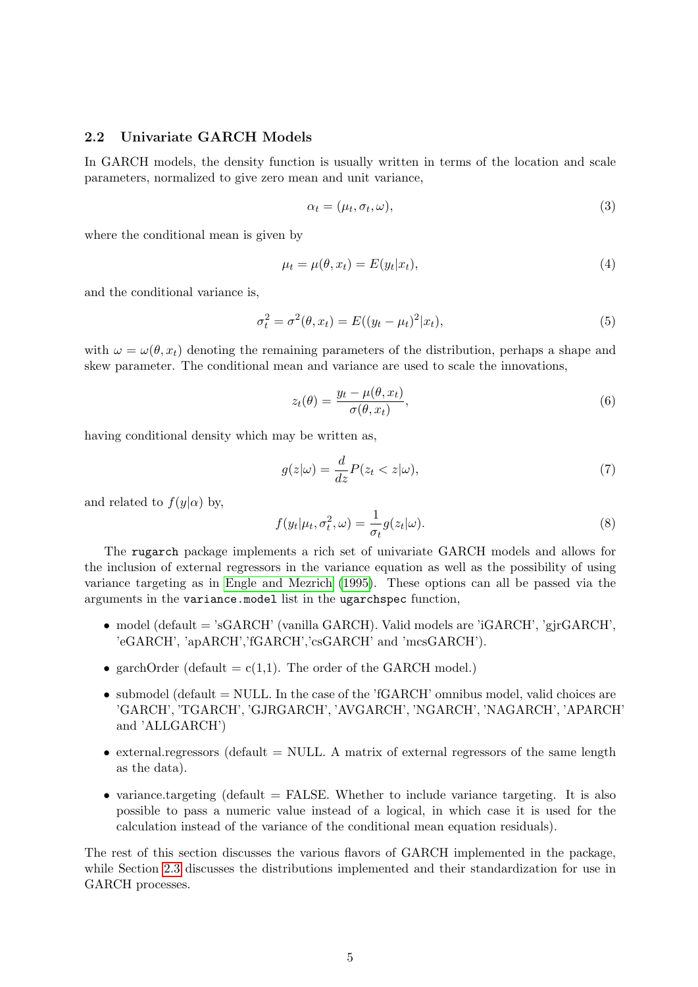# <span id="page-4-0"></span>2.2 Univariate GARCH Models

In GARCH models, the density function is usually written in terms of the location and scale parameters, normalized to give zero mean and unit variance,

$$
\alpha_t = (\mu_t, \sigma_t, \omega), \tag{3}
$$

where the conditional mean is given by

$$
\mu_t = \mu(\theta, x_t) = E(y_t|x_t), \tag{4}
$$

and the conditional variance is,

$$
\sigma_t^2 = \sigma^2(\theta, x_t) = E((y_t - \mu_t)^2 | x_t), \tag{5}
$$

with  $\omega = \omega(\theta, x_t)$  denoting the remaining parameters of the distribution, perhaps a shape and skew parameter. The conditional mean and variance are used to scale the innovations,

<span id="page-4-1"></span>
$$
z_t(\theta) = \frac{y_t - \mu(\theta, x_t)}{\sigma(\theta, x_t)},
$$
\n(6)

having conditional density which may be written as,

<span id="page-4-2"></span>
$$
g(z|\omega) = \frac{d}{dz}P(z_t < z|\omega),\tag{7}
$$

and related to  $f(y|\alpha)$  by,

<span id="page-4-3"></span>
$$
f(y_t|\mu_t, \sigma_t^2, \omega) = \frac{1}{\sigma_t} g(z_t|\omega).
$$
\n(8)

The rugarch package implements a rich set of univariate GARCH models and allows for the inclusion of external regressors in the variance equation as well as the possibility of using variance targeting as in [Engle and Mezrich \(1995\)](#page-47-3). These options can all be passed via the arguments in the variance.model list in the ugarchspec function,

- model (default  $=$  'sGARCH' (vanilla GARCH). Valid models are 'iGARCH', 'girGARCH', 'eGARCH', 'apARCH','fGARCH','csGARCH' and 'mcsGARCH').
- garchOrder (default =  $c(1,1)$ ). The order of the GARCH model.)
- submodel (default  $=$  NULL. In the case of the 'fGARCH' omnibus model, valid choices are 'GARCH', 'TGARCH', 'GJRGARCH', 'AVGARCH', 'NGARCH', 'NAGARCH', 'APARCH' and 'ALLGARCH')
- external.regressors (default  $=$  NULL. A matrix of external regressors of the same length as the data).
- variance.targeting (default  $=$  FALSE. Whether to include variance targeting. It is also possible to pass a numeric value instead of a logical, in which case it is used for the calculation instead of the variance of the conditional mean equation residuals).

The rest of this section discusses the various flavors of GARCH implemented in the package, while Section [2.3](#page-15-0) discusses the distributions implemented and their standardization for use in GARCH processes.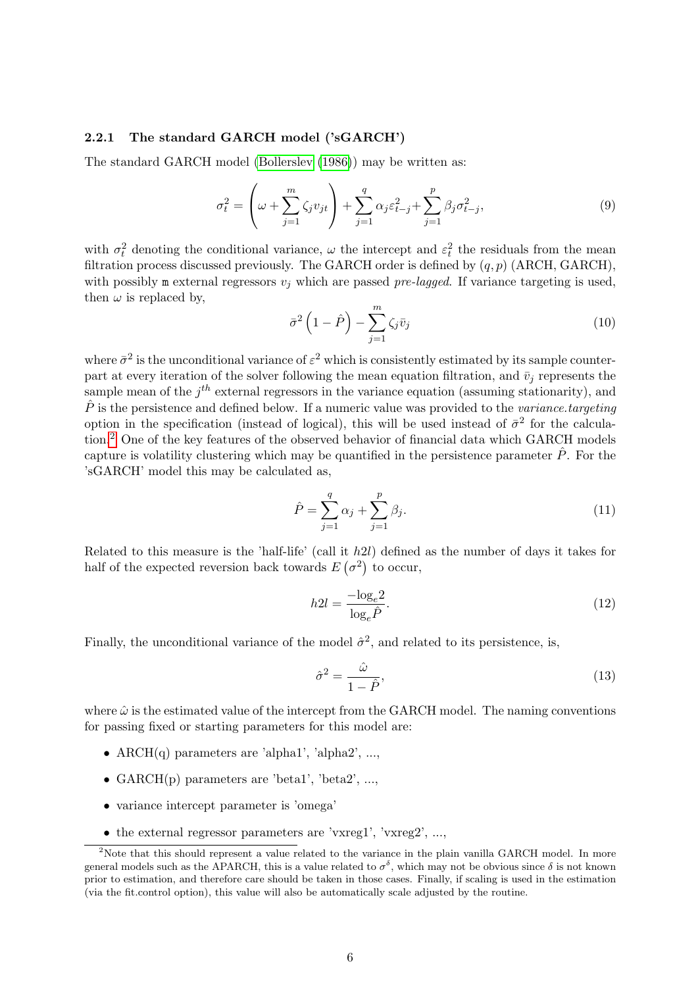#### <span id="page-5-0"></span>2.2.1 The standard GARCH model ('sGARCH')

The standard GARCH model [\(Bollerslev \(1986\)](#page-47-2)) may be written as:

$$
\sigma_t^2 = \left(\omega + \sum_{j=1}^m \zeta_j v_{jt}\right) + \sum_{j=1}^q \alpha_j \varepsilon_{t-j}^2 + \sum_{j=1}^p \beta_j \sigma_{t-j}^2,
$$
\n(9)

with  $\sigma_t^2$  denoting the conditional variance,  $\omega$  the intercept and  $\varepsilon_t^2$  the residuals from the mean filtration process discussed previously. The GARCH order is defined by  $(q, p)$  (ARCH, GARCH), with possibly m external regressors  $v_i$  which are passed pre-lagged. If variance targeting is used, then  $\omega$  is replaced by,

$$
\bar{\sigma}^2 \left( 1 - \hat{P} \right) - \sum_{j=1}^m \zeta_j \bar{v}_j \tag{10}
$$

where  $\bar{\sigma}^2$  is the unconditional variance of  $\varepsilon^2$  which is consistently estimated by its sample counterpart at every iteration of the solver following the mean equation filtration, and  $\bar{v}_j$  represents the sample mean of the  $j<sup>th</sup>$  external regressors in the variance equation (assuming stationarity), and  $\hat{P}$  is the persistence and defined below. If a numeric value was provided to the variance targeting option in the specification (instead of logical), this will be used instead of  $\bar{\sigma}^2$  for the calculation.[2](#page-5-1) One of the key features of the observed behavior of financial data which GARCH models capture is volatility clustering which may be quantified in the persistence parameter  $\hat{P}$ . For the 'sGARCH' model this may be calculated as,

$$
\hat{P} = \sum_{j=1}^{q} \alpha_j + \sum_{j=1}^{p} \beta_j.
$$
\n(11)

Related to this measure is the 'half-life' (call it h2l) defined as the number of days it takes for half of the expected reversion back towards  $E(\sigma^2)$  to occur,

$$
h2l = \frac{-\log_e 2}{\log_e \hat{P}}.\tag{12}
$$

Finally, the unconditional variance of the model  $\hat{\sigma}^2$ , and related to its persistence, is,

$$
\hat{\sigma}^2 = \frac{\hat{\omega}}{1 - \hat{P}},\tag{13}
$$

where  $\hat{\omega}$  is the estimated value of the intercept from the GARCH model. The naming conventions for passing fixed or starting parameters for this model are:

- $\text{ARCH}(q)$  parameters are 'alpha1', 'alpha2', ...,
- $GARCH(p)$  parameters are 'beta1', 'beta2', ...,
- variance intercept parameter is 'omega'
- <span id="page-5-1"></span>• the external regressor parameters are 'vxreg1', 'vxreg2', ...,

<sup>&</sup>lt;sup>2</sup>Note that this should represent a value related to the variance in the plain vanilla GARCH model. In more general models such as the APARCH, this is a value related to  $\sigma^{\delta}$ , which may not be obvious since  $\delta$  is not known prior to estimation, and therefore care should be taken in those cases. Finally, if scaling is used in the estimation (via the fit.control option), this value will also be automatically scale adjusted by the routine.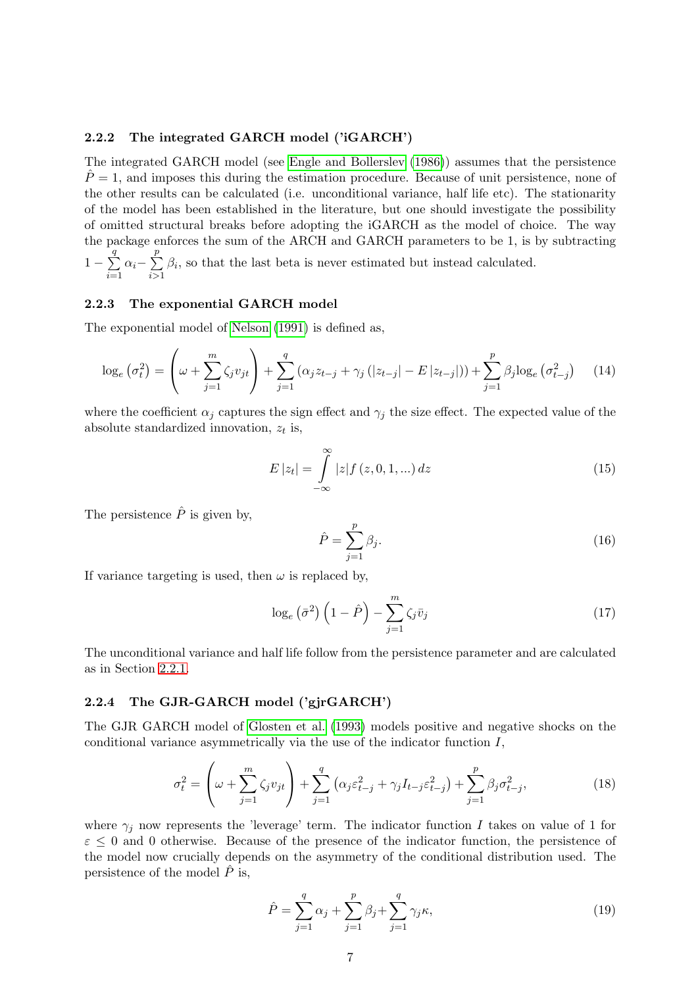#### <span id="page-6-0"></span>2.2.2 The integrated GARCH model ('iGARCH')

The integrated GARCH model (see [Engle and Bollerslev \(1986\)](#page-47-4)) assumes that the persistence  $P = 1$ , and imposes this during the estimation procedure. Because of unit persistence, none of the other results can be calculated (i.e. unconditional variance, half life etc). The stationarity of the model has been established in the literature, but one should investigate the possibility of omitted structural breaks before adopting the iGARCH as the model of choice. The way the package enforces the sum of the ARCH and GARCH parameters to be 1, is by subtracting  $1-\sum$ q  $i=1$  $\alpha_i- \sum$ p  $i > 1$  $\beta_i$ , so that the last beta is never estimated but instead calculated.

#### <span id="page-6-1"></span>2.2.3 The exponential GARCH model

The exponential model of [Nelson \(1991\)](#page-49-0) is defined as,

$$
\log_e(\sigma_t^2) = \left(\omega + \sum_{j=1}^m \zeta_j v_{jt}\right) + \sum_{j=1}^q (\alpha_j z_{t-j} + \gamma_j (|z_{t-j}| - E |z_{t-j}|)) + \sum_{j=1}^p \beta_j \log_e(\sigma_{t-j}^2)
$$
(14)

where the coefficient  $\alpha_j$  captures the sign effect and  $\gamma_j$  the size effect. The expected value of the absolute standardized innovation,  $z_t$  is,

$$
E|z_t| = \int_{-\infty}^{\infty} |z| f(z, 0, 1, ...) dz
$$
 (15)

The persistence  $\hat{P}$  is given by,

$$
\hat{P} = \sum_{j=1}^{p} \beta_j.
$$
\n(16)

If variance targeting is used, then  $\omega$  is replaced by,

$$
\log_e\left(\bar{\sigma}^2\right)\left(1-\hat{P}\right) - \sum_{j=1}^m \zeta_j \bar{v}_j \tag{17}
$$

The unconditional variance and half life follow from the persistence parameter and are calculated as in Section [2.2.1.](#page-5-0)

#### <span id="page-6-2"></span>2.2.4 The GJR-GARCH model ('gjrGARCH')

The GJR GARCH model of [Glosten et al. \(1993\)](#page-48-2) models positive and negative shocks on the conditional variance asymmetrically via the use of the indicator function I,

$$
\sigma_t^2 = \left(\omega + \sum_{j=1}^m \zeta_j v_{jt}\right) + \sum_{j=1}^q \left(\alpha_j \varepsilon_{t-j}^2 + \gamma_j I_{t-j} \varepsilon_{t-j}^2\right) + \sum_{j=1}^p \beta_j \sigma_{t-j}^2, \tag{18}
$$

where  $\gamma_j$  now represents the 'leverage' term. The indicator function I takes on value of 1 for  $\varepsilon \leq 0$  and 0 otherwise. Because of the presence of the indicator function, the persistence of the model now crucially depends on the asymmetry of the conditional distribution used. The persistence of the model  $\hat{P}$  is,

$$
\hat{P} = \sum_{j=1}^{q} \alpha_j + \sum_{j=1}^{p} \beta_j + \sum_{j=1}^{q} \gamma_j \kappa,
$$
\n(19)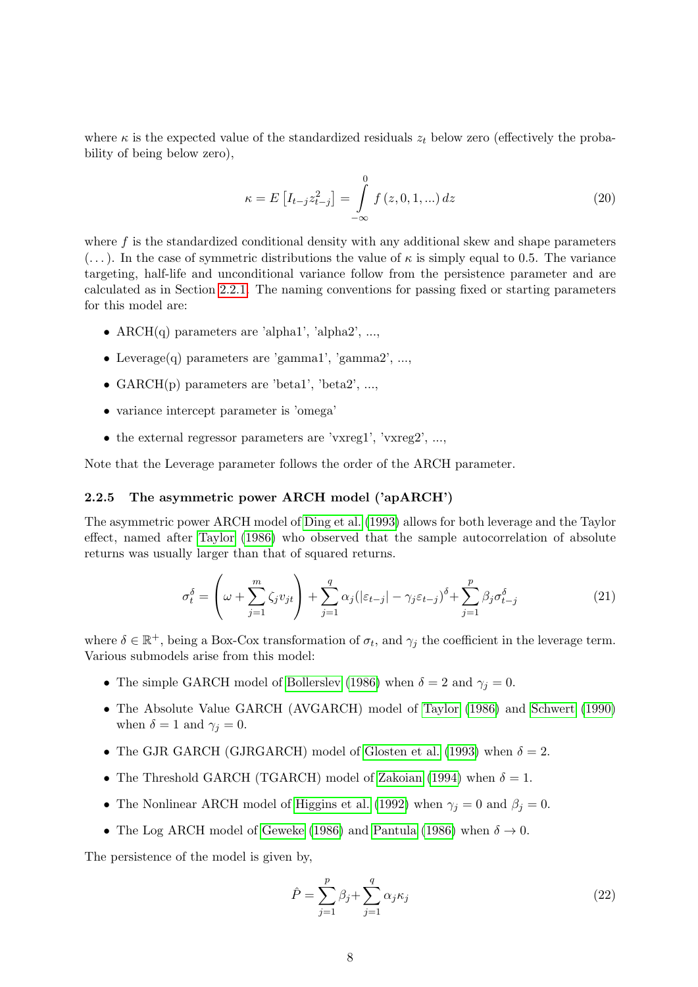where  $\kappa$  is the expected value of the standardized residuals  $z_t$  below zero (effectively the probability of being below zero),

$$
\kappa = E\left[I_{t-j}z_{t-j}^2\right] = \int_{-\infty}^{0} f(z, 0, 1, ...) dz
$$
\n(20)

where  $f$  is the standardized conditional density with any additional skew and shape parameters  $(\dots)$ . In the case of symmetric distributions the value of  $\kappa$  is simply equal to 0.5. The variance targeting, half-life and unconditional variance follow from the persistence parameter and are calculated as in Section [2.2.1.](#page-5-0) The naming conventions for passing fixed or starting parameters for this model are:

- $\text{ARCH}(q)$  parameters are 'alpha1', 'alpha2', ...,
- Leverage(q) parameters are 'gamma1', 'gamma2', ...,
- $GARCH(p)$  parameters are 'beta1', 'beta2', ...,
- variance intercept parameter is 'omega'
- the external regressor parameters are 'vxreg1', 'vxreg2', ...,

Note that the Leverage parameter follows the order of the ARCH parameter.

#### <span id="page-7-0"></span>2.2.5 The asymmetric power ARCH model ('apARCH')

The asymmetric power ARCH model of [Ding et al. \(1993\)](#page-47-5) allows for both leverage and the Taylor effect, named after [Taylor \(1986\)](#page-49-1) who observed that the sample autocorrelation of absolute returns was usually larger than that of squared returns.

$$
\sigma_t^{\delta} = \left(\omega + \sum_{j=1}^m \zeta_j v_{jt}\right) + \sum_{j=1}^q \alpha_j \left(|\varepsilon_{t-j}| - \gamma_j \varepsilon_{t-j}\right)^{\delta} + \sum_{j=1}^p \beta_j \sigma_{t-j}^{\delta}
$$
(21)

where  $\delta \in \mathbb{R}^+$ , being a Box-Cox transformation of  $\sigma_t$ , and  $\gamma_j$  the coefficient in the leverage term. Various submodels arise from this model:

- The simple GARCH model of [Bollerslev \(1986\)](#page-47-2) when  $\delta = 2$  and  $\gamma_j = 0$ .
- The Absolute Value GARCH (AVGARCH) model of [Taylor \(1986\)](#page-49-1) and [Schwert \(1990\)](#page-49-2) when  $\delta = 1$  and  $\gamma_i = 0$ .
- The GJR GARCH (GJRGARCH) model of [Glosten et al. \(1993\)](#page-48-2) when  $\delta = 2$ .
- The Threshold GARCH (TGARCH) model of [Zakoian \(1994\)](#page-49-3) when  $\delta = 1$ .
- The Nonlinear ARCH model of [Higgins et al. \(1992\)](#page-48-3) when  $\gamma_j = 0$  and  $\beta_j = 0$ .
- The Log ARCH model of [Geweke \(1986\)](#page-48-4) and [Pantula \(1986\)](#page-49-4) when  $\delta \to 0$ .

The persistence of the model is given by,

$$
\hat{P} = \sum_{j=1}^{p} \beta_j + \sum_{j=1}^{q} \alpha_j \kappa_j
$$
\n(22)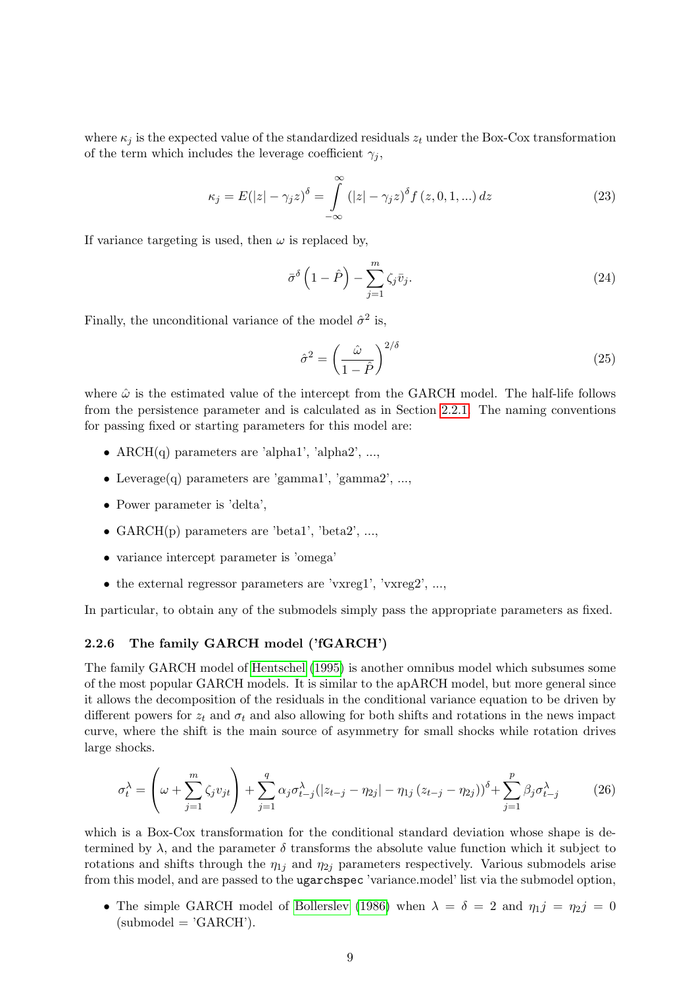where  $\kappa_j$  is the expected value of the standardized residuals  $z_t$  under the Box-Cox transformation of the term which includes the leverage coefficient  $\gamma_i$ ,

$$
\kappa_j = E(|z| - \gamma_j z)^{\delta} = \int_{-\infty}^{\infty} (|z| - \gamma_j z)^{\delta} f(z, 0, 1, \ldots) dz
$$
 (23)

If variance targeting is used, then  $\omega$  is replaced by,

$$
\bar{\sigma}^{\delta}\left(1-\hat{P}\right)-\sum_{j=1}^{m}\zeta_{j}\bar{v}_{j}.
$$
\n(24)

Finally, the unconditional variance of the model  $\hat{\sigma}^2$  is,

$$
\hat{\sigma}^2 = \left(\frac{\hat{\omega}}{1 - \hat{P}}\right)^{2/\delta} \tag{25}
$$

where  $\hat{\omega}$  is the estimated value of the intercept from the GARCH model. The half-life follows from the persistence parameter and is calculated as in Section [2.2.1.](#page-5-0) The naming conventions for passing fixed or starting parameters for this model are:

- ARCH $(q)$  parameters are 'alpha1', 'alpha2', ...,
- Leverage $(q)$  parameters are 'gamma1', 'gamma2', ...,
- Power parameter is 'delta',
- GARCH(p) parameters are 'beta1', 'beta2', ...,
- variance intercept parameter is 'omega'
- the external regressor parameters are 'vxreg1', 'vxreg2', ...,

In particular, to obtain any of the submodels simply pass the appropriate parameters as fixed.

#### <span id="page-8-0"></span>2.2.6 The family GARCH model ('fGARCH')

The family GARCH model of [Hentschel \(1995\)](#page-48-5) is another omnibus model which subsumes some of the most popular GARCH models. It is similar to the apARCH model, but more general since it allows the decomposition of the residuals in the conditional variance equation to be driven by different powers for  $z_t$  and  $\sigma_t$  and also allowing for both shifts and rotations in the news impact curve, where the shift is the main source of asymmetry for small shocks while rotation drives large shocks.

$$
\sigma_t^{\lambda} = \left(\omega + \sum_{j=1}^m \zeta_j v_{jt}\right) + \sum_{j=1}^q \alpha_j \sigma_{t-j}^{\lambda} (|z_{t-j} - \eta_{2j}| - \eta_{1j} (z_{t-j} - \eta_{2j}))^{\delta} + \sum_{j=1}^p \beta_j \sigma_{t-j}^{\lambda}
$$
(26)

which is a Box-Cox transformation for the conditional standard deviation whose shape is determined by  $\lambda$ , and the parameter  $\delta$  transforms the absolute value function which it subject to rotations and shifts through the  $\eta_{1i}$  and  $\eta_{2i}$  parameters respectively. Various submodels arise from this model, and are passed to the ugarchspec 'variance.model' list via the submodel option,

• The simple GARCH model of [Bollerslev \(1986\)](#page-47-2) when  $\lambda = \delta = 2$  and  $\eta_1 j = \eta_2 j = 0$  $(submodel = 'GARCH').$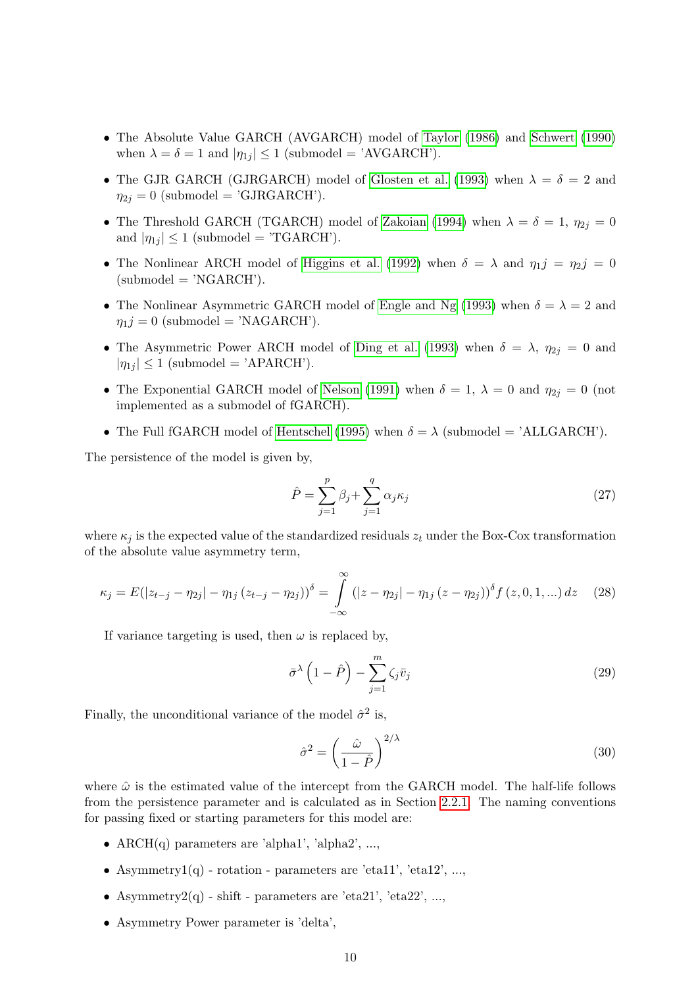- The Absolute Value GARCH (AVGARCH) model of [Taylor \(1986\)](#page-49-1) and [Schwert \(1990\)](#page-49-2) when  $\lambda = \delta = 1$  and  $|\eta_{1j}| \leq 1$  (submodel = 'AVGARCH').
- The GJR GARCH (GJRGARCH) model of [Glosten et al. \(1993\)](#page-48-2) when  $\lambda = \delta = 2$  and  $\eta_{2j} = 0$  (submodel = 'GJRGARCH').
- The Threshold GARCH (TGARCH) model of [Zakoian \(1994\)](#page-49-3) when  $\lambda = \delta = 1$ ,  $\eta_{2j} = 0$ and  $|\eta_{1j}| \leq 1$  (submodel = 'TGARCH').
- The Nonlinear ARCH model of [Higgins et al. \(1992\)](#page-48-3) when  $\delta = \lambda$  and  $\eta_1 j = \eta_2 j = 0$  $(submodel = 'NGARCH').$
- The Nonlinear Asymmetric GARCH model of [Engle and Ng \(1993\)](#page-47-6) when  $\delta = \lambda = 2$  and  $\eta_1 j = 0$  (submodel = 'NAGARCH').
- The Asymmetric Power ARCH model of [Ding et al. \(1993\)](#page-47-5) when  $\delta = \lambda$ ,  $\eta_{2i} = 0$  and  $|\eta_{1j}| \leq 1$  (submodel = 'APARCH').
- The Exponential GARCH model of [Nelson \(1991\)](#page-49-0) when  $\delta = 1$ ,  $\lambda = 0$  and  $\eta_{2j} = 0$  (not implemented as a submodel of fGARCH).
- The Full fGARCH model of [Hentschel \(1995\)](#page-48-5) when  $\delta = \lambda$  (submodel = 'ALLGARCH').

The persistence of the model is given by,

$$
\hat{P} = \sum_{j=1}^{p} \beta_j + \sum_{j=1}^{q} \alpha_j \kappa_j \tag{27}
$$

where  $\kappa_i$  is the expected value of the standardized residuals  $z_t$  under the Box-Cox transformation of the absolute value asymmetry term,

$$
\kappa_j = E(|z_{t-j} - \eta_{2j}| - \eta_{1j} (z_{t-j} - \eta_{2j}))^{\delta} = \int_{-\infty}^{\infty} (|z - \eta_{2j}| - \eta_{1j} (z - \eta_{2j}))^{\delta} f(z, 0, 1, ...) dz \quad (28)
$$

If variance targeting is used, then  $\omega$  is replaced by,

$$
\bar{\sigma}^{\lambda} \left( 1 - \hat{P} \right) - \sum_{j=1}^{m} \zeta_{j} \bar{v}_{j}
$$
\n(29)

Finally, the unconditional variance of the model  $\hat{\sigma}^2$  is,

$$
\hat{\sigma}^2 = \left(\frac{\hat{\omega}}{1 - \hat{P}}\right)^{2/\lambda} \tag{30}
$$

where  $\hat{\omega}$  is the estimated value of the intercept from the GARCH model. The half-life follows from the persistence parameter and is calculated as in Section [2.2.1.](#page-5-0) The naming conventions for passing fixed or starting parameters for this model are:

- ARCH $(q)$  parameters are 'alpha1', 'alpha2', ...,
- Asymmetry1 $(q)$  rotation parameters are 'eta11', 'eta12', ...,
- Asymmetry2(q) shift parameters are 'eta21', 'eta22', ...,
- Asymmetry Power parameter is 'delta',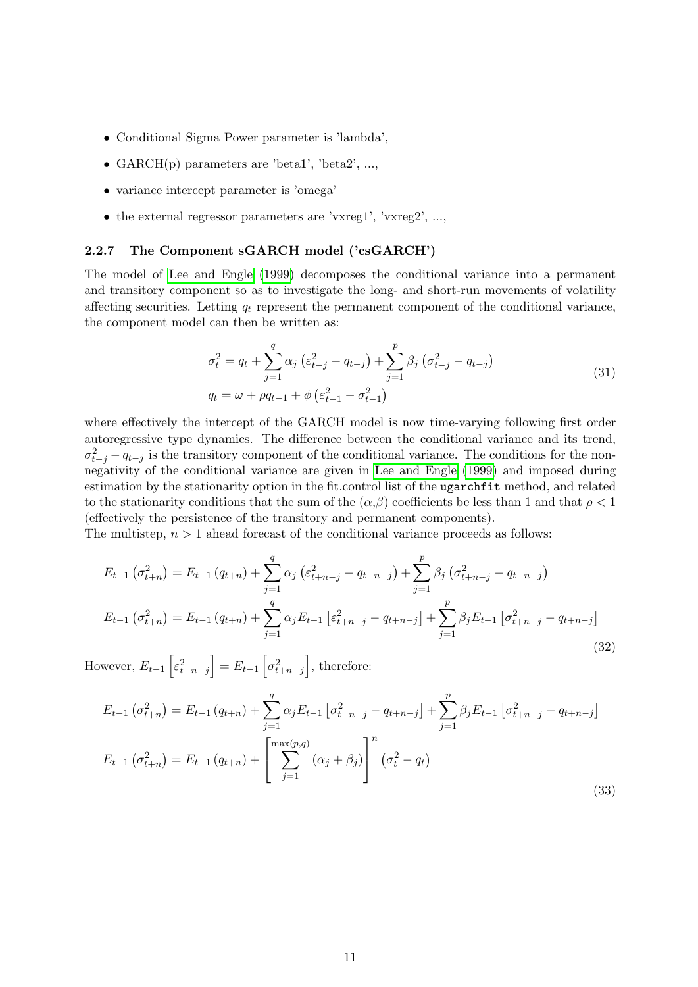- Conditional Sigma Power parameter is 'lambda',
- GARCH $(p)$  parameters are 'beta1', 'beta2', ...,
- variance intercept parameter is 'omega'
- the external regressor parameters are 'vxreg1', 'vxreg2', ...,

#### <span id="page-10-0"></span>2.2.7 The Component sGARCH model ('csGARCH')

The model of [Lee and Engle \(1999\)](#page-48-6) decomposes the conditional variance into a permanent and transitory component so as to investigate the long- and short-run movements of volatility affecting securities. Letting  $q_t$  represent the permanent component of the conditional variance, the component model can then be written as:

$$
\sigma_t^2 = q_t + \sum_{j=1}^q \alpha_j \left( \varepsilon_{t-j}^2 - q_{t-j} \right) + \sum_{j=1}^p \beta_j \left( \sigma_{t-j}^2 - q_{t-j} \right)
$$
  
\n
$$
q_t = \omega + \rho q_{t-1} + \phi \left( \varepsilon_{t-1}^2 - \sigma_{t-1}^2 \right)
$$
\n(31)

where effectively the intercept of the GARCH model is now time-varying following first order autoregressive type dynamics. The difference between the conditional variance and its trend,  $\sigma_{t-j}^2 - q_{t-j}$  is the transitory component of the conditional variance. The conditions for the nonnegativity of the conditional variance are given in [Lee and Engle \(1999\)](#page-48-6) and imposed during estimation by the stationarity option in the fit.control list of the ugarchfit method, and related to the stationarity conditions that the sum of the  $(\alpha, \beta)$  coefficients be less than 1 and that  $\rho < 1$ (effectively the persistence of the transitory and permanent components).

The multistep,  $n > 1$  ahead forecast of the conditional variance proceeds as follows:

$$
E_{t-1} \left( \sigma_{t+n}^2 \right) = E_{t-1} \left( q_{t+n} \right) + \sum_{j=1}^q \alpha_j \left( \varepsilon_{t+n-j}^2 - q_{t+n-j} \right) + \sum_{j=1}^p \beta_j \left( \sigma_{t+n-j}^2 - q_{t+n-j} \right)
$$
  

$$
E_{t-1} \left( \sigma_{t+n}^2 \right) = E_{t-1} \left( q_{t+n} \right) + \sum_{j=1}^q \alpha_j E_{t-1} \left[ \varepsilon_{t+n-j}^2 - q_{t+n-j} \right] + \sum_{j=1}^p \beta_j E_{t-1} \left[ \sigma_{t+n-j}^2 - q_{t+n-j} \right]
$$
(32)

However,  $E_{t-1}\left[\varepsilon_{t+n-j}^2\right] = E_{t-1}\left[\sigma_{t+n-j}^2\right]$ , therefore:

$$
E_{t-1}(\sigma_{t+n}^2) = E_{t-1}(q_{t+n}) + \sum_{j=1}^q \alpha_j E_{t-1} [\sigma_{t+n-j}^2 - q_{t+n-j}] + \sum_{j=1}^p \beta_j E_{t-1} [\sigma_{t+n-j}^2 - q_{t+n-j}]
$$
  

$$
E_{t-1}(\sigma_{t+n}^2) = E_{t-1}(q_{t+n}) + \left[ \sum_{j=1}^{\max(p,q)} (\alpha_j + \beta_j) \right]^n (\sigma_t^2 - q_t)
$$
 (33)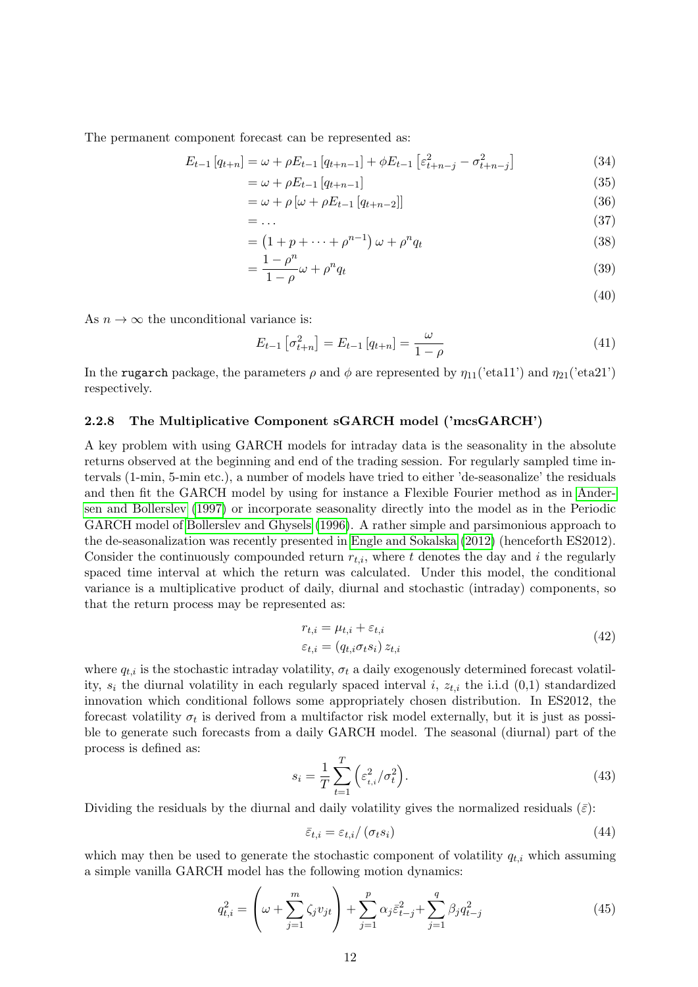The permanent component forecast can be represented as:

$$
E_{t-1}[q_{t+n}] = \omega + \rho E_{t-1}[q_{t+n-1}] + \phi E_{t-1}[\varepsilon_{t+n-j}^2 - \sigma_{t+n-j}^2]
$$
\n(34)

$$
=\omega + \rho E_{t-1}\left[q_{t+n-1}\right]
$$
\n
$$
\tag{35}
$$

$$
= \omega + \rho \left[ \omega + \rho E_{t-1} \left[ q_{t+n-2} \right] \right] \tag{36}
$$

$$
= \dots
$$
\n
$$
= (1 + p + \dots + p^{n-1}) \omega + p^n q_t
$$
\n(37)\n(38)

$$
= (1 + p + \dots + \rho^{n-1}) \omega + \rho^n q_t
$$
\n
$$
1 - \rho^n \qquad n \tag{38}
$$

$$
=\frac{1-\rho}{1-\rho}\omega+\rho^n q_t\tag{39}
$$

(40)

As  $n \to \infty$  the unconditional variance is:

$$
E_{t-1} \left[ \sigma_{t+n}^2 \right] = E_{t-1} \left[ q_{t+n} \right] = \frac{\omega}{1-\rho}
$$
 (41)

In the rugarch package, the parameters  $\rho$  and  $\phi$  are represented by  $\eta_{11}$ ('eta11') and  $\eta_{21}$ ('eta21') respectively.

#### <span id="page-11-0"></span>2.2.8 The Multiplicative Component sGARCH model ('mcsGARCH')

A key problem with using GARCH models for intraday data is the seasonality in the absolute returns observed at the beginning and end of the trading session. For regularly sampled time intervals (1-min, 5-min etc.), a number of models have tried to either 'de-seasonalize' the residuals and then fit the GARCH model by using for instance a Flexible Fourier method as in [Ander](#page-47-7)[sen and Bollerslev \(1997\)](#page-47-7) or incorporate seasonality directly into the model as in the Periodic GARCH model of [Bollerslev and Ghysels \(1996\)](#page-47-8). A rather simple and parsimonious approach to the de-seasonalization was recently presented in [Engle and Sokalska \(2012\)](#page-48-7) (henceforth ES2012). Consider the continuously compounded return  $r_{t,i}$ , where t denotes the day and i the regularly spaced time interval at which the return was calculated. Under this model, the conditional variance is a multiplicative product of daily, diurnal and stochastic (intraday) components, so that the return process may be represented as:

$$
r_{t,i} = \mu_{t,i} + \varepsilon_{t,i}
$$
  
\n
$$
\varepsilon_{t,i} = (q_{t,i}\sigma_t s_i) z_{t,i}
$$
\n(42)

where  $q_{t,i}$  is the stochastic intraday volatility,  $\sigma_t$  a daily exogenously determined forecast volatility,  $s_i$  the diurnal volatility in each regularly spaced interval i,  $z_{t,i}$  the i.i.d  $(0,1)$  standardized innovation which conditional follows some appropriately chosen distribution. In ES2012, the forecast volatility  $\sigma_t$  is derived from a multifactor risk model externally, but it is just as possible to generate such forecasts from a daily GARCH model. The seasonal (diurnal) part of the process is defined as:

$$
s_i = \frac{1}{T} \sum_{t=1}^{T} \left( \varepsilon_{t,i}^2 / \sigma_t^2 \right).
$$
 (43)

Dividing the residuals by the diurnal and daily volatility gives the normalized residuals  $(\bar{\varepsilon})$ :

$$
\bar{\varepsilon}_{t,i} = \varepsilon_{t,i} / (\sigma_t s_i) \tag{44}
$$

which may then be used to generate the stochastic component of volatility  $q_{t,i}$  which assuming a simple vanilla GARCH model has the following motion dynamics:

$$
q_{t,i}^2 = \left(\omega + \sum_{j=1}^m \zeta_j v_{jt}\right) + \sum_{j=1}^p \alpha_j \bar{\varepsilon}_{t-j}^2 + \sum_{j=1}^q \beta_j q_{t-j}^2
$$
\n(45)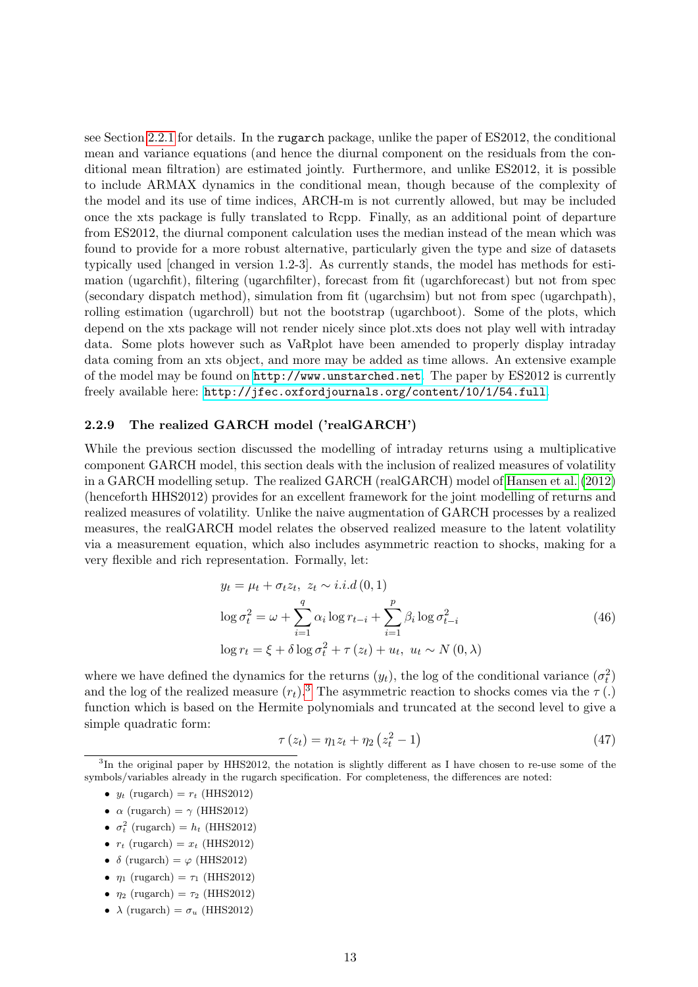see Section [2.2.1](#page-5-0) for details. In the rugarch package, unlike the paper of ES2012, the conditional mean and variance equations (and hence the diurnal component on the residuals from the conditional mean filtration) are estimated jointly. Furthermore, and unlike ES2012, it is possible to include ARMAX dynamics in the conditional mean, though because of the complexity of the model and its use of time indices, ARCH-m is not currently allowed, but may be included once the xts package is fully translated to Rcpp. Finally, as an additional point of departure from ES2012, the diurnal component calculation uses the median instead of the mean which was found to provide for a more robust alternative, particularly given the type and size of datasets typically used [changed in version 1.2-3]. As currently stands, the model has methods for estimation (ugarchfit), filtering (ugarchfilter), forecast from fit (ugarchforecast) but not from spec (secondary dispatch method), simulation from fit (ugarchsim) but not from spec (ugarchpath), rolling estimation (ugarchroll) but not the bootstrap (ugarchboot). Some of the plots, which depend on the xts package will not render nicely since plot.xts does not play well with intraday data. Some plots however such as VaRplot have been amended to properly display intraday data coming from an xts object, and more may be added as time allows. An extensive example of the model may be found on <http://www.unstarched.net>. The paper by ES2012 is currently freely available here: <http://jfec.oxfordjournals.org/content/10/1/54.full>.

#### <span id="page-12-0"></span>2.2.9 The realized GARCH model ('realGARCH')

While the previous section discussed the modelling of intraday returns using a multiplicative component GARCH model, this section deals with the inclusion of realized measures of volatility in a GARCH modelling setup. The realized GARCH (realGARCH) model of [Hansen et al. \(2012\)](#page-48-8) (henceforth HHS2012) provides for an excellent framework for the joint modelling of returns and realized measures of volatility. Unlike the naive augmentation of GARCH processes by a realized measures, the realGARCH model relates the observed realized measure to the latent volatility via a measurement equation, which also includes asymmetric reaction to shocks, making for a very flexible and rich representation. Formally, let:

$$
y_t = \mu_t + \sigma_t z_t, \ z_t \sim i.i.d(0,1)
$$
  

$$
\log \sigma_t^2 = \omega + \sum_{i=1}^q \alpha_i \log r_{t-i} + \sum_{i=1}^p \beta_i \log \sigma_{t-i}^2
$$
  

$$
\log r_t = \xi + \delta \log \sigma_t^2 + \tau(z_t) + u_t, \ u_t \sim N(0,\lambda)
$$
 (46)

where we have defined the dynamics for the returns  $(y_t)$ , the log of the conditional variance  $(\sigma_t^2)$ and the log of the realized measure  $(r_t)$ .<sup>[3](#page-12-1)</sup> The asymmetric reaction to shocks comes via the  $\tau(.)$ function which is based on the Hermite polynomials and truncated at the second level to give a simple quadratic form:

$$
\tau(z_t) = \eta_1 z_t + \eta_2 (z_t^2 - 1) \tag{47}
$$

- $y_t$  (rugarch) =  $r_t$  (HHS2012)
- $\alpha$  (rugarch) =  $\gamma$  (HHS2012)
- $\sigma_t^2$  (rugarch) =  $h_t$  (HHS2012)
- $r_t$  (rugarch) =  $x_t$  (HHS2012)
- $\delta$  (rugarch) =  $\varphi$  (HHS2012)
- $\eta_1$  (rugarch) =  $\tau_1$  (HHS2012)
- $\eta_2$  (rugarch) =  $\tau_2$  (HHS2012)
- $\lambda$  (rugarch) =  $\sigma_u$  (HHS2012)

<span id="page-12-1"></span><sup>&</sup>lt;sup>3</sup>In the original paper by HHS2012, the notation is slightly different as I have chosen to re-use some of the symbols/variables already in the rugarch specification. For completeness, the differences are noted: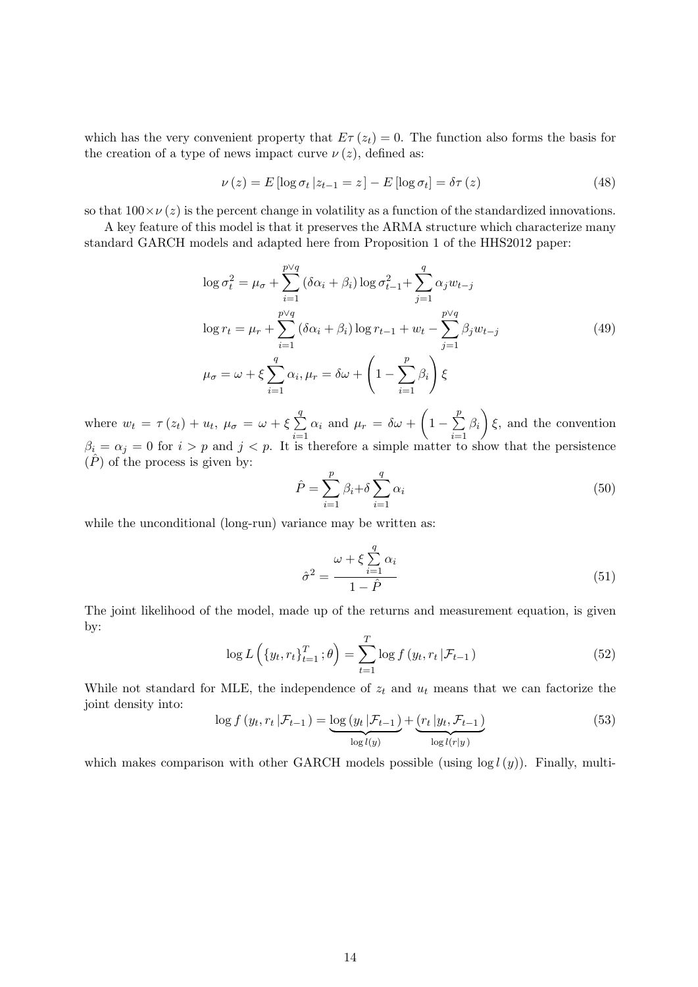which has the very convenient property that  $E\tau(z_t) = 0$ . The function also forms the basis for the creation of a type of news impact curve  $\nu(z)$ , defined as:

$$
\nu(z) = E \left[ \log \sigma_t \, | z_{t-1} = z \right] - E \left[ \log \sigma_t \right] = \delta \tau(z) \tag{48}
$$

so that  $100 \times \nu(z)$  is the percent change in volatility as a function of the standardized innovations.

A key feature of this model is that it preserves the ARMA structure which characterize many standard GARCH models and adapted here from Proposition 1 of the HHS2012 paper:

$$
\log \sigma_t^2 = \mu_\sigma + \sum_{i=1}^{p \lor q} (\delta \alpha_i + \beta_i) \log \sigma_{t-1}^2 + \sum_{j=1}^q \alpha_j w_{t-j}
$$
  

$$
\log r_t = \mu_r + \sum_{i=1}^{p \lor q} (\delta \alpha_i + \beta_i) \log r_{t-1} + w_t - \sum_{j=1}^{p \lor q} \beta_j w_{t-j}
$$
  

$$
\mu_\sigma = \omega + \xi \sum_{i=1}^q \alpha_i, \mu_r = \delta \omega + \left(1 - \sum_{i=1}^p \beta_i\right) \xi
$$
 (49)

where  $w_t = \tau(z_t) + u_t, \ \mu_{\sigma} = \omega + \xi \sum$ q  $i=1$  $\alpha_i$  and  $\mu_r = \delta \omega + \left(1 - \sum^p \right)$ p  $i=1$  $\beta_i$   $\xi$ , and the convention  $\beta_i = \alpha_j = 0$  for  $i > p$  and  $j < p$ . It is therefore a simple matter to show that the persistence  $(\overline{P})$  of the process is given by:

$$
\hat{P} = \sum_{i=1}^{p} \beta_i + \delta \sum_{i=1}^{q} \alpha_i
$$
\n(50)

while the unconditional (long-run) variance may be written as:

$$
\hat{\sigma}^2 = \frac{\omega + \xi \sum_{i=1}^q \alpha_i}{1 - \hat{P}}
$$
\n(51)

The joint likelihood of the model, made up of the returns and measurement equation, is given by:

$$
\log L\left(\{y_t, r_t\}_{t=1}^T; \theta\right) = \sum_{t=1}^T \log f\left(y_t, r_t | \mathcal{F}_{t-1}\right) \tag{52}
$$

While not standard for MLE, the independence of  $z_t$  and  $u_t$  means that we can factorize the joint density into:

$$
\log f\left(y_t, r_t \,|\mathcal{F}_{t-1}\right) = \underbrace{\log\left(y_t \,|\mathcal{F}_{t-1}\right)}_{\log l(y)} + \underbrace{\left(r_t \,|y_t, \mathcal{F}_{t-1}\right)}_{\log l(r|y)}
$$
(53)

which makes comparison with other GARCH models possible (using  $\log l(y)$ ). Finally, multi-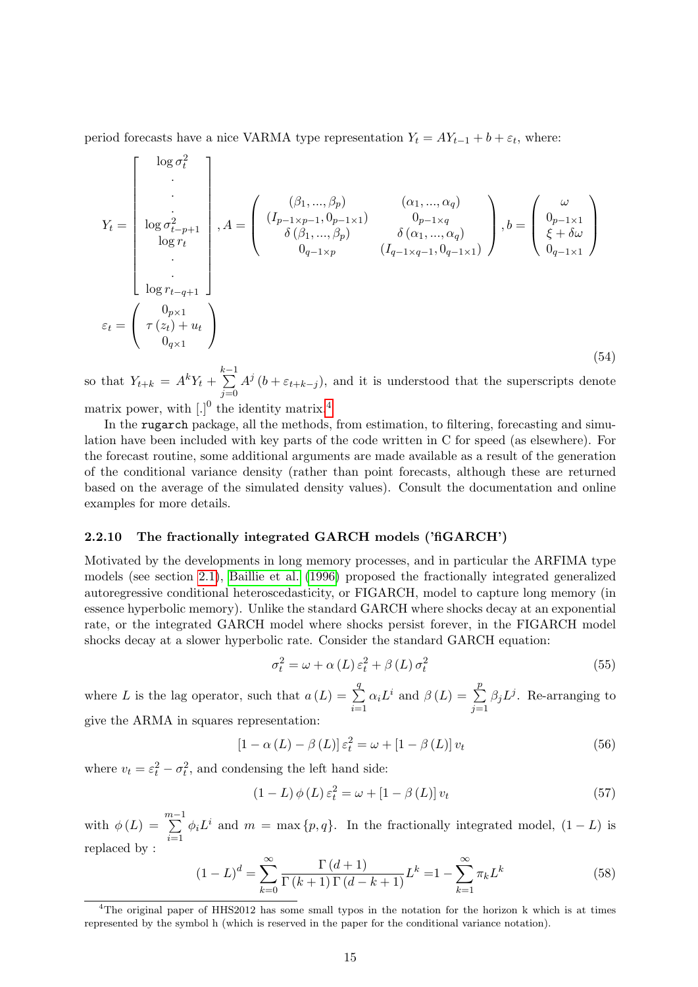period forecasts have a nice VARMA type representation  $Y_t = A Y_{t-1} + b + \varepsilon_t$ , where:

$$
Y_{t} = \begin{bmatrix} \log \sigma_{t}^{2} \\ \vdots \\ \log \sigma_{t-p+1}^{2} \\ \log r_{t} \\ \vdots \\ \log r_{t-q+1} \\ \vdots \\ \log r_{t-q+1} \\ 0_{q\times 1} \end{bmatrix}, A = \begin{pmatrix} (\beta_{1}, ..., \beta_{p}) & (\alpha_{1}, ..., \alpha_{q}) \\ (I_{p-1\times p-1}, 0_{p-1\times 1}) & 0_{p-1\times q} \\ \delta(\beta_{1}, ..., \beta_{p}) & \delta(\alpha_{1}, ..., \alpha_{q}) \\ 0_{q-1\times p} & (I_{q-1\times q-1}, 0_{q-1\times 1}) \end{pmatrix}, b = \begin{pmatrix} \omega \\ 0_{p-1\times 1} \\ \xi + \delta \omega \\ \xi + \delta \omega \\ 0_{q-1\times 1} \end{pmatrix}
$$

$$
\varepsilon_{t} = \begin{pmatrix} 0_{p\times 1} \\ \tau(z_{t}) + u_{t} \\ 0_{q\times 1} \end{pmatrix}
$$
(54)

so that  $Y_{t+k} = A^k Y_t + \sum_{k=1}^{k-1} A^k Y_k$  $j=0$  $A^{j}$   $(b + \varepsilon_{t+k-j})$ , and it is understood that the superscripts denote

matrix power, with  $\left[ . \right]$ <sup>0</sup> the identity matrix.<sup>[4](#page-14-1)</sup>

In the rugarch package, all the methods, from estimation, to filtering, forecasting and simulation have been included with key parts of the code written in C for speed (as elsewhere). For the forecast routine, some additional arguments are made available as a result of the generation of the conditional variance density (rather than point forecasts, although these are returned based on the average of the simulated density values). Consult the documentation and online examples for more details.

#### <span id="page-14-0"></span>2.2.10 The fractionally integrated GARCH models ('fiGARCH')

Motivated by the developments in long memory processes, and in particular the ARFIMA type models (see section [2.1\)](#page-3-0), [Baillie et al. \(1996\)](#page-47-9) proposed the fractionally integrated generalized autoregressive conditional heteroscedasticity, or FIGARCH, model to capture long memory (in essence hyperbolic memory). Unlike the standard GARCH where shocks decay at an exponential rate, or the integrated GARCH model where shocks persist forever, in the FIGARCH model shocks decay at a slower hyperbolic rate. Consider the standard GARCH equation:

$$
\sigma_t^2 = \omega + \alpha \left( L \right) \varepsilon_t^2 + \beta \left( L \right) \sigma_t^2 \tag{55}
$$

where L is the lag operator, such that  $a(L) = \sum$ q  $i=1$  $\alpha_i L^i$  and  $\beta(L) = \sum_{i=1}^{p}$  $j=1$  $\beta_j L^j$ . Re-arranging to give the ARMA in squares representation:

$$
\left[1 - \alpha\left(L\right) - \beta\left(L\right)\right] \varepsilon_t^2 = \omega + \left[1 - \beta\left(L\right)\right] v_t \tag{56}
$$

where  $v_t = \varepsilon_t^2 - \sigma_t^2$ , and condensing the left hand side:

$$
(1 - L)\phi(L)\varepsilon_t^2 = \omega + [1 - \beta(L)]v_t
$$
\n(57)

with  $\phi(L) = \sum_{m=1}^{m-1}$  $i=1$  $\phi_i L^i$  and  $m = \max\{p, q\}$ . In the fractionally integrated model,  $(1 - L)$  is replaced by :

$$
(1 - L)^d = \sum_{k=0}^{\infty} \frac{\Gamma(d+1)}{\Gamma(k+1)\Gamma(d-k+1)} L^k = 1 - \sum_{k=1}^{\infty} \pi_k L^k
$$
 (58)

<span id="page-14-1"></span><sup>&</sup>lt;sup>4</sup>The original paper of HHS2012 has some small typos in the notation for the horizon k which is at times represented by the symbol h (which is reserved in the paper for the conditional variance notation).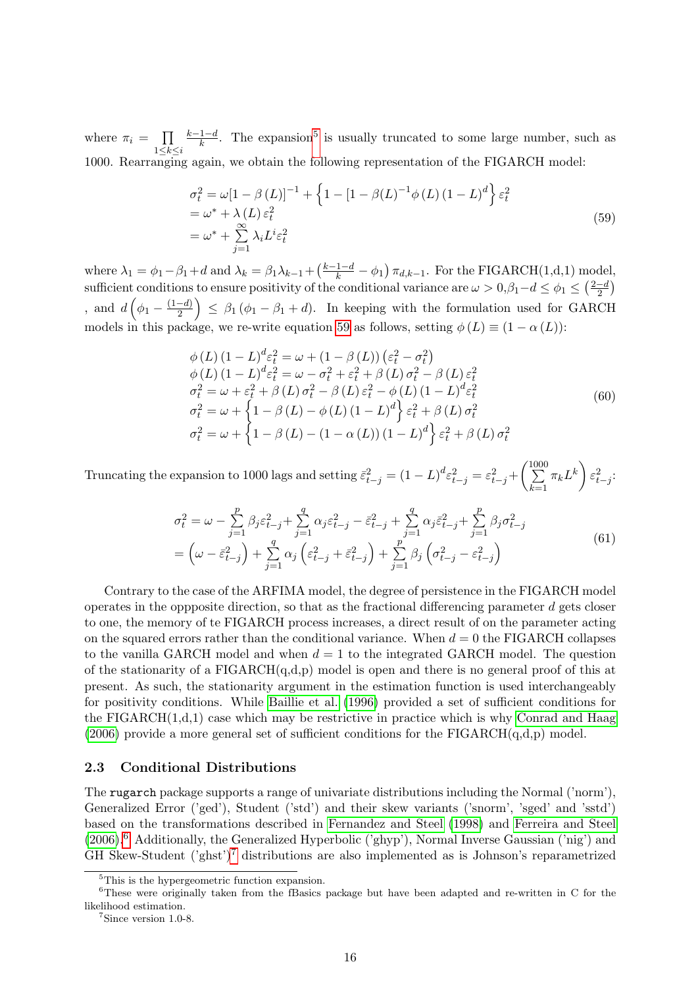where  $\pi_i = \prod$  $1\leq k\leq i$  $k-1-d$  $\frac{1-d}{k}$ . The expansion<sup>[5](#page-15-1)</sup> is usually truncated to some large number, such as 1000. Rearranging again, we obtain the following representation of the FIGARCH model:

<span id="page-15-2"></span>
$$
\sigma_t^2 = \omega \left[ 1 - \beta \left( L \right) \right]^{-1} + \left\{ 1 - \left[ 1 - \beta \left( L \right)^{-1} \phi \left( L \right) \left( 1 - L \right)^d \right\} \varepsilon_t^2
$$
\n
$$
= \omega^* + \lambda \left( L \right) \varepsilon_t^2
$$
\n
$$
= \omega^* + \sum_{j=1}^{\infty} \lambda_i L^i \varepsilon_t^2
$$
\n(59)

where  $\lambda_1 = \phi_1 - \beta_1 + d$  and  $\lambda_k = \beta_1 \lambda_{k-1} + \left(\frac{k-1-d}{k} - \phi_1\right) \pi_{d,k-1}$ . For the FIGARCH(1,d,1) model, sufficient conditions to ensure positivity of the conditional variance are  $\omega > 0, \beta_1 - d \le \phi_1 \le (\frac{2-d}{2})$  $\frac{-d}{2}$ , and  $d\left(\phi_1-\frac{(1-d)}{2}\right)$  $\left(\frac{-d}{2}\right) \leq \beta_1 (\phi_1 - \beta_1 + d)$ . In keeping with the formulation used for GARCH models in this package, we re-write equation [59](#page-15-2) as follows, setting  $\phi(L) \equiv (1 - \alpha(L))$ :

$$
\begin{aligned}\n\phi(L)(1-L)^{d}\varepsilon_{t}^{2} &= \omega + (1-\beta(L))\left(\varepsilon_{t}^{2} - \sigma_{t}^{2}\right) \\
\phi(L)(1-L)^{d}\varepsilon_{t}^{2} &= \omega - \sigma_{t}^{2} + \varepsilon_{t}^{2} + \beta(L)\sigma_{t}^{2} - \beta(L)\varepsilon_{t}^{2} \\
\sigma_{t}^{2} &= \omega + \varepsilon_{t}^{2} + \beta(L)\sigma_{t}^{2} - \beta(L)\varepsilon_{t}^{2} - \phi(L)(1-L)^{d}\varepsilon_{t}^{2} \\
\sigma_{t}^{2} &= \omega + \left\{1 - \beta(L) - \phi(L)(1-L)^{d}\right\}\varepsilon_{t}^{2} + \beta(L)\sigma_{t}^{2} \\
\sigma_{t}^{2} &= \omega + \left\{1 - \beta(L) - (1-\alpha(L))(1-L)^{d}\right\}\varepsilon_{t}^{2} + \beta(L)\sigma_{t}^{2}\n\end{aligned} \tag{60}
$$

Truncating the expansion to 1000 lags and setting  $\bar{\varepsilon}_{t-j}^2 = (1 - L)^d \varepsilon_{t-j}^2 = \varepsilon_{t-j}^2 +$  $\left(\begin{array}{c}1000\\ \sum\end{array}\right)$  $k=1$  $\pi_k L^k$ )  $\varepsilon_{t-j}^2$ :

$$
\sigma_t^2 = \omega - \sum_{j=1}^p \beta_j \varepsilon_{t-j}^2 + \sum_{j=1}^q \alpha_j \varepsilon_{t-j}^2 - \bar{\varepsilon}_{t-j}^2 + \sum_{j=1}^q \alpha_j \bar{\varepsilon}_{t-j}^2 + \sum_{j=1}^p \beta_j \sigma_{t-j}^2 \n= \left(\omega - \bar{\varepsilon}_{t-j}^2\right) + \sum_{j=1}^q \alpha_j \left(\varepsilon_{t-j}^2 + \bar{\varepsilon}_{t-j}^2\right) + \sum_{j=1}^p \beta_j \left(\sigma_{t-j}^2 - \varepsilon_{t-j}^2\right)
$$
\n(61)

Contrary to the case of the ARFIMA model, the degree of persistence in the FIGARCH model operates in the oppposite direction, so that as the fractional differencing parameter  $d$  gets closer to one, the memory of te FIGARCH process increases, a direct result of on the parameter acting on the squared errors rather than the conditional variance. When  $d = 0$  the FIGARCH collapses to the vanilla GARCH model and when  $d = 1$  to the integrated GARCH model. The question of the stationarity of a  $FIGARCH(q,d,p)$  model is open and there is no general proof of this at present. As such, the stationarity argument in the estimation function is used interchangeably for positivity conditions. While [Baillie et al. \(1996\)](#page-47-9) provided a set of sufficient conditions for the FIGARCH $(1,d,1)$  case which may be restrictive in practice which is why [Conrad and Haag](#page-47-10)  $(2006)$  provide a more general set of sufficient conditions for the FIGARCH $(q,d,p)$  model.

#### <span id="page-15-0"></span>2.3 Conditional Distributions

The rugarch package supports a range of univariate distributions including the Normal ('norm'), Generalized Error ('ged'), Student ('std') and their skew variants ('snorm', 'sged' and 'sstd') based on the transformations described in [Fernandez and Steel \(1998\)](#page-48-9) and [Ferreira and Steel](#page-48-10) [\(2006\)](#page-48-10).[6](#page-15-3) Additionally, the Generalized Hyperbolic ('ghyp'), Normal Inverse Gaussian ('nig') and GH Skew-Student ( $\gamma$ <sup>[7](#page-15-4)</sup> distributions are also implemented as is Johnson's reparametrized

<span id="page-15-3"></span><span id="page-15-1"></span><sup>&</sup>lt;sup>5</sup>This is the hypergeometric function expansion.

<sup>6</sup>These were originally taken from the fBasics package but have been adapted and re-written in C for the likelihood estimation.

<span id="page-15-4"></span><sup>7</sup>Since version 1.0-8.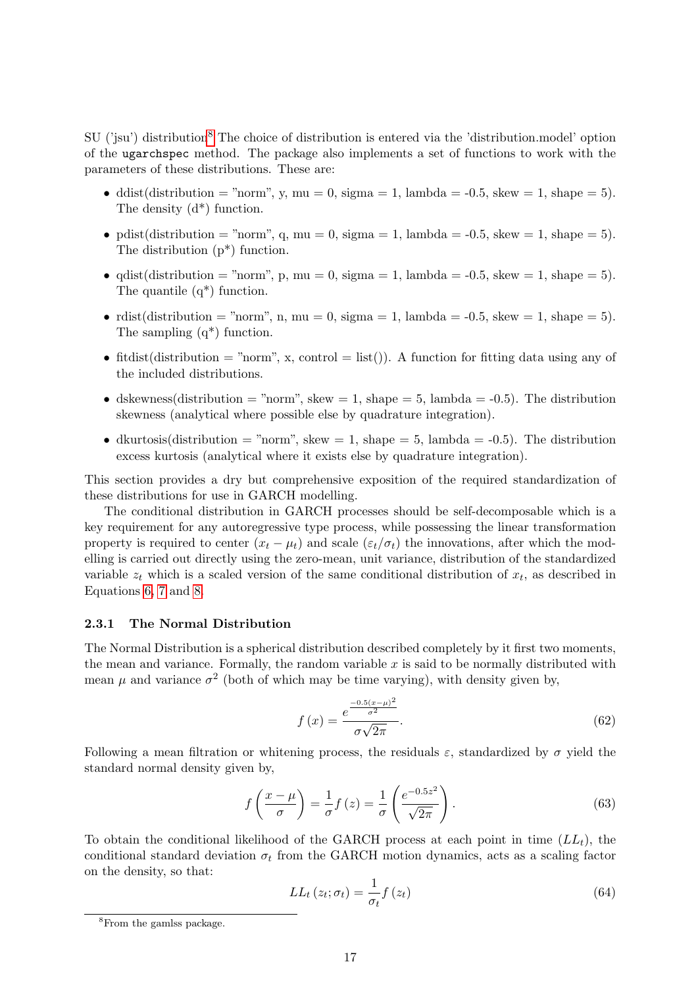SU ('isu') distribution<sup>[8](#page-16-1)</sup> The choice of distribution is entered via the 'distribution.model' option of the ugarchspec method. The package also implements a set of functions to work with the parameters of these distributions. These are:

- ddist(distribution = "norm", y, mu = 0, sigma = 1, lambda =  $-0.5$ , skew = 1, shape = 5). The density (d\*) function.
- pdist(distribution = "norm", q, mu = 0, sigma = 1, lambda =  $-0.5$ , skew = 1, shape = 5). The distribution (p\*) function.
- qdist(distribution = "norm", p, mu = 0, sigma = 1, lambda =  $-0.5$ , skew = 1, shape = 5). The quantile  $(q^*)$  function.
- rdist(distribution = "norm", n, mu = 0, sigma = 1, lambda =  $-0.5$ , skew = 1, shape = 5). The sampling  $(q^*)$  function.
- fitdist(distribution  $=$  "norm", x, control  $=$  list()). A function for fitting data using any of the included distributions.
- dskewness(distribution = "norm", skew = 1, shape = 5, lambda =  $-0.5$ ). The distribution skewness (analytical where possible else by quadrature integration).
- dkurtosis(distribution = "norm", skew = 1, shape = 5, lambda =  $-0.5$ ). The distribution excess kurtosis (analytical where it exists else by quadrature integration).

This section provides a dry but comprehensive exposition of the required standardization of these distributions for use in GARCH modelling.

The conditional distribution in GARCH processes should be self-decomposable which is a key requirement for any autoregressive type process, while possessing the linear transformation property is required to center  $(x_t - \mu_t)$  and scale  $(\varepsilon_t/\sigma_t)$  the innovations, after which the modelling is carried out directly using the zero-mean, unit variance, distribution of the standardized variable  $z_t$  which is a scaled version of the same conditional distribution of  $x_t$ , as described in Equations [6,](#page-4-1) [7](#page-4-2) and [8.](#page-4-3)

#### <span id="page-16-0"></span>2.3.1 The Normal Distribution

The Normal Distribution is a spherical distribution described completely by it first two moments, the mean and variance. Formally, the random variable  $x$  is said to be normally distributed with mean  $\mu$  and variance  $\sigma^2$  (both of which may be time varying), with density given by,

$$
f(x) = \frac{e^{\frac{-0.5(x-\mu)^2}{\sigma^2}}}{\sigma\sqrt{2\pi}}.
$$
\n(62)

Following a mean filtration or whitening process, the residuals  $\varepsilon$ , standardized by  $\sigma$  yield the standard normal density given by,

$$
f\left(\frac{x-\mu}{\sigma}\right) = \frac{1}{\sigma}f(z) = \frac{1}{\sigma}\left(\frac{e^{-0.5z^2}}{\sqrt{2\pi}}\right). \tag{63}
$$

To obtain the conditional likelihood of the GARCH process at each point in time  $(LL_t)$ , the conditional standard deviation  $\sigma_t$  from the GARCH motion dynamics, acts as a scaling factor on the density, so that:

$$
LL_{t}(z_{t};\sigma_{t}) = \frac{1}{\sigma_{t}}f(z_{t})
$$
\n(64)

<span id="page-16-1"></span><sup>8</sup>From the gamlss package.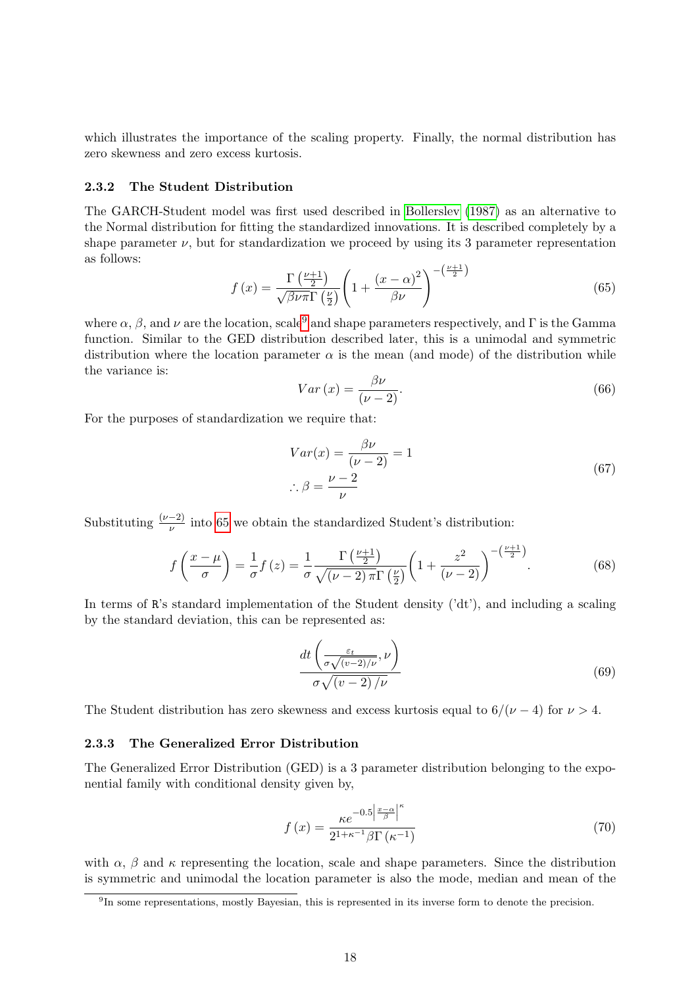which illustrates the importance of the scaling property. Finally, the normal distribution has zero skewness and zero excess kurtosis.

#### <span id="page-17-0"></span>2.3.2 The Student Distribution

The GARCH-Student model was first used described in [Bollerslev \(1987\)](#page-47-11) as an alternative to the Normal distribution for fitting the standardized innovations. It is described completely by a shape parameter  $\nu$ , but for standardization we proceed by using its 3 parameter representation as follows:

<span id="page-17-3"></span>
$$
f(x) = \frac{\Gamma\left(\frac{\nu+1}{2}\right)}{\sqrt{\beta \nu \pi} \Gamma\left(\frac{\nu}{2}\right)} \left(1 + \frac{(x-\alpha)^2}{\beta \nu}\right)^{-\left(\frac{\nu+1}{2}\right)}\tag{65}
$$

where  $\alpha$ ,  $\beta$ , and  $\nu$  are the location, scale<sup>[9](#page-17-2)</sup> and shape parameters respectively, and Γ is the Gamma function. Similar to the GED distribution described later, this is a unimodal and symmetric distribution where the location parameter  $\alpha$  is the mean (and mode) of the distribution while the variance is:

$$
Var(x) = \frac{\beta \nu}{(\nu - 2)}.
$$
\n(66)

For the purposes of standardization we require that:

$$
Var(x) = \frac{\beta \nu}{(\nu - 2)} = 1
$$
  

$$
\therefore \beta = \frac{\nu - 2}{\nu}
$$
 (67)

Substituting  $\frac{(\nu-2)}{\nu}$  into [65](#page-17-3) we obtain the standardized Student's distribution:

$$
f\left(\frac{x-\mu}{\sigma}\right) = \frac{1}{\sigma}f(z) = \frac{1}{\sigma}\frac{\Gamma\left(\frac{\nu+1}{2}\right)}{\sqrt{(\nu-2)\pi}\Gamma\left(\frac{\nu}{2}\right)}\left(1 + \frac{z^2}{(\nu-2)}\right)^{-\left(\frac{\nu+1}{2}\right)}.\tag{68}
$$

In terms of R's standard implementation of the Student density ('dt'), and including a scaling by the standard deviation, this can be represented as:

$$
\frac{dt\left(\frac{\varepsilon_t}{\sigma\sqrt{(v-2)/\nu}},\nu\right)}{\sigma\sqrt{(v-2)/\nu}}\tag{69}
$$

The Student distribution has zero skewness and excess kurtosis equal to  $6/(\nu-4)$  for  $\nu > 4$ .

#### <span id="page-17-1"></span>2.3.3 The Generalized Error Distribution

The Generalized Error Distribution (GED) is a 3 parameter distribution belonging to the exponential family with conditional density given by,

$$
f\left(x\right) = \frac{\kappa e^{-0.5\left|\frac{x-\alpha}{\beta}\right|^\kappa}}{2^{1+\kappa^{-1}}\beta \Gamma\left(\kappa^{-1}\right)}\tag{70}
$$

with  $\alpha$ ,  $\beta$  and  $\kappa$  representing the location, scale and shape parameters. Since the distribution is symmetric and unimodal the location parameter is also the mode, median and mean of the

<span id="page-17-2"></span><sup>&</sup>lt;sup>9</sup>In some representations, mostly Bayesian, this is represented in its inverse form to denote the precision.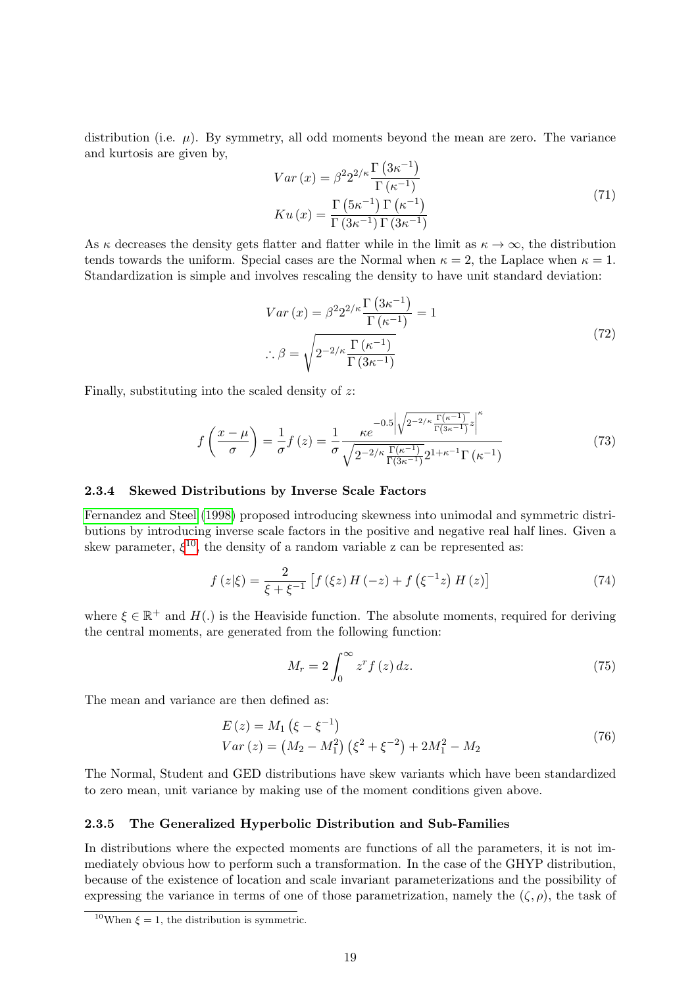distribution (i.e.  $\mu$ ). By symmetry, all odd moments beyond the mean are zero. The variance and kurtosis are given by,

$$
Var(x) = \beta^2 2^{2/\kappa} \frac{\Gamma(3\kappa^{-1})}{\Gamma(\kappa^{-1})}
$$
  
\n
$$
Ku(x) = \frac{\Gamma(5\kappa^{-1}) \Gamma(\kappa^{-1})}{\Gamma(3\kappa^{-1}) \Gamma(3\kappa^{-1})}
$$
\n(71)

As  $\kappa$  decreases the density gets flatter and flatter while in the limit as  $\kappa \to \infty$ , the distribution tends towards the uniform. Special cases are the Normal when  $\kappa = 2$ , the Laplace when  $\kappa = 1$ . Standardization is simple and involves rescaling the density to have unit standard deviation:

$$
Var(x) = \beta^2 2^{2/\kappa} \frac{\Gamma(3\kappa^{-1})}{\Gamma(\kappa^{-1})} = 1
$$
  

$$
\therefore \beta = \sqrt{2^{-2/\kappa} \frac{\Gamma(\kappa^{-1})}{\Gamma(3\kappa^{-1})}}
$$
(72)

Finally, substituting into the scaled density of  $z$ :

$$
f\left(\frac{x-\mu}{\sigma}\right) = \frac{1}{\sigma} f(z) = \frac{1}{\sigma} \frac{\kappa e^{-0.5 \left|\sqrt{2^{-2/\kappa} \frac{\Gamma(\kappa^{-1})}{\Gamma(3\kappa^{-1})} z}\right|^{\kappa}}}{\sqrt{2^{-2/\kappa} \frac{\Gamma(\kappa^{-1})}{\Gamma(3\kappa^{-1})} 2^{1+\kappa^{-1}} \Gamma(\kappa^{-1})}}
$$
(73)

#### <span id="page-18-0"></span>2.3.4 Skewed Distributions by Inverse Scale Factors

[Fernandez and Steel \(1998\)](#page-48-9) proposed introducing skewness into unimodal and symmetric distributions by introducing inverse scale factors in the positive and negative real half lines. Given a skew parameter,  $\xi^{10}$  $\xi^{10}$  $\xi^{10}$ , the density of a random variable z can be represented as:

$$
f(z|\xi) = \frac{2}{\xi + \xi^{-1}} \left[ f(\xi z) H(-z) + f(\xi^{-1} z) H(z) \right]
$$
 (74)

where  $\xi \in \mathbb{R}^+$  and  $H(.)$  is the Heaviside function. The absolute moments, required for deriving the central moments, are generated from the following function:

$$
M_r = 2 \int_0^\infty z^r f(z) dz.
$$
 (75)

The mean and variance are then defined as:

$$
E(z) = M_1 (\xi - \xi^{-1})
$$
  
\n
$$
Var(z) = (M_2 - M_1^2) (\xi^2 + \xi^{-2}) + 2M_1^2 - M_2
$$
\n(76)

The Normal, Student and GED distributions have skew variants which have been standardized to zero mean, unit variance by making use of the moment conditions given above.

### <span id="page-18-1"></span>2.3.5 The Generalized Hyperbolic Distribution and Sub-Families

In distributions where the expected moments are functions of all the parameters, it is not immediately obvious how to perform such a transformation. In the case of the GHYP distribution, because of the existence of location and scale invariant parameterizations and the possibility of expressing the variance in terms of one of those parametrization, namely the  $(\zeta, \rho)$ , the task of

<span id="page-18-2"></span><sup>&</sup>lt;sup>10</sup>When  $\xi = 1$ , the distribution is symmetric.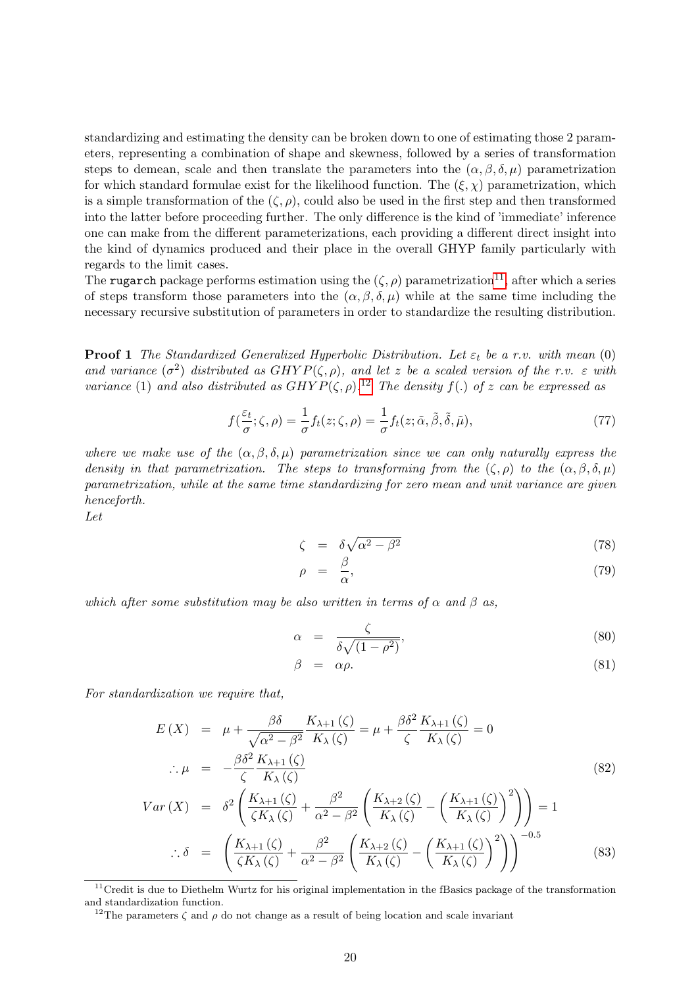standardizing and estimating the density can be broken down to one of estimating those 2 parameters, representing a combination of shape and skewness, followed by a series of transformation steps to demean, scale and then translate the parameters into the  $(\alpha, \beta, \delta, \mu)$  parametrization for which standard formulae exist for the likelihood function. The  $(\xi, \chi)$  parametrization, which is a simple transformation of the  $(\zeta, \rho)$ , could also be used in the first step and then transformed into the latter before proceeding further. The only difference is the kind of 'immediate' inference one can make from the different parameterizations, each providing a different direct insight into the kind of dynamics produced and their place in the overall GHYP family particularly with regards to the limit cases.

The rugarch package performs estimation using the  $(\zeta, \rho)$  parametrization<sup>[11](#page-19-0)</sup>, after which a series of steps transform those parameters into the  $(\alpha, \beta, \delta, \mu)$  while at the same time including the necessary recursive substitution of parameters in order to standardize the resulting distribution.

**Proof 1** The Standardized Generalized Hyperbolic Distribution. Let  $\varepsilon_t$  be a r.v. with mean (0) and variance  $(\sigma^2)$  distributed as  $GHYP(\zeta,\rho)$ , and let z be a scaled version of the r.v.  $\varepsilon$  with variance (1) and also distributed as  $GHYP(\zeta,\rho)$ .<sup>[12](#page-19-1)</sup> The density  $f(.)$  of z can be expressed as

$$
f(\frac{\varepsilon_t}{\sigma}; \zeta, \rho) = \frac{1}{\sigma} f_t(z; \zeta, \rho) = \frac{1}{\sigma} f_t(z; \tilde{\alpha}, \tilde{\beta}, \tilde{\delta}, \tilde{\mu}), \tag{77}
$$

where we make use of the  $(\alpha, \beta, \delta, \mu)$  parametrization since we can only naturally express the density in that parametrization. The steps to transforming from the  $(\zeta, \rho)$  to the  $(\alpha, \beta, \delta, \mu)$ parametrization, while at the same time standardizing for zero mean and unit variance are given henceforth.

Let

$$
\zeta = \delta \sqrt{\alpha^2 - \beta^2} \tag{78}
$$

$$
\rho = \frac{\beta}{\alpha},\tag{79}
$$

which after some substitution may be also written in terms of  $\alpha$  and  $\beta$  as,

<span id="page-19-2"></span>
$$
\alpha = \frac{\zeta}{\delta\sqrt{(1-\rho^2)}},\tag{80}
$$

$$
\beta = \alpha \rho. \tag{81}
$$

For standardization we require that,

$$
E(X) = \mu + \frac{\beta \delta}{\sqrt{\alpha^2 - \beta^2}} \frac{K_{\lambda+1}(\zeta)}{K_{\lambda}(\zeta)} = \mu + \frac{\beta \delta^2}{\zeta} \frac{K_{\lambda+1}(\zeta)}{K_{\lambda}(\zeta)} = 0
$$
  

$$
\therefore \mu = -\frac{\beta \delta^2}{\zeta} \frac{K_{\lambda+1}(\zeta)}{K_{\lambda}(\zeta)}
$$
(82)

$$
Var(X) = \delta^2 \left( \frac{K_{\lambda+1}(\zeta)}{\zeta K_{\lambda}(\zeta)} + \frac{\beta^2}{\alpha^2 - \beta^2} \left( \frac{K_{\lambda+2}(\zeta)}{K_{\lambda}(\zeta)} - \left( \frac{K_{\lambda+1}(\zeta)}{K_{\lambda}(\zeta)} \right)^2 \right) \right) = 1
$$
  
 
$$
\therefore \delta = \left( \frac{K_{\lambda+1}(\zeta)}{\zeta K_{\lambda}(\zeta)} + \frac{\beta^2}{\alpha^2 - \beta^2} \left( \frac{K_{\lambda+2}(\zeta)}{K_{\lambda}(\zeta)} - \left( \frac{K_{\lambda+1}(\zeta)}{K_{\lambda}(\zeta)} \right)^2 \right) \right)^{-0.5}
$$
(83)

<span id="page-19-0"></span><sup>&</sup>lt;sup>11</sup>Credit is due to Diethelm Wurtz for his original implementation in the fBasics package of the transformation and standardization function.

<span id="page-19-1"></span><sup>&</sup>lt;sup>12</sup>The parameters  $\zeta$  and  $\rho$  do not change as a result of being location and scale invariant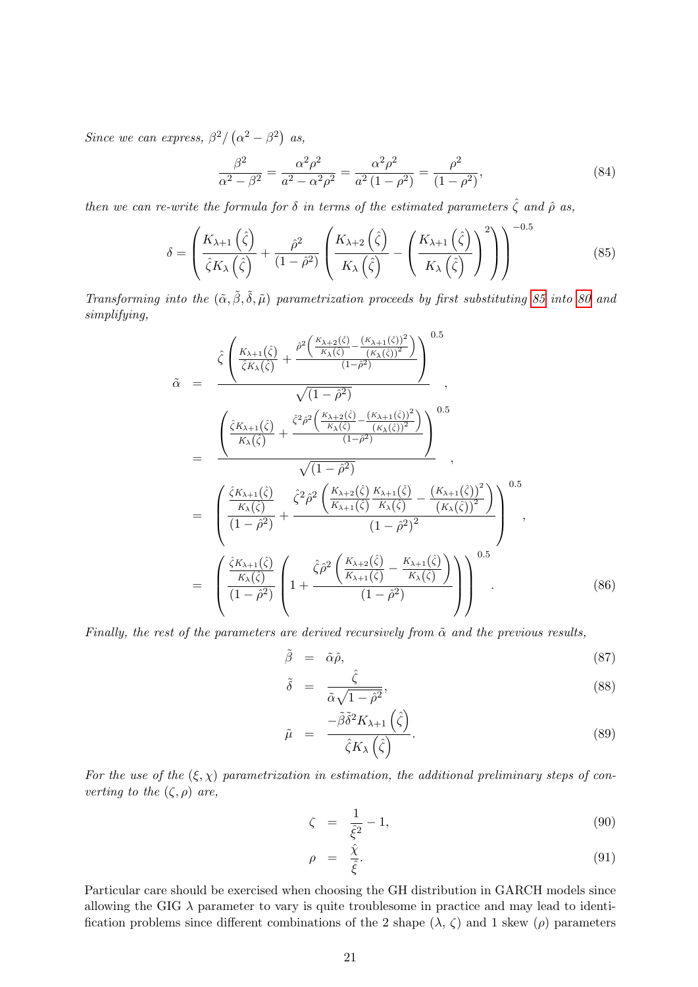Since we can express,  $\beta^2/(\alpha^2-\beta^2)$  as,

$$
\frac{\beta^2}{\alpha^2 - \beta^2} = \frac{\alpha^2 \rho^2}{a^2 - \alpha^2 \rho^2} = \frac{\alpha^2 \rho^2}{a^2 (1 - \rho^2)} = \frac{\rho^2}{(1 - \rho^2)},
$$
\n(84)

then we can re-write the formula for  $\delta$  in terms of the estimated parameters  $\hat{\zeta}$  and  $\hat{\rho}$  as,

<span id="page-20-0"></span>
$$
\delta = \left(\frac{K_{\lambda+1}\left(\hat{\zeta}\right)}{\hat{\zeta}K_{\lambda}\left(\hat{\zeta}\right)} + \frac{\hat{\rho}^{2}}{(1-\hat{\rho}^{2})}\left(\frac{K_{\lambda+2}\left(\hat{\zeta}\right)}{K_{\lambda}\left(\hat{\zeta}\right)} - \left(\frac{K_{\lambda+1}\left(\hat{\zeta}\right)}{K_{\lambda}\left(\hat{\zeta}\right)}\right)^{2}\right)\right)^{-0.5}
$$
(85)

Transforming into the  $(\tilde{\alpha}, \tilde{\beta}, \tilde{\delta}, \tilde{\mu})$  parametrization proceeds by first substituting [85](#page-20-0) into [80](#page-19-2) and simplifying,

$$
\tilde{\alpha} = \frac{\hat{\zeta}\left(\frac{K_{\lambda+1}(\hat{\zeta})}{\hat{\zeta}K_{\lambda}(\hat{\zeta})} + \frac{\hat{\rho}^{2}\left(\frac{K_{\lambda+2}(\hat{\zeta})}{K_{\lambda}(\hat{\zeta})} - \frac{(K_{\lambda+1}(\hat{\zeta}))^{2}}{K_{\lambda}(\hat{\zeta})^{2}}\right)}{\sqrt{(1-\hat{\rho}^{2})}}\right)^{0.5}
$$
\n
$$
= \frac{\left(\frac{\hat{\zeta}K_{\lambda+1}(\hat{\zeta})}{K_{\lambda}(\hat{\zeta})} + \frac{\hat{\zeta}^{2}\hat{\rho}^{2}\left(\frac{K_{\lambda+2}(\hat{\zeta})}{K_{\lambda}(\hat{\zeta})} - \frac{(K_{\lambda+1}(\hat{\zeta}))^{2}}{K_{\lambda}(\hat{\zeta})^{2}}\right)}{\sqrt{(1-\hat{\rho}^{2})}}\right)^{0.5}
$$
\n
$$
= \frac{\left(\frac{\hat{\zeta}K_{\lambda+1}(\hat{\zeta})}{K_{\lambda}(\hat{\zeta})} + \frac{\hat{\zeta}^{2}\hat{\rho}^{2}\left(\frac{K_{\lambda+2}(\hat{\zeta})}{K_{\lambda+1}(\hat{\zeta})} - \frac{(K_{\lambda+1}(\hat{\zeta}))^{2}}{K_{\lambda}(\hat{\zeta})}\right)}{\sqrt{(1-\hat{\rho}^{2})^{2}}}\right)^{0.5}
$$
\n
$$
= \frac{\left(\frac{\hat{\zeta}K_{\lambda+1}(\hat{\zeta})}{K_{\lambda}(\hat{\zeta})} + \frac{\hat{\zeta}\hat{\rho}^{2}\left(\frac{K_{\lambda+2}(\hat{\zeta})}{K_{\lambda+1}(\hat{\zeta})} - \frac{K_{\lambda+1}(\hat{\zeta})}{K_{\lambda}(\hat{\zeta})}\right)}{\sqrt{(1-\hat{\rho}^{2})^{2}}}\right)^{0.5}
$$
\n
$$
= \frac{\left(\frac{\hat{\zeta}K_{\lambda+1}(\hat{\zeta})}{K_{\lambda}(\hat{\zeta})}\right)\left(1 + \frac{\hat{\zeta}\hat{\rho}^{2}\left(\frac{K_{\lambda+2}(\hat{\zeta})}{K_{\lambda+1}(\hat{\zeta})} - \frac{K_{\lambda+1}(\hat{\zeta})}{K_{\lambda}(\hat{\zeta})}\right)}{\sqrt{(1-\hat{\rho}^{2})
$$

Finally, the rest of the parameters are derived recursively from  $\tilde{\alpha}$  and the previous results,

$$
\tilde{\beta} = \tilde{\alpha}\hat{\rho}, \qquad (87)
$$

$$
\tilde{\delta} = \frac{\hat{\zeta}}{\tilde{\alpha}\sqrt{1-\hat{\rho}^2}},\tag{88}
$$

$$
\tilde{\mu} = \frac{-\tilde{\beta}\tilde{\delta}^2 K_{\lambda+1}(\hat{\zeta})}{\hat{\zeta} K_{\lambda}(\hat{\zeta})}.
$$
\n(89)

For the use of the  $(\xi, \chi)$  parametrization in estimation, the additional preliminary steps of converting to the  $(\zeta, \rho)$  are,

$$
\zeta = \frac{1}{\hat{\xi}^2} - 1,\tag{90}
$$

$$
\rho = \frac{\hat{\chi}}{\hat{\xi}}.\tag{91}
$$

Particular care should be exercised when choosing the GH distribution in GARCH models since allowing the GIG  $\lambda$  parameter to vary is quite troublesome in practice and may lead to identification problems since different combinations of the 2 shape  $(\lambda, \zeta)$  and 1 skew  $(\rho)$  parameters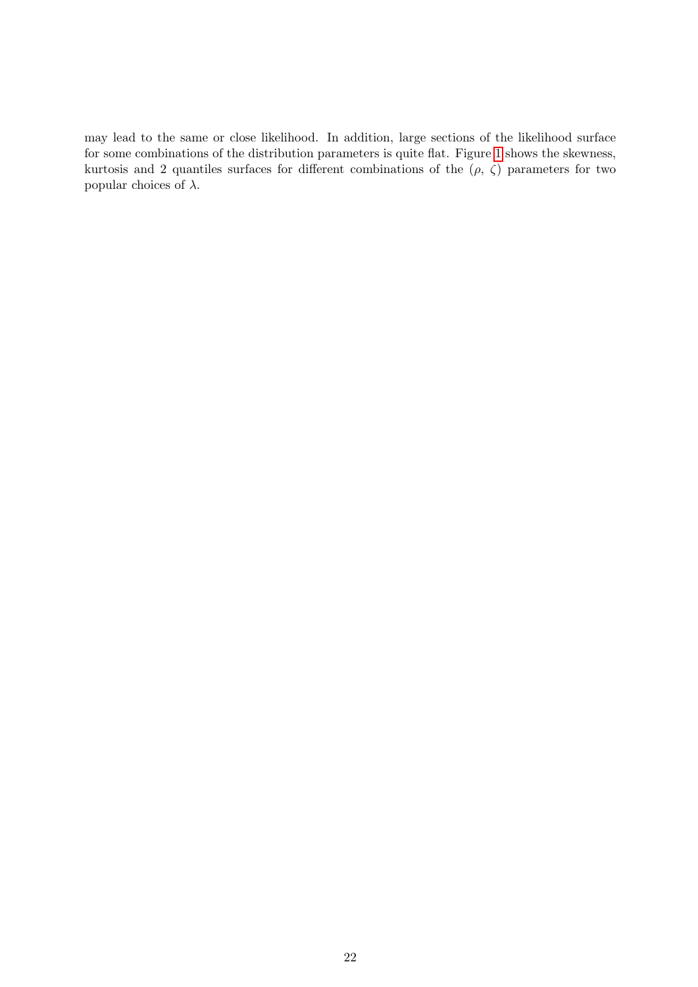may lead to the same or close likelihood. In addition, large sections of the likelihood surface for some combinations of the distribution parameters is quite flat. Figure [1](#page-22-0) shows the skewness, kurtosis and 2 quantiles surfaces for different combinations of the  $(\rho, \zeta)$  parameters for two popular choices of  $λ$ .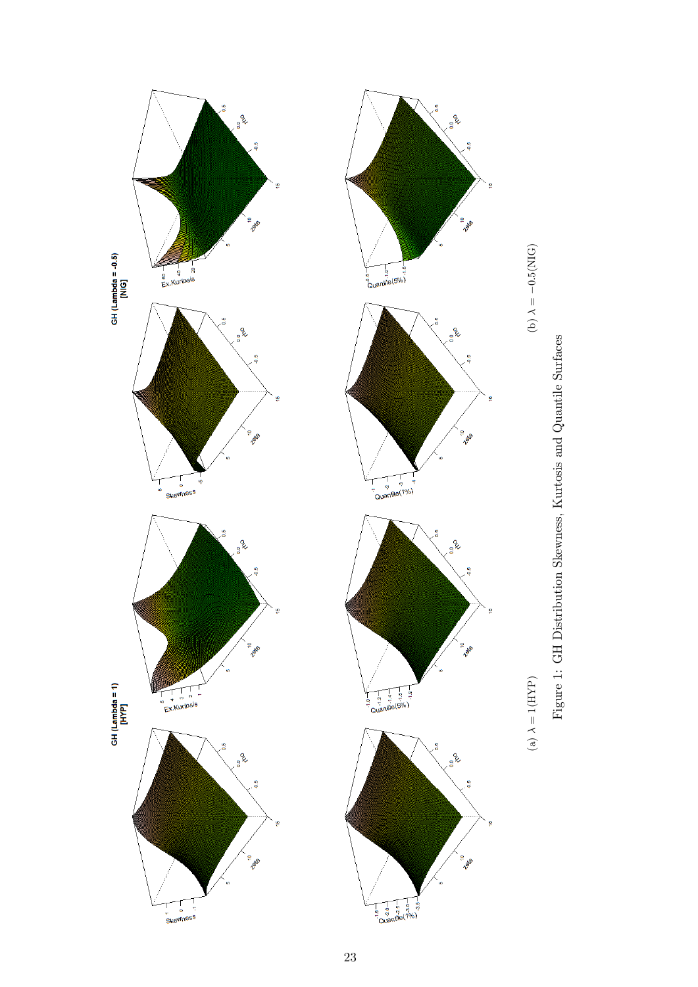<span id="page-22-0"></span>

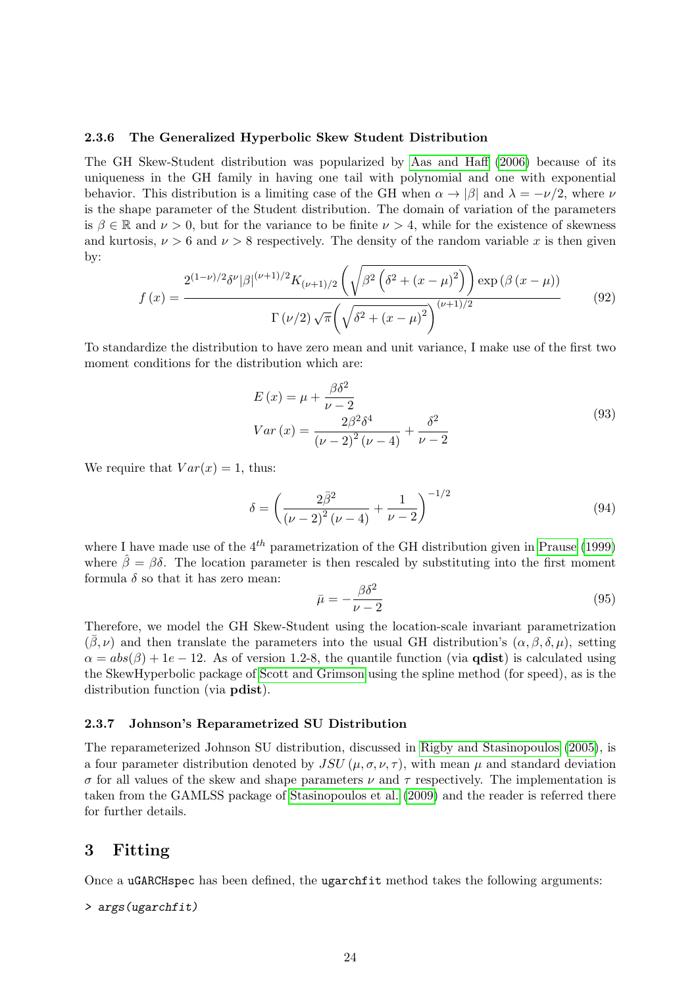#### <span id="page-23-0"></span>2.3.6 The Generalized Hyperbolic Skew Student Distribution

The GH Skew-Student distribution was popularized by [Aas and Haff \(2006\)](#page-47-12) because of its uniqueness in the GH family in having one tail with polynomial and one with exponential behavior. This distribution is a limiting case of the GH when  $\alpha \to |\beta|$  and  $\lambda = -\nu/2$ , where  $\nu$ is the shape parameter of the Student distribution. The domain of variation of the parameters is  $\beta \in \mathbb{R}$  and  $\nu > 0$ , but for the variance to be finite  $\nu > 4$ , while for the existence of skewness and kurtosis,  $\nu > 6$  and  $\nu > 8$  respectively. The density of the random variable x is then given by:

$$
f(x) = \frac{2^{(1-\nu)/2} \delta^{\nu} |\beta|^{(\nu+1)/2} K_{(\nu+1)/2} \left( \sqrt{\beta^2 \left( \delta^2 + (x-\mu)^2 \right)} \right) \exp \left( \beta \left( x - \mu \right) \right)}{\Gamma \left( \nu/2 \right) \sqrt{\pi} \left( \sqrt{\delta^2 + (x-\mu)^2} \right)^{(\nu+1)/2}}
$$
(92)

To standardize the distribution to have zero mean and unit variance, I make use of the first two moment conditions for the distribution which are:

$$
E(x) = \mu + \frac{\beta \delta^2}{\nu - 2}
$$
  
\n
$$
Var(x) = \frac{2\beta^2 \delta^4}{(\nu - 2)^2 (\nu - 4)} + \frac{\delta^2}{\nu - 2}
$$
\n(93)

We require that  $Var(x) = 1$ , thus:

$$
\delta = \left(\frac{2\bar{\beta}^2}{(\nu - 2)^2 (\nu - 4)} + \frac{1}{\nu - 2}\right)^{-1/2} \tag{94}
$$

where I have made use of the  $4^{th}$  parametrization of the GH distribution given in [Prause \(1999\)](#page-49-5) where  $\hat{\beta} = \beta \delta$ . The location parameter is then rescaled by substituting into the first moment formula  $\delta$  so that it has zero mean:

$$
\bar{\mu} = -\frac{\beta \delta^2}{\nu - 2} \tag{95}
$$

Therefore, we model the GH Skew-Student using the location-scale invariant parametrization  $(\beta, \nu)$  and then translate the parameters into the usual GH distribution's  $(\alpha, \beta, \delta, \mu)$ , setting  $\alpha = abs(\beta) + 1e - 12$ . As of version 1.2-8, the quantile function (via **qdist**) is calculated using the SkewHyperbolic package of [Scott and Grimson](#page-49-6) using the spline method (for speed), as is the distribution function (via pdist).

#### <span id="page-23-1"></span>2.3.7 Johnson's Reparametrized SU Distribution

The reparameterized Johnson SU distribution, discussed in [Rigby and Stasinopoulos \(2005\)](#page-49-7), is a four parameter distribution denoted by  $JSU(\mu, \sigma, \nu, \tau)$ , with mean  $\mu$  and standard deviation σ for all values of the skew and shape parameters ν and τ respectively. The implementation is taken from the GAMLSS package of [Stasinopoulos et al. \(2009\)](#page-49-8) and the reader is referred there for further details.

### <span id="page-23-2"></span>3 Fitting

Once a uGARCHspec has been defined, the ugarchfit method takes the following arguments:

```
> args(ugarchfit)
```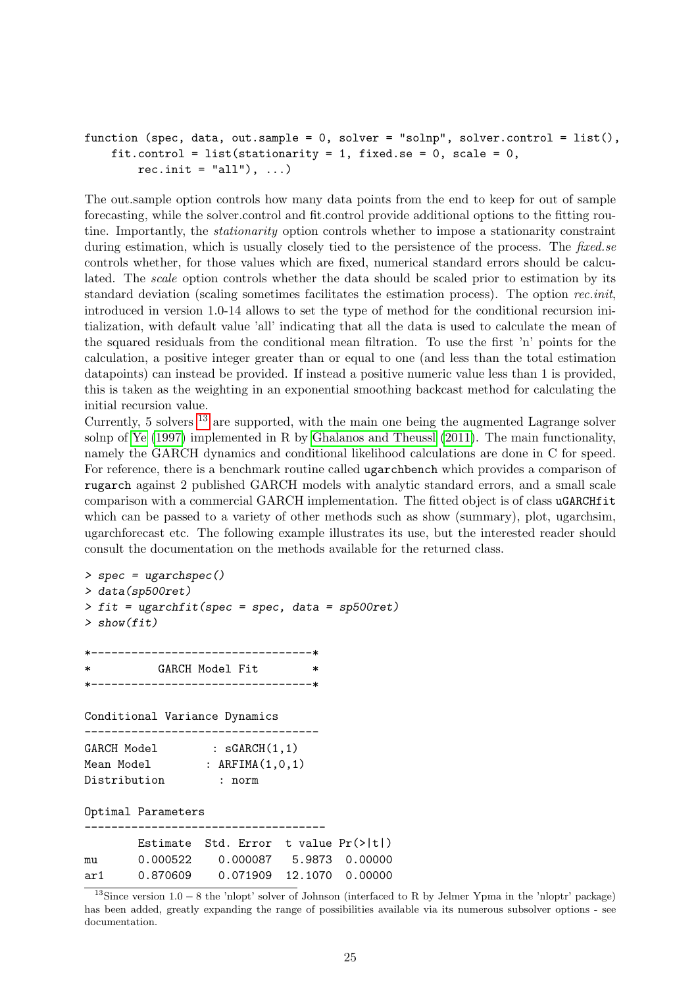```
function (spec, data, out.sample = 0, solver = "solnp", solver.control = list(),
    fit.control = list(stationarity = 1, fixed.se = 0, scale = 0,
        rec.init = "all"), ...
```
The out.sample option controls how many data points from the end to keep for out of sample forecasting, while the solver.control and fit.control provide additional options to the fitting routine. Importantly, the stationarity option controls whether to impose a stationarity constraint during estimation, which is usually closely tied to the persistence of the process. The *fixed.se* controls whether, for those values which are fixed, numerical standard errors should be calculated. The scale option controls whether the data should be scaled prior to estimation by its standard deviation (scaling sometimes facilitates the estimation process). The option rec.init, introduced in version 1.0-14 allows to set the type of method for the conditional recursion initialization, with default value 'all' indicating that all the data is used to calculate the mean of the squared residuals from the conditional mean filtration. To use the first 'n' points for the calculation, a positive integer greater than or equal to one (and less than the total estimation datapoints) can instead be provided. If instead a positive numeric value less than 1 is provided, this is taken as the weighting in an exponential smoothing backcast method for calculating the initial recursion value.

Currently, 5 solvers [13](#page-24-0) are supported, with the main one being the augmented Lagrange solver solnp of [Ye \(1997\)](#page-49-9) implemented in R by [Ghalanos and Theussl \(2011\)](#page-48-11). The main functionality, namely the GARCH dynamics and conditional likelihood calculations are done in C for speed. For reference, there is a benchmark routine called ugarchbench which provides a comparison of rugarch against 2 published GARCH models with analytic standard errors, and a small scale comparison with a commercial GARCH implementation. The fitted object is of class uGARCHfit which can be passed to a variety of other methods such as show (summary), plot, ugarchsim, ugarchforecast etc. The following example illustrates its use, but the interested reader should consult the documentation on the methods available for the returned class.

```
> spec = ugarchspec()
> data(sp500ret)
> fit = ugarchfit(spec = spec, data = sp500ret)
> show(fit)
*---------------------------------*
          GARCH Model Fit
   *---------------------------------*
Conditional Variance Dynamics
-----------------------------------
GARCH Model : sGARCH(1,1)
Mean Model : ARFIMA(1,0,1)
Distribution : norm
Optimal Parameters
       ------------------------------------
       Estimate Std. Error t value Pr(>|t|)
mu 0.000522 0.000087 5.9873 0.00000
ar1 0.870609 0.071909 12.1070 0.00000
```
<span id="page-24-0"></span><sup>13</sup>Since version 1.0 − 8 the 'nlopt' solver of Johnson (interfaced to R by Jelmer Ypma in the 'nloptr' package) has been added, greatly expanding the range of possibilities available via its numerous subsolver options - see documentation.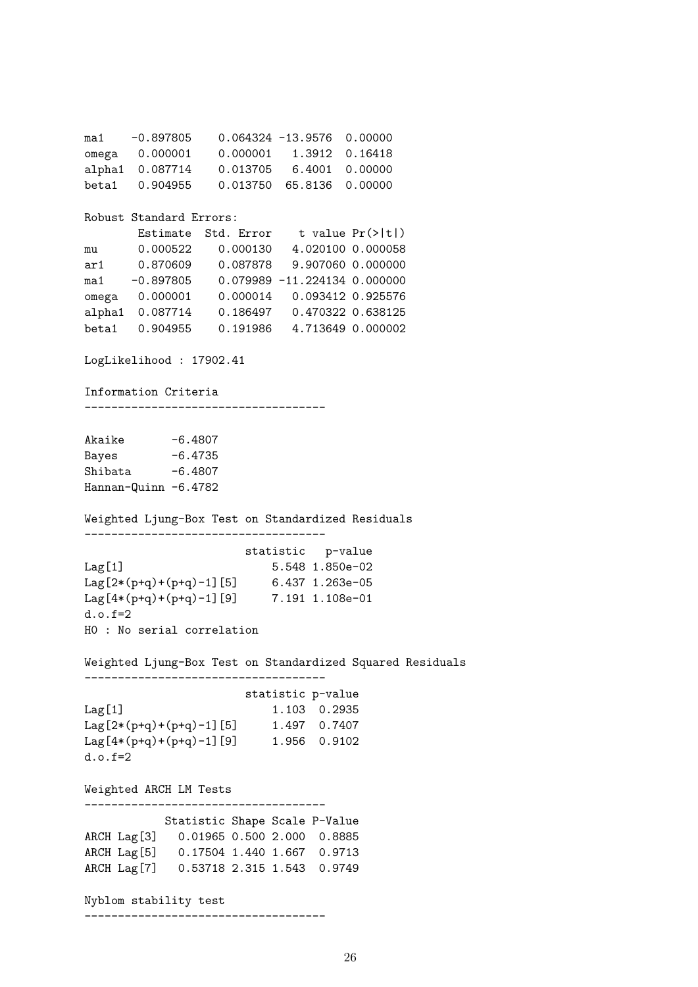ma1 -0.897805 0.064324 -13.9576 0.00000 omega 0.000001 0.000001 1.3912 0.16418 alpha1 0.087714 0.013705 6.4001 0.00000 beta1 0.904955 0.013750 65.8136 0.00000 Robust Standard Errors: Estimate Std. Error t value Pr(>|t|) mu 0.000522 0.000130 4.020100 0.000058 ar1 0.870609 0.087878 9.907060 0.000000 ma1 -0.897805 0.079989 -11.224134 0.000000 omega 0.000001 0.000014 0.093412 0.925576 alpha1 0.087714 0.186497 0.470322 0.638125 beta1 0.904955 0.191986 4.713649 0.000002 LogLikelihood : 17902.41 Information Criteria ------------------------------------ Akaike  $-6.4807$ Bayes -6.4735 Shibata  $-6.4807$ Hannan-Quinn -6.4782 Weighted Ljung-Box Test on Standardized Residuals ----------------------------------- statistic p-value Lag[1] 5.548 1.850e-02 Lag[2\*(p+q)+(p+q)-1][5] 6.437 1.263e-05 Lag[4\*(p+q)+(p+q)-1][9] 7.191 1.108e-01 d.o.f=2 H0 : No serial correlation Weighted Ljung-Box Test on Standardized Squared Residuals ----------------------------------- statistic p-value Lag[1] 1.103 0.2935 Lag[2\*(p+q)+(p+q)-1][5] 1.497 0.7407 Lag[4\*(p+q)+(p+q)-1][9] 1.956 0.9102  $d.o.f = 2$ Weighted ARCH LM Tests ------------------------------------ Statistic Shape Scale P-Value ARCH Lag[3] 0.01965 0.500 2.000 0.8885 ARCH Lag[5] 0.17504 1.440 1.667 0.9713 ARCH Lag[7] 0.53718 2.315 1.543 0.9749 Nyblom stability test ------------------------------------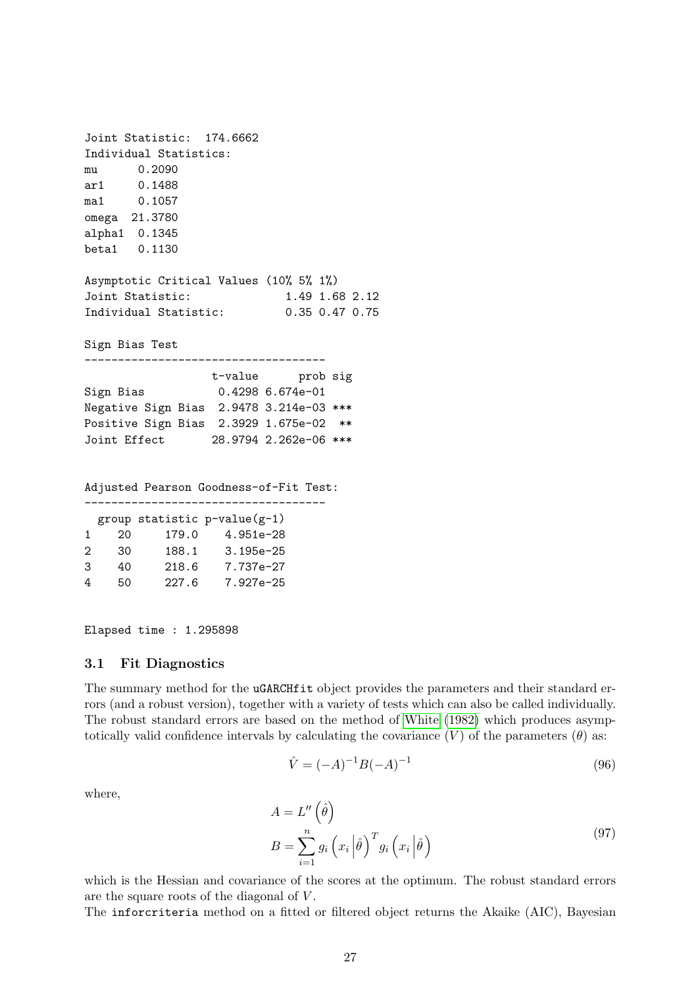Joint Statistic: 174.6662 Individual Statistics: mu 0.2090 ar1 0.1488 ma1 0.1057 omega 21.3780 alpha1 0.1345 beta1 0.1130 Asymptotic Critical Values (10% 5% 1%) Joint Statistic: 1.49 1.68 2.12 Individual Statistic: 0.35 0.47 0.75 Sign Bias Test ----------------------------------- t-value prob sig Sign Bias 0.4298 6.674e-01 Negative Sign Bias 2.9478 3.214e-03 \*\*\* Positive Sign Bias 2.3929 1.675e-02 \*\* Joint Effect 28.9794 2.262e-06 \*\*\* Adjusted Pearson Goodness-of-Fit Test: ------------------------------------

| 20 | 179.0 | 4.951e-28                      |
|----|-------|--------------------------------|
| 30 | 188.1 | $3.195e - 25$                  |
| 40 | 218.6 | 7.737e-27                      |
| 50 | 227.6 | 7.927e-25                      |
|    |       | group statistic $p-value(g-1)$ |

Elapsed time : 1.295898

#### <span id="page-26-0"></span>3.1 Fit Diagnostics

The summary method for the uGARCHfit object provides the parameters and their standard errors (and a robust version), together with a variety of tests which can also be called individually. The robust standard errors are based on the method of [White \(1982\)](#page-49-10) which produces asymptotically valid confidence intervals by calculating the covariance  $(V)$  of the parameters  $(\theta)$  as:

$$
\hat{V} = (-A)^{-1}B(-A)^{-1}
$$
\n(96)

where,

$$
A = L''\left(\hat{\theta}\right)
$$
  
\n
$$
B = \sum_{i=1}^{n} g_i\left(x_i \left|\hat{\theta}\right.\right)^T g_i\left(x_i \left|\hat{\theta}\right.\right)
$$
\n(97)

which is the Hessian and covariance of the scores at the optimum. The robust standard errors are the square roots of the diagonal of V .

The inforcriteria method on a fitted or filtered object returns the Akaike (AIC), Bayesian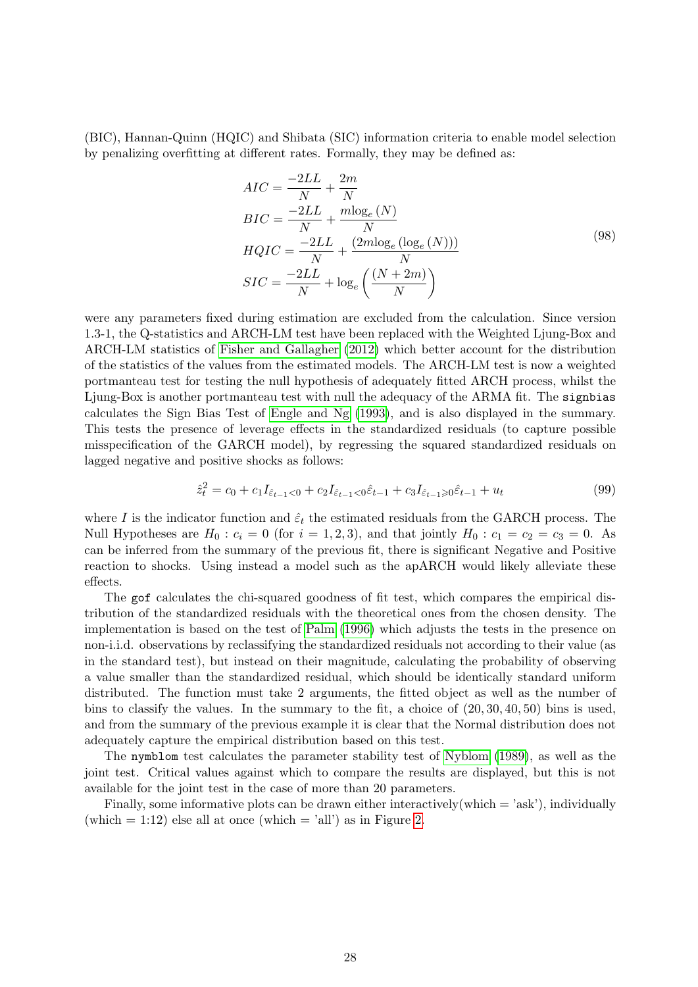(BIC), Hannan-Quinn (HQIC) and Shibata (SIC) information criteria to enable model selection by penalizing overfitting at different rates. Formally, they may be defined as:

$$
AIC = \frac{-2LL}{N} + \frac{2m}{N}
$$
  
\n
$$
BIC = \frac{-2LL}{N} + \frac{m \log_e(N)}{N}
$$
  
\n
$$
HQIC = \frac{-2LL}{N} + \frac{(2m \log_e(\log_e(N)))}{N}
$$
  
\n
$$
SIC = \frac{-2LL}{N} + \log_e\left(\frac{(N+2m)}{N}\right)
$$
\n(98)

were any parameters fixed during estimation are excluded from the calculation. Since version 1.3-1, the Q-statistics and ARCH-LM test have been replaced with the Weighted Ljung-Box and ARCH-LM statistics of [Fisher and Gallagher \(2012\)](#page-48-12) which better account for the distribution of the statistics of the values from the estimated models. The ARCH-LM test is now a weighted portmanteau test for testing the null hypothesis of adequately fitted ARCH process, whilst the Ljung-Box is another portmanteau test with null the adequacy of the ARMA fit. The signbias calculates the Sign Bias Test of [Engle and Ng \(1993\)](#page-47-6), and is also displayed in the summary. This tests the presence of leverage effects in the standardized residuals (to capture possible misspecification of the GARCH model), by regressing the squared standardized residuals on lagged negative and positive shocks as follows:

$$
\hat{z}_t^2 = c_0 + c_1 I_{\hat{\varepsilon}_{t-1} < 0} + c_2 I_{\hat{\varepsilon}_{t-1} < 0} \hat{\varepsilon}_{t-1} + c_3 I_{\hat{\varepsilon}_{t-1} \geq 0} \hat{\varepsilon}_{t-1} + u_t \tag{99}
$$

where I is the indicator function and  $\hat{\varepsilon}_t$  the estimated residuals from the GARCH process. The Null Hypotheses are  $H_0: c_i = 0$  (for  $i = 1, 2, 3$ ), and that jointly  $H_0: c_1 = c_2 = c_3 = 0$ . As can be inferred from the summary of the previous fit, there is significant Negative and Positive reaction to shocks. Using instead a model such as the apARCH would likely alleviate these effects.

The gof calculates the chi-squared goodness of fit test, which compares the empirical distribution of the standardized residuals with the theoretical ones from the chosen density. The implementation is based on the test of [Palm \(1996\)](#page-49-11) which adjusts the tests in the presence on non-i.i.d. observations by reclassifying the standardized residuals not according to their value (as in the standard test), but instead on their magnitude, calculating the probability of observing a value smaller than the standardized residual, which should be identically standard uniform distributed. The function must take 2 arguments, the fitted object as well as the number of bins to classify the values. In the summary to the fit, a choice of (20, 30, 40, 50) bins is used, and from the summary of the previous example it is clear that the Normal distribution does not adequately capture the empirical distribution based on this test.

The nymblom test calculates the parameter stability test of [Nyblom \(1989\)](#page-49-12), as well as the joint test. Critical values against which to compare the results are displayed, but this is not available for the joint test in the case of more than 20 parameters.

Finally, some informative plots can be drawn either interactively (which  $=$  'ask'), individually (which  $= 1:12$ ) else all at once (which  $=$  'all') as in Figure [2.](#page-28-0)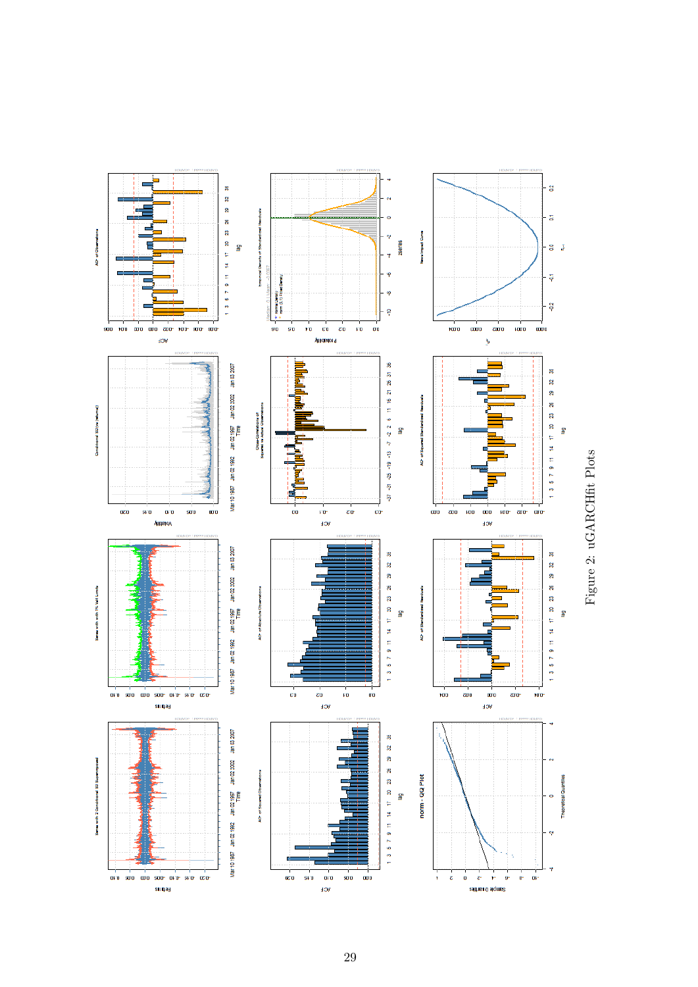<span id="page-28-0"></span>

Figure 2: uGARCHfit Plots Figure 2: uGARCHfit Plots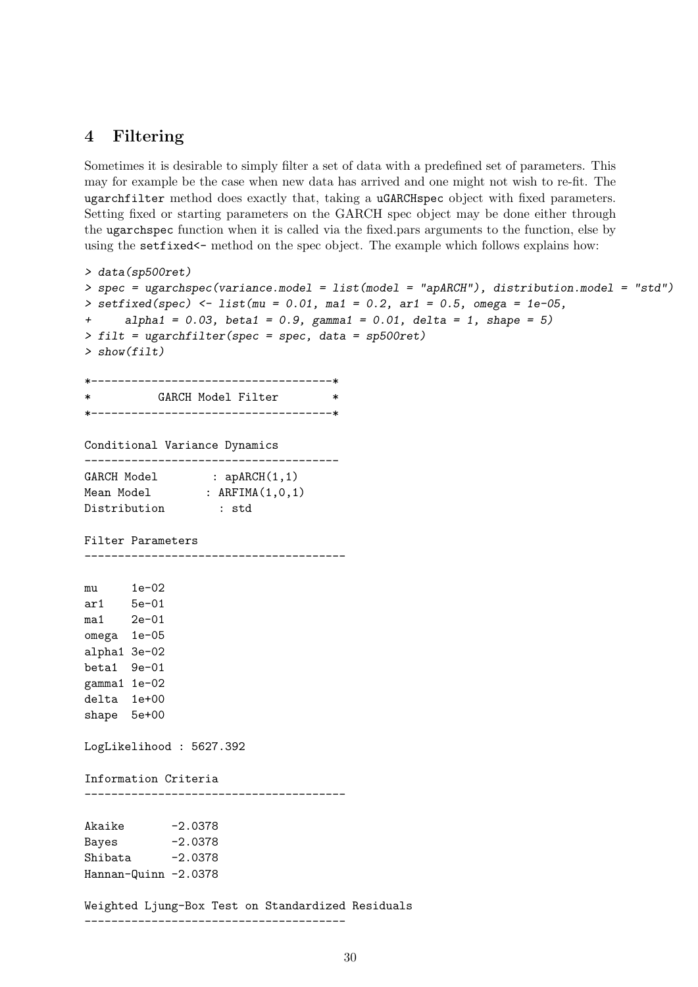# <span id="page-29-0"></span>4 Filtering

Sometimes it is desirable to simply filter a set of data with a predefined set of parameters. This may for example be the case when new data has arrived and one might not wish to re-fit. The ugarchfilter method does exactly that, taking a uGARCHspec object with fixed parameters. Setting fixed or starting parameters on the GARCH spec object may be done either through the ugarchspec function when it is called via the fixed.pars arguments to the function, else by using the setfixed  $\epsilon$ - method on the spec object. The example which follows explains how:

```
> data(sp500ret)
> spec = ugarchspec(variance.model = list(model = "apARCH"), distribution.model = "std")
> setfixed(spec) <- list(mu = 0.01, ma1 = 0.2, ar1 = 0.5, omega = 1e-05,
+ alpha1 = 0.03, beta1 = 0.9, gamma1 = 0.01, delta = 1, shape = 5)
> filt = ugarchfilter(spec = spec, data = sp500ret)
> show(filt)
*------------------------------------*
          GARCH Model Filter **------------------------------------*
Conditional Variance Dynamics
--------------------------------------
GARCH Model : apARCH(1,1)<br>Mean Model : ARFIMA(1,0,1)
                : ARFIMA(1,0,1)Distribution : std
Filter Parameters
---------------------------------------
mu 1e-02
ar1 5e-01
ma1 2e-01
omega 1e-05
alpha1 3e-02
beta1 9e-01
gamma1 1e-02
delta 1e+00
shape 5e+00
LogLikelihood : 5627.392
Information Criteria
---------------------------------------
Akaike -2.0378Bayes -2.0378
Shibata -2.0378Hannan-Quinn -2.0378
Weighted Ljung-Box Test on Standardized Residuals
---------------------------------------
```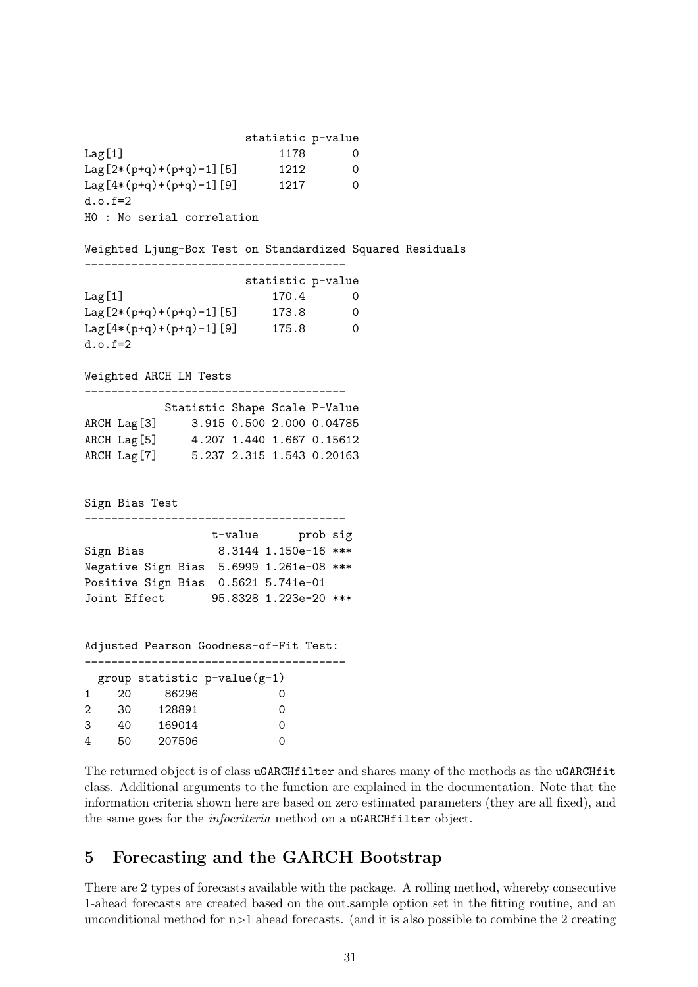statistic p-value Lag[1] 1178 0 Lag $[2*(p+q)+(p+q)-1]$ [5] 1212 0 Lag $[4*(p+q)+(p+q)-1]$ [9] 1217 0  $d.0. f=2$ H0 : No serial correlation Weighted Ljung-Box Test on Standardized Squared Residuals -------------------------------------- statistic p-value Lag[1] 170.4 0 Lag $[2*(p+q)+(p+q)-1]$ [5] 173.8 0  $Lag[4*(p+q)+(p+q)-1][9]$  175.8 0 d.o.f=2 Weighted ARCH LM Tests --------------------------------------- Statistic Shape Scale P-Value ARCH Lag[3] 3.915 0.500 2.000 0.04785 ARCH Lag[5] 4.207 1.440 1.667 0.15612 ARCH Lag[7] 5.237 2.315 1.543 0.20163 Sign Bias Test -------------------------------------- t-value prob sig Sign Bias 8.3144 1.150e-16 \*\*\* Negative Sign Bias 5.6999 1.261e-08 \*\*\* Positive Sign Bias 0.5621 5.741e-01 Joint Effect 95.8328 1.223e-20 \*\*\* Adjusted Pearson Goodness-of-Fit Test: -------------------------------------- group statistic p-value(g-1) 1 20 86296 0 2 30 128891 0 3 40 169014 0 4 50 207506 0

The returned object is of class uGARCHfilter and shares many of the methods as the uGARCHfit class. Additional arguments to the function are explained in the documentation. Note that the information criteria shown here are based on zero estimated parameters (they are all fixed), and the same goes for the *infocriteria* method on a **uGARCHfilter** object.

# <span id="page-30-0"></span>5 Forecasting and the GARCH Bootstrap

There are 2 types of forecasts available with the package. A rolling method, whereby consecutive 1-ahead forecasts are created based on the out.sample option set in the fitting routine, and an unconditional method for  $n>1$  ahead forecasts. (and it is also possible to combine the 2 creating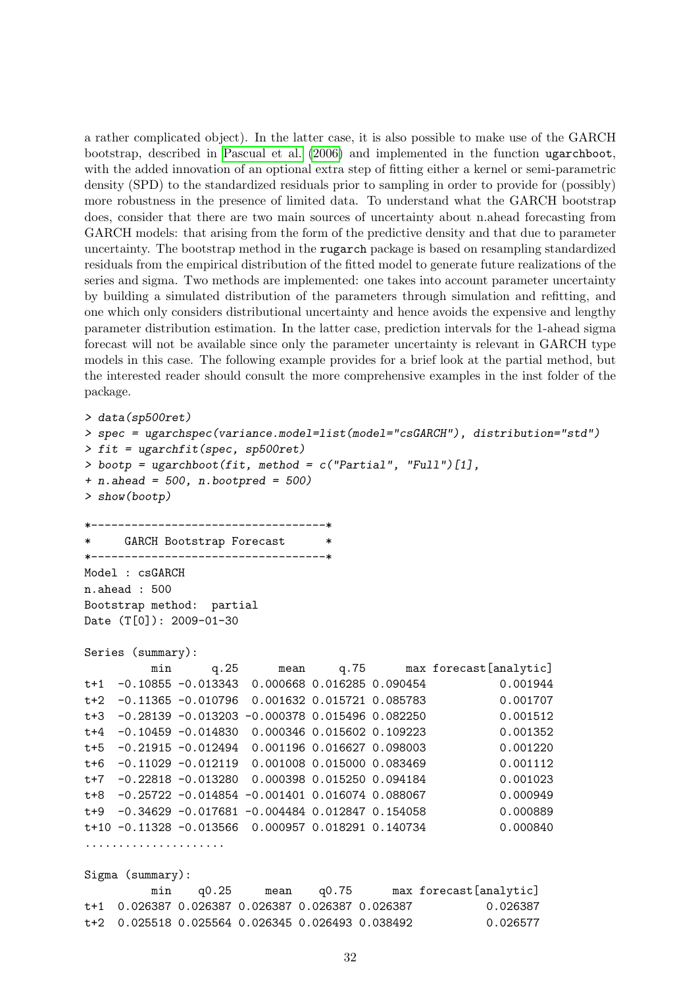a rather complicated object). In the latter case, it is also possible to make use of the GARCH bootstrap, described in [Pascual et al. \(2006\)](#page-49-13) and implemented in the function ugarchboot, with the added innovation of an optional extra step of fitting either a kernel or semi-parametric density (SPD) to the standardized residuals prior to sampling in order to provide for (possibly) more robustness in the presence of limited data. To understand what the GARCH bootstrap does, consider that there are two main sources of uncertainty about n.ahead forecasting from GARCH models: that arising from the form of the predictive density and that due to parameter uncertainty. The bootstrap method in the rugarch package is based on resampling standardized residuals from the empirical distribution of the fitted model to generate future realizations of the series and sigma. Two methods are implemented: one takes into account parameter uncertainty by building a simulated distribution of the parameters through simulation and refitting, and one which only considers distributional uncertainty and hence avoids the expensive and lengthy parameter distribution estimation. In the latter case, prediction intervals for the 1-ahead sigma forecast will not be available since only the parameter uncertainty is relevant in GARCH type models in this case. The following example provides for a brief look at the partial method, but the interested reader should consult the more comprehensive examples in the inst folder of the package.

```
> data(sp500ret)
```

```
> spec = ugarchspec(variance.model=list(model="csGARCH"), distribution="std")
> fit = ugarchfit(spec, sp500ret)
> bootp = ugarchboot(fit, method = c("Partial", "Full")[1],
+ n.ahead = 500, n.bootpred = 500)
> show(bootp)
*-----------------------------------*
     GARCH Bootstrap Forecast
*-----------------------------------*
Model : csGARCH
n.ahead : 500
Bootstrap method: partial
Date (T[0]): 2009-01-30
Series (summary):
         min q.25 mean q.75 max forecast[analytic]
t+1 -0.10855 -0.013343 0.000668 0.016285 0.090454 0.001944
t+2 -0.11365 -0.010796 0.001632 0.015721 0.085783 0.001707
t+3 -0.28139 -0.013203 -0.000378 0.015496 0.082250 0.001512
t+4 -0.10459 -0.014830 0.000346 0.015602 0.109223 0.001352
t+5 -0.21915 -0.012494 0.001196 0.016627 0.098003 0.001220
t+6 -0.11029 -0.012119 0.001008 0.015000 0.083469 0.001112
t+7 -0.22818 -0.013280 0.000398 0.015250 0.094184 0.001023
t+8 -0.25722 -0.014854 -0.001401 0.016074 0.088067 0.000949
t+9 -0.34629 -0.017681 -0.004484 0.012847 0.154058 0.000889
t+10 -0.11328 -0.013566 0.000957 0.018291 0.140734 0.000840
.....................
```
Sigma (summary): min q0.25 mean q0.75 max forecast[analytic] t+1 0.026387 0.026387 0.026387 0.026387 0.026387 0.026387 t+2 0.025518 0.025564 0.026345 0.026493 0.038492 0.026577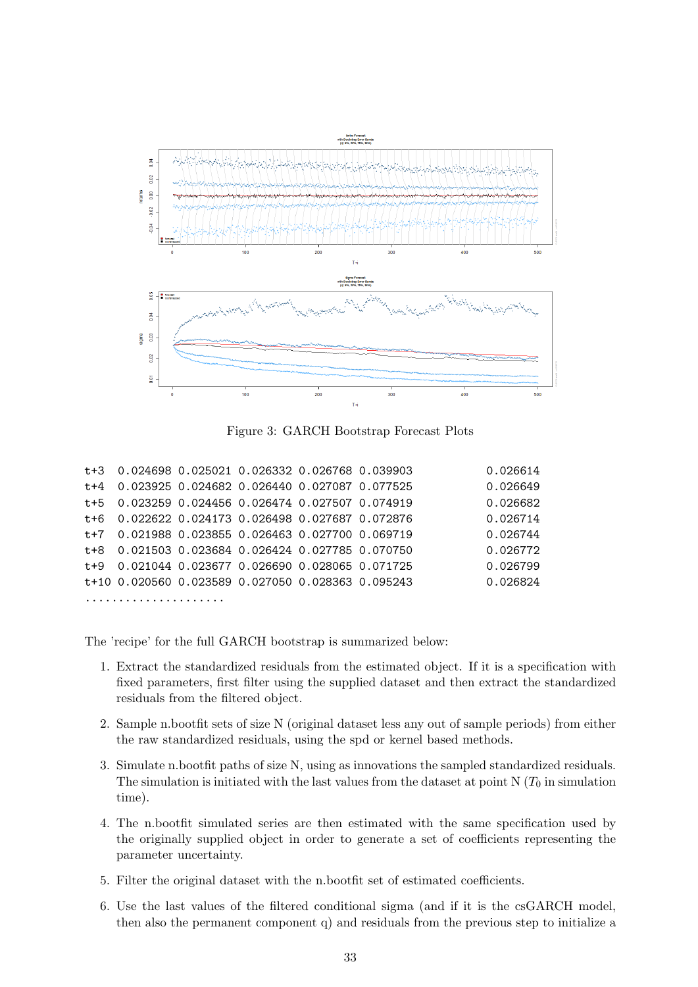

Figure 3: GARCH Bootstrap Forecast Plots

|  | t+3 0.024698 0.025021 0.026332 0.026768 0.039903  |  | 0.026614 |
|--|---------------------------------------------------|--|----------|
|  | t+4 0.023925 0.024682 0.026440 0.027087 0.077525  |  | 0.026649 |
|  | t+5 0.023259 0.024456 0.026474 0.027507 0.074919  |  | 0.026682 |
|  | t+6 0.022622 0.024173 0.026498 0.027687 0.072876  |  | 0.026714 |
|  | t+7 0.021988 0.023855 0.026463 0.027700 0.069719  |  | 0.026744 |
|  | t+8 0.021503 0.023684 0.026424 0.027785 0.070750  |  | 0.026772 |
|  | t+9 0.021044 0.023677 0.026690 0.028065 0.071725  |  | 0.026799 |
|  | t+10 0.020560 0.023589 0.027050 0.028363 0.095243 |  | 0.026824 |
|  |                                                   |  |          |

The 'recipe' for the full GARCH bootstrap is summarized below:

- 1. Extract the standardized residuals from the estimated object. If it is a specification with fixed parameters, first filter using the supplied dataset and then extract the standardized residuals from the filtered object.
- 2. Sample n.bootfit sets of size N (original dataset less any out of sample periods) from either the raw standardized residuals, using the spd or kernel based methods.
- 3. Simulate n.bootfit paths of size N, using as innovations the sampled standardized residuals. The simulation is initiated with the last values from the dataset at point N  $(T_0$  in simulation time).
- 4. The n.bootfit simulated series are then estimated with the same specification used by the originally supplied object in order to generate a set of coefficients representing the parameter uncertainty.
- 5. Filter the original dataset with the n.bootfit set of estimated coefficients.
- 6. Use the last values of the filtered conditional sigma (and if it is the csGARCH model, then also the permanent component q) and residuals from the previous step to initialize a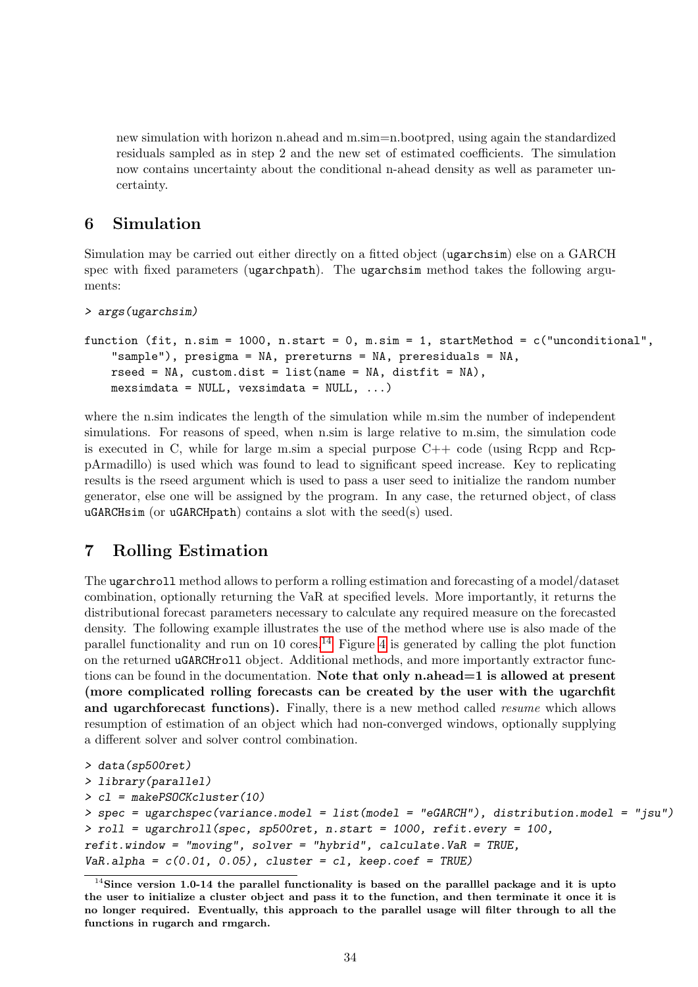new simulation with horizon n.ahead and m.sim=n.bootpred, using again the standardized residuals sampled as in step 2 and the new set of estimated coefficients. The simulation now contains uncertainty about the conditional n-ahead density as well as parameter uncertainty.

# <span id="page-33-0"></span>6 Simulation

Simulation may be carried out either directly on a fitted object (ugarchsim) else on a GARCH spec with fixed parameters (ugarchpath). The ugarchsim method takes the following arguments:

```
> args(ugarchsim)
```

```
function (fit, n.sim = 1000, n.start = 0, m.sim = 1, startMethod = c("unconditional",
    "sample"), presigma = NA, prereturns = NA, preresiduals = NA,
    rseed = NA, custom.dist = list(name = NA, distfit = NA),
    mexsimdata = NULL, vexsimdata = NULL, \ldots)
```
where the n.sim indicates the length of the simulation while m.sim the number of independent simulations. For reasons of speed, when n.sim is large relative to m.sim, the simulation code is executed in C, while for large m.sim a special purpose  $C++$  code (using Rcpp and RcppArmadillo) is used which was found to lead to significant speed increase. Key to replicating results is the rseed argument which is used to pass a user seed to initialize the random number generator, else one will be assigned by the program. In any case, the returned object, of class uGARCHsim (or uGARCHpath) contains a slot with the seed(s) used.

# <span id="page-33-1"></span>7 Rolling Estimation

The ugarchroll method allows to perform a rolling estimation and forecasting of a model/dataset combination, optionally returning the VaR at specified levels. More importantly, it returns the distributional forecast parameters necessary to calculate any required measure on the forecasted density. The following example illustrates the use of the method where use is also made of the parallel functionality and run on 10 cores.<sup>[14](#page-33-2)</sup> Figure [4](#page-35-0) is generated by calling the plot function on the returned uGARCHroll object. Additional methods, and more importantly extractor functions can be found in the documentation. Note that only n.ahead  $=1$  is allowed at present (more complicated rolling forecasts can be created by the user with the ugarchfit and ugarchforecast functions). Finally, there is a new method called *resume* which allows resumption of estimation of an object which had non-converged windows, optionally supplying a different solver and solver control combination.

```
> data(sp500ret)
> library(parallel)
> cl = makePSOCKcluster(10)
> spec = ugarchspec(variance.model = list(model = "eGARCH"), distribution.model = "jsu")
> roll = ugarchroll(spec, sp500ret, n.start = 1000, refit.every = 100,
refit.window = "moving", solver = "hybrid", calculate.VaR = TRUE,VaR.a1pha = c(0.01, 0.05), cluster = cl, keep.coef = TRUE)
```
<span id="page-33-2"></span> $14$ Since version 1.0-14 the parallel functionality is based on the parallel package and it is upto the user to initialize a cluster object and pass it to the function, and then terminate it once it is no longer required. Eventually, this approach to the parallel usage will filter through to all the functions in rugarch and rmgarch.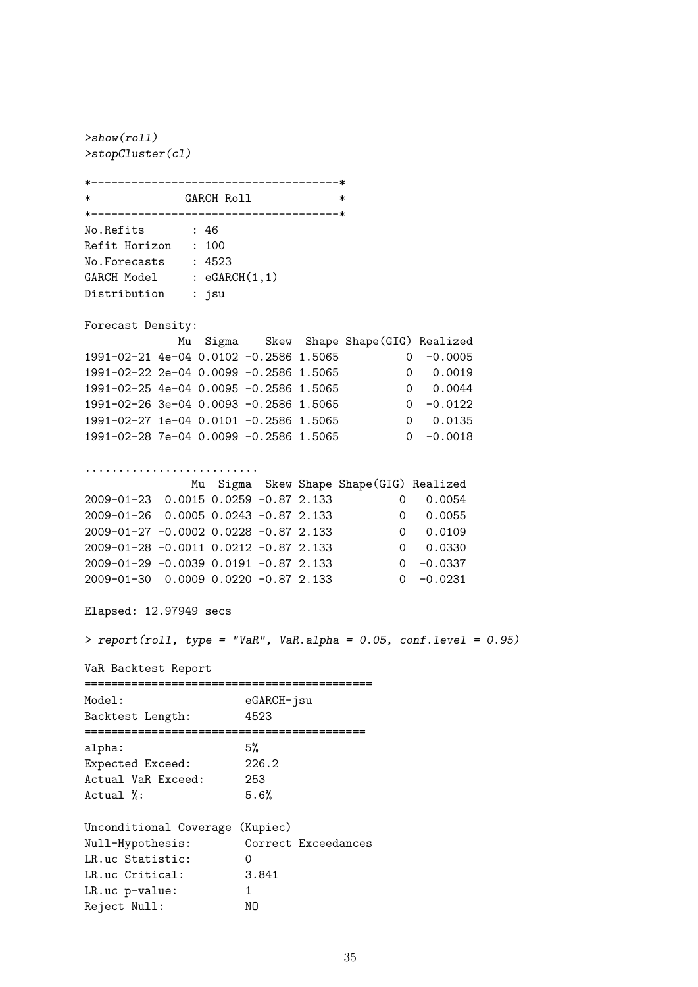>show(roll) >stopCluster(cl) \*-------------------------------------\* GARCH Roll  $*$ \*-------------------------------------\* No.Refits : 46 Refit Horizon : 100 No.Forecasts : 4523 GARCH Model : eGARCH(1,1) Distribution : jsu Forecast Density: Mu Sigma Skew Shape Shape(GIG) Realized 1991-02-21 4e-04 0.0102 -0.2586 1.5065 0 -0.0005 1991-02-22 2e-04 0.0099 -0.2586 1.5065 0 0.0019 1991-02-25 4e-04 0.0095 -0.2586 1.5065 0 0.0044 1991-02-25 4e-04 0.0095 -0.2586 1.5065 0 0.0044<br>1991-02-26 3e-04 0.0093 -0.2586 1.5065 0 -0.0122<br>1991-02-27 1e-04 0.0101 -0.2586 1.5065 0 0.0135 1991-02-27 1e-04 0.0101 -0.2586 1.5065 0 0.0135 1991-02-28 7e-04 0.0099 -0.2586 1.5065 0 -0.0018 .......................... Mu Sigma Skew Shape Shape(GIG) Realized 2009-01-23 0.0015 0.0259 -0.87 2.133 0 0.0054<br>2009-01-26 0.0005 0.0243 -0.87 2.133 0 0.0055<br>2009-01-27 -0.0002 0.0228 -0.87 2.133 0 0.0109 2009-01-26 0.0005 0.0243 -0.87 2.133 2009-01-27 -0.0002 0.0228 -0.87 2.133 2009-01-28 -0.0011 0.0212 -0.87 2.133 0 0.0330 2009-01-29 -0.0039 0.0191 -0.87 2.133 0 -0.0337 2009-01-30 0.0009 0.0220 -0.87 2.133 0 -0.0231 Elapsed: 12.97949 secs >  $report(roll, type = "VaR", VaR.alpha = 0.05, conf.level = 0.95)$ VaR Backtest Report =========================================== Model: eGARCH-jsu Backtest Length: 4523 ========================================== alpha: 5%<br>Expected Exceed: 226.2 Expected Exceed: 226.2 Actual VaR Exceed: 253 Actual %: 5.6% Unconditional Coverage (Kupiec) Null-Hypothesis: Correct Exceedances LR.uc Statistic: 0 LR.uc Critical: 3.841 LR.uc p-value: 1

Reject Null: NO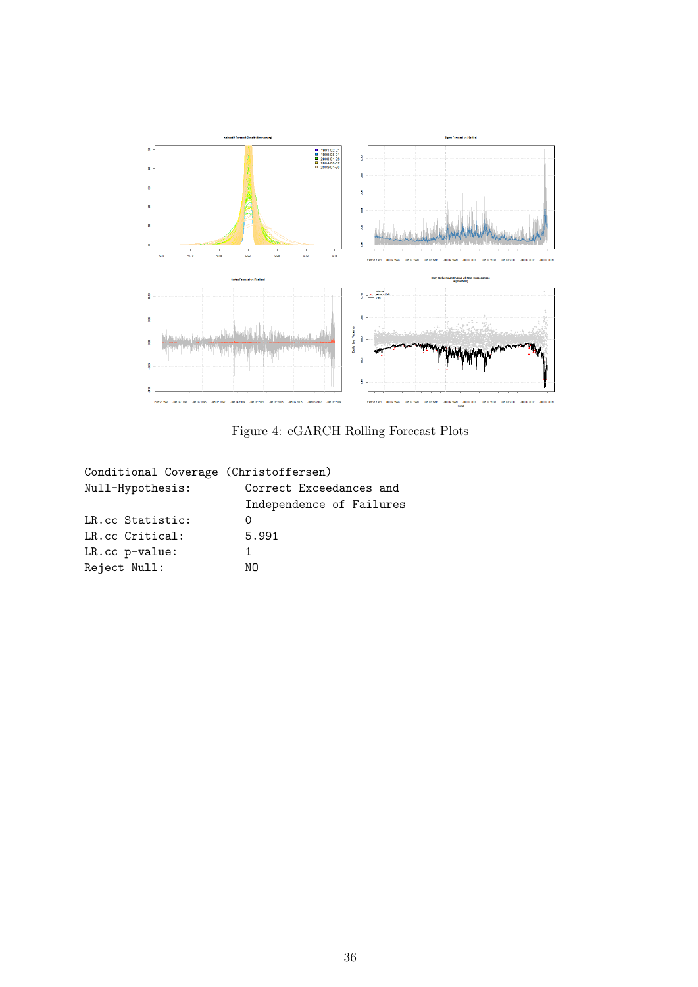<span id="page-35-0"></span>

Figure 4: eGARCH Rolling Forecast Plots

| Conditional Coverage (Christoffersen) |                          |
|---------------------------------------|--------------------------|
| Null-Hypothesis:                      | Correct Exceedances and  |
|                                       | Independence of Failures |
| LR.cc Statistic:                      | $\mathcal{L}$            |
| LR.cc Critical:                       | 5.991                    |
| LR.cc p-value:                        | 1                        |
| Reject Null:                          | NΩ                       |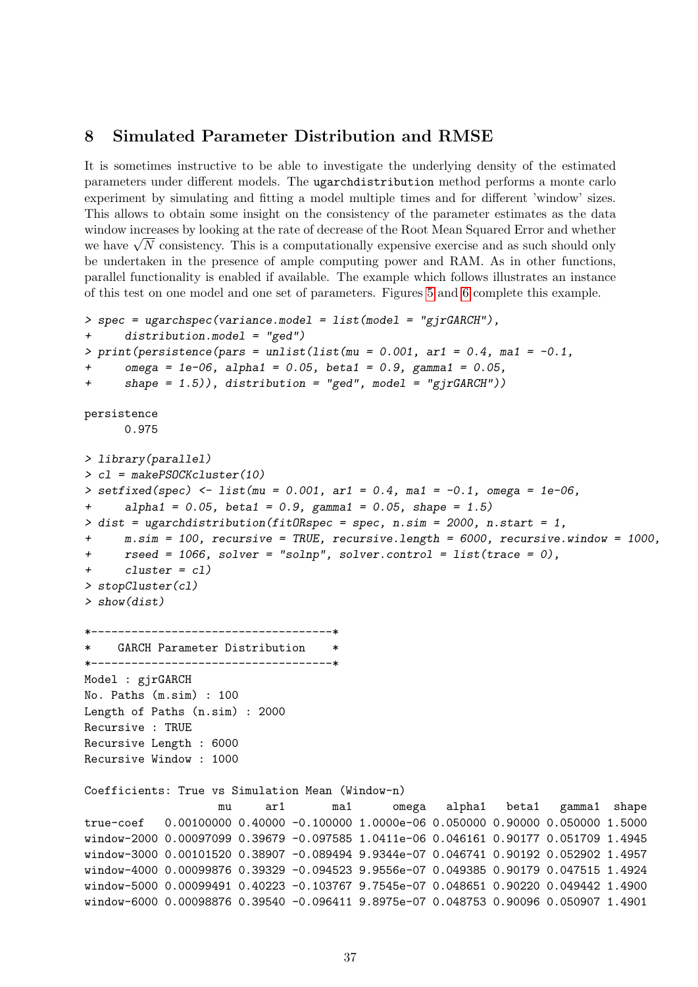### <span id="page-36-0"></span>8 Simulated Parameter Distribution and RMSE

It is sometimes instructive to be able to investigate the underlying density of the estimated parameters under different models. The ugarchdistribution method performs a monte carlo experiment by simulating and fitting a model multiple times and for different 'window' sizes. This allows to obtain some insight on the consistency of the parameter estimates as the data window increases by looking at the rate of decrease of the Root Mean Squared Error and whether window increases by looking at the rate of decrease of the Koot Mean Squared Error and whether<br>we have  $\sqrt{N}$  consistency. This is a computationally expensive exercise and as such should only be undertaken in the presence of ample computing power and RAM. As in other functions, parallel functionality is enabled if available. The example which follows illustrates an instance of this test on one model and one set of parameters. Figures [5](#page-37-0) and [6](#page-38-0) complete this example.

```
> spec = ugarchspec(variance.model = list(model = "gjrGARCH"),
+ distribution.model = "ged")
> print(persistence(pars = unlist(list(mu = 0.001, ar1 = 0.4, ma1 = -0.1,
      omega = 1e-06, alpha1 = 0.05, beta1 = 0.9, gamma1 = 0.05,
+ shape = 1.5)), distribution = "ged", model = "gjrGARCH"))
persistence
      0.975
> library(parallel)
> cl = makePSOCKcluster(10)
> setfixed(spec) <- list(mu = 0.001, ar1 = 0.4, ma1 = -0.1, omega = 1e-06,
+ alpha1 = 0.05, beta1 = 0.9, gamma1 = 0.05, shape = 1.5)
> dist = ugarchdistribution(fitORspec = spec, n.sim = 2000, n.start = 1,
      m.\sin = 100, recursive = TRUE, recursive.length = 6000, recursive.window = 1000,
+ rseed = 1066, solver = "solnp", solver.control = list(trace = 0),
+ cluster = cl)
> stopCluster(cl)
> show(dist)
*------------------------------------*
    GARCH Parameter Distribution
    *------------------------------------*
Model : gjrGARCH
No. Paths (m.sim) : 100
Length of Paths (n.sim) : 2000
Recursive : TRUE
Recursive Length : 6000
Recursive Window : 1000
Coefficients: True vs Simulation Mean (Window-n)
                   mu ar1 ma1 omega alpha1 beta1 gamma1 shape
true-coef 0.00100000 0.40000 -0.100000 1.0000e-06 0.050000 0.90000 0.050000 1.5000
window-2000 0.00097099 0.39679 -0.097585 1.0411e-06 0.046161 0.90177 0.051709 1.4945
window-3000 0.00101520 0.38907 -0.089494 9.9344e-07 0.046741 0.90192 0.052902 1.4957
window-4000 0.00099876 0.39329 -0.094523 9.9556e-07 0.049385 0.90179 0.047515 1.4924
window-5000 0.00099491 0.40223 -0.103767 9.7545e-07 0.048651 0.90220 0.049442 1.4900
window-6000 0.00098876 0.39540 -0.096411 9.8975e-07 0.048753 0.90096 0.050907 1.4901
```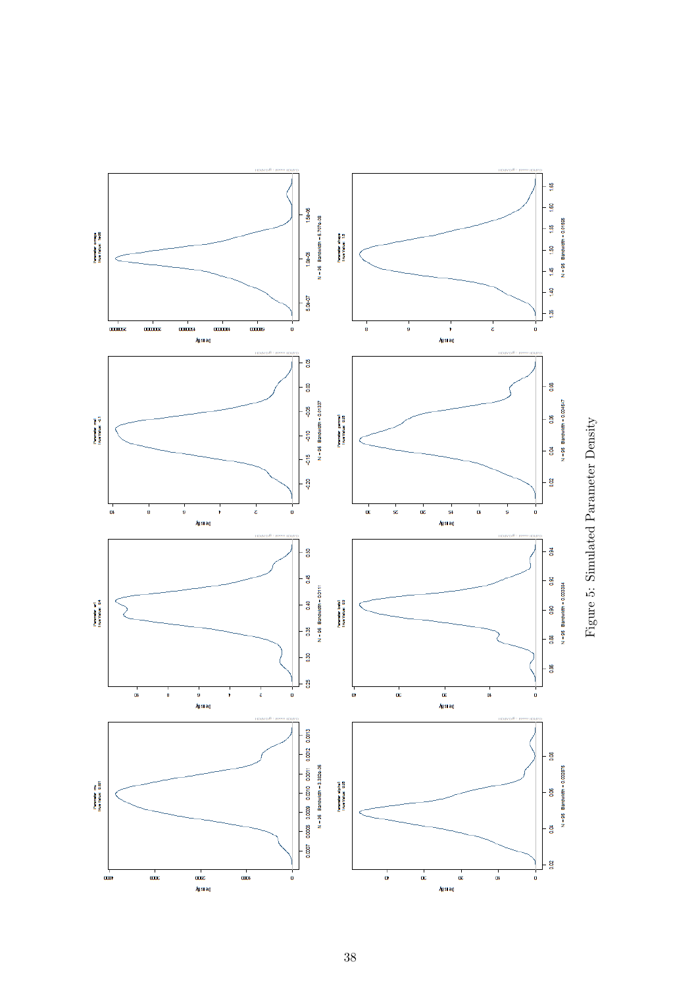

<span id="page-37-0"></span>Figure 5: Simulated Parameter Density Figure 5: Simulated Parameter Density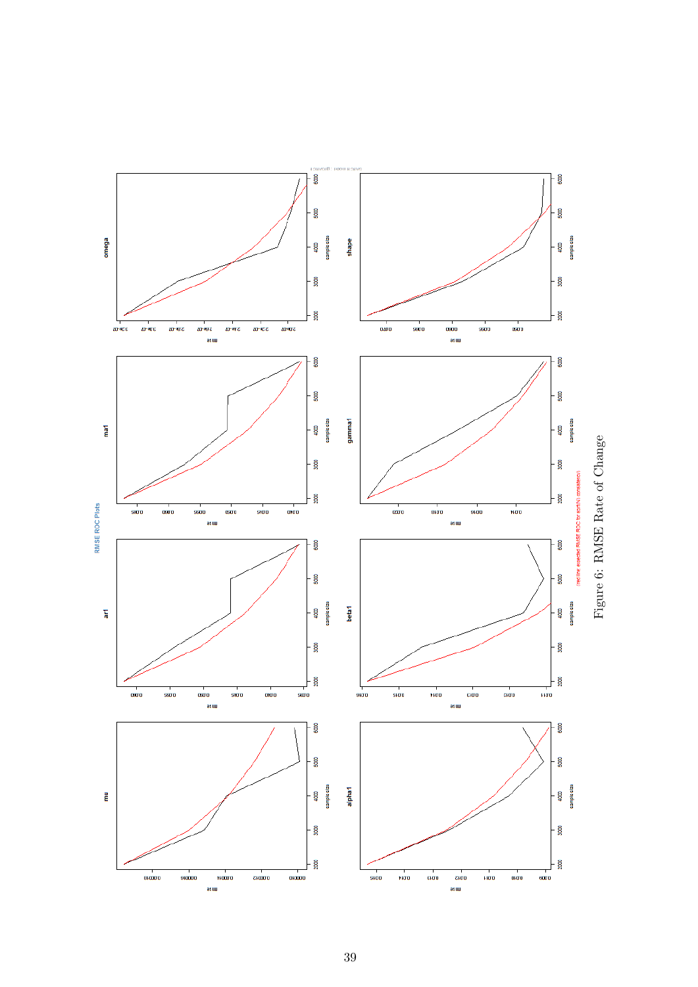<span id="page-38-0"></span>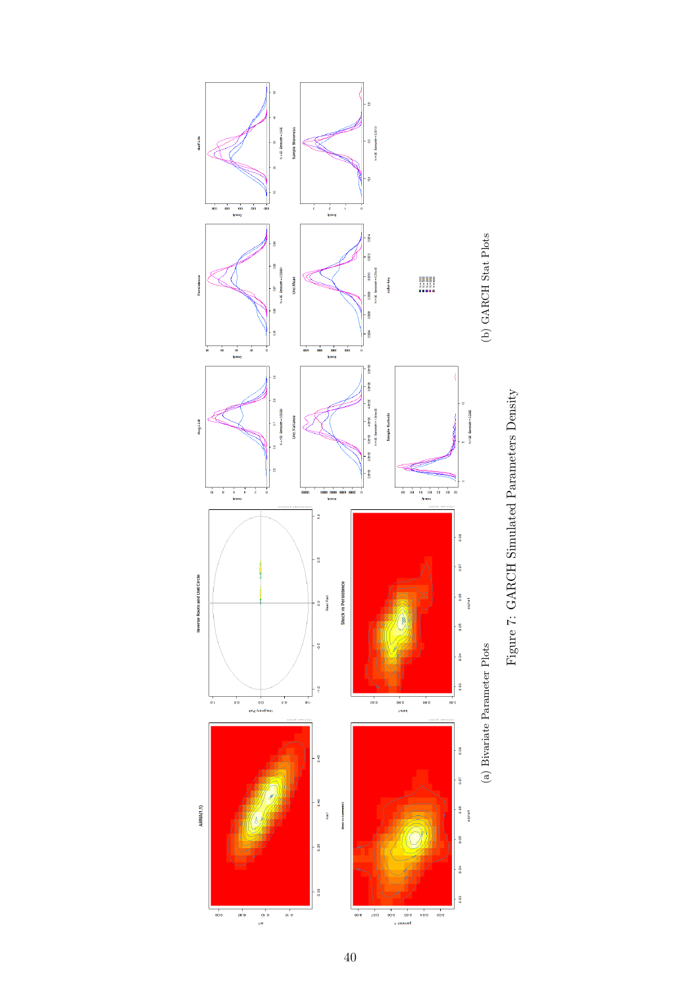

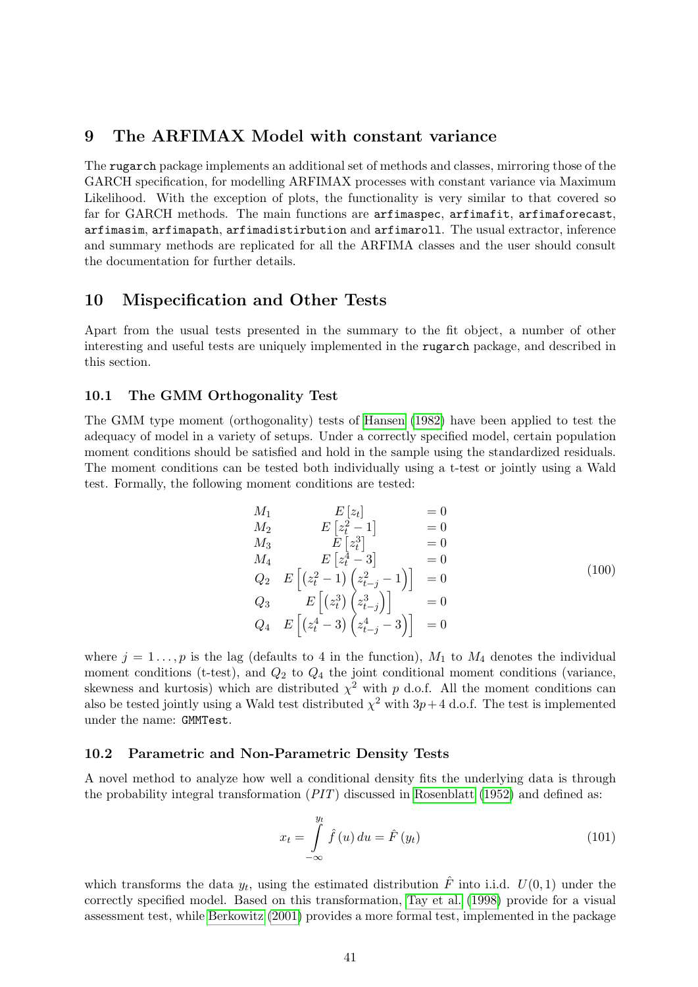# <span id="page-40-0"></span>9 The ARFIMAX Model with constant variance

The rugarch package implements an additional set of methods and classes, mirroring those of the GARCH specification, for modelling ARFIMAX processes with constant variance via Maximum Likelihood. With the exception of plots, the functionality is very similar to that covered so far for GARCH methods. The main functions are arfimaspec, arfimafit, arfimaforecast, arfimasim, arfimapath, arfimadistirbution and arfimaroll. The usual extractor, inference and summary methods are replicated for all the ARFIMA classes and the user should consult the documentation for further details.

# <span id="page-40-1"></span>10 Mispecification and Other Tests

Apart from the usual tests presented in the summary to the fit object, a number of other interesting and useful tests are uniquely implemented in the rugarch package, and described in this section.

#### <span id="page-40-2"></span>10.1 The GMM Orthogonality Test

The GMM type moment (orthogonality) tests of [Hansen \(1982\)](#page-48-13) have been applied to test the adequacy of model in a variety of setups. Under a correctly specified model, certain population moment conditions should be satisfied and hold in the sample using the standardized residuals. The moment conditions can be tested both individually using a t-test or jointly using a Wald test. Formally, the following moment conditions are tested:

$$
M_1 \t E [z_t] = 0 \n M_2 \t E [z_t^2 - 1] = 0 \n M_3 \t E [z_t^3] = 0 \n M_4 \t E [z_t^4 - 3] = 0 \n Q_2 \t E [(z_t^2 - 1) (z_{t-j}^2 - 1)] = 0 \n Q_3 \t E [(z_t^3) (z_{t-j}^3)] = 0 \n Q_4 \t E [(z_t^4 - 3) (z_{t-j}^4 - 3)] = 0
$$
\n(100)

where  $j = 1 \ldots, p$  is the lag (defaults to 4 in the function),  $M_1$  to  $M_4$  denotes the individual moment conditions (t-test), and  $Q_2$  to  $Q_4$  the joint conditional moment conditions (variance, skewness and kurtosis) which are distributed  $\chi^2$  with p d.o.f. All the moment conditions can also be tested jointly using a Wald test distributed  $\chi^2$  with  $3p+4$  d.o.f. The test is implemented under the name: GMMTest.

#### <span id="page-40-3"></span>10.2 Parametric and Non-Parametric Density Tests

A novel method to analyze how well a conditional density fits the underlying data is through the probability integral transformation  $(PIT)$  discussed in [Rosenblatt \(1952\)](#page-49-14) and defined as:

$$
x_t = \int\limits_{-\infty}^{y_t} \hat{f}(u) du = \hat{F}(y_t)
$$
\n(101)

which transforms the data  $y_t$ , using the estimated distribution  $\hat{F}$  into i.i.d.  $U(0,1)$  under the correctly specified model. Based on this transformation, [Tay et al. \(1998\)](#page-49-15) provide for a visual assessment test, while [Berkowitz \(2001\)](#page-47-13) provides a more formal test, implemented in the package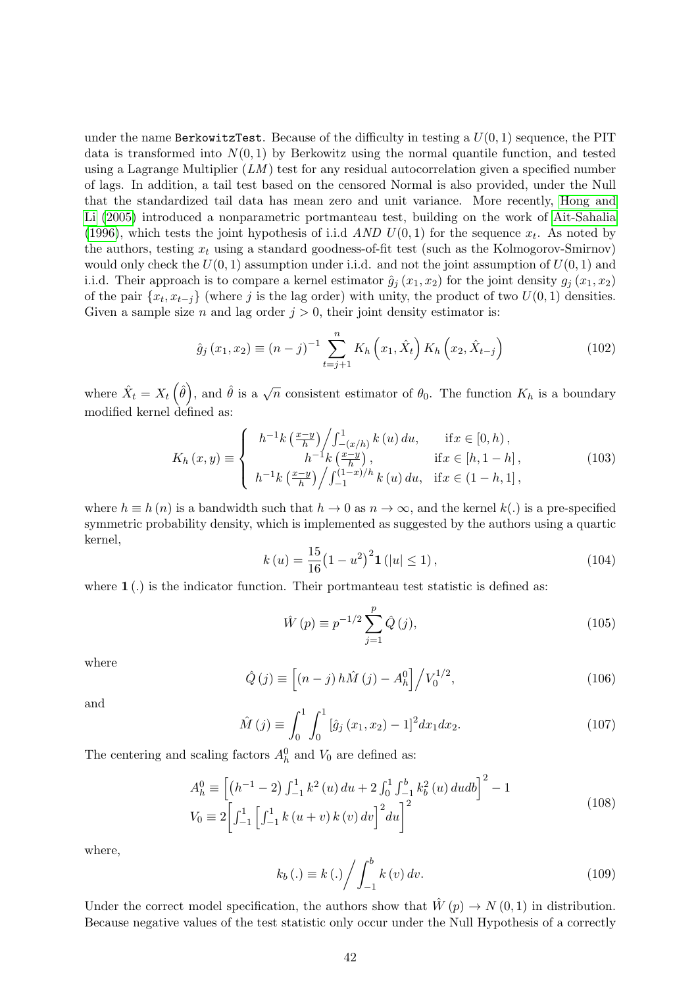under the name BerkowitzTest. Because of the difficulty in testing a  $U(0, 1)$  sequence, the PIT data is transformed into  $N(0, 1)$  by Berkowitz using the normal quantile function, and tested using a Lagrange Multiplier  $(LM)$  test for any residual autocorrelation given a specified number of lags. In addition, a tail test based on the censored Normal is also provided, under the Null that the standardized tail data has mean zero and unit variance. More recently, [Hong and](#page-48-14) [Li \(2005\)](#page-48-14) introduced a nonparametric portmanteau test, building on the work of [Ait-Sahalia](#page-47-14) [\(1996\)](#page-47-14), which tests the joint hypothesis of i.i.d *AND U*(0,1) for the sequence  $x_t$ . As noted by the authors, testing  $x_t$  using a standard goodness-of-fit test (such as the Kolmogorov-Smirnov) would only check the  $U(0, 1)$  assumption under i.i.d. and not the joint assumption of  $U(0, 1)$  and i.i.d. Their approach is to compare a kernel estimator  $\hat{g}_j(x_1, x_2)$  for the joint density  $g_j(x_1, x_2)$ of the pair  $\{x_t, x_{t-j}\}$  (where j is the lag order) with unity, the product of two  $U(0, 1)$  densities. Given a sample size *n* and lag order  $j > 0$ , their joint density estimator is:

$$
\hat{g}_j(x_1, x_2) \equiv (n-j)^{-1} \sum_{t=j+1}^n K_h(x_1, \hat{X}_t) K_h(x_2, \hat{X}_{t-j})
$$
\n(102)

where  $\hat{X}_t = X_t \left( \hat{\theta} \right)$ , and  $\hat{\theta}$  is a  $\sqrt{n}$  consistent estimator of  $\theta_0$ . The function  $K_h$  is a boundary modified kernel defined as:

$$
K_{h}(x,y) \equiv \begin{cases} h^{-1}k\left(\frac{x-y}{h}\right) / \int_{-(x/h)}^{1} k(u) du, & \text{if } x \in [0,h), \\ h^{-1}k\left(\frac{x-y}{h}\right), & \text{if } x \in [h, 1-h], \\ h^{-1}k\left(\frac{x-y}{h}\right) / \int_{-1}^{(1-x)/h} k(u) du, & \text{if } x \in (1-h,1], \end{cases}
$$
(103)

where  $h \equiv h(n)$  is a bandwidth such that  $h \to 0$  as  $n \to \infty$ , and the kernel  $k(.)$  is a pre-specified symmetric probability density, which is implemented as suggested by the authors using a quartic kernel,

$$
k(u) = \frac{15}{16} (1 - u^2)^2 \mathbf{1} (|u| \le 1), \qquad (104)
$$

where  $1(.)$  is the indicator function. Their portmanteau test statistic is defined as:

$$
\hat{W}(p) \equiv p^{-1/2} \sum_{j=1}^{p} \hat{Q}(j),
$$
\n(105)

where

$$
\hat{Q}(j) \equiv \left[ (n-j) \, h\hat{M}(j) - A_h^0 \right] / V_0^{1/2},\tag{106}
$$

and

$$
\hat{M}(j) \equiv \int_0^1 \int_0^1 \left[ \hat{g}_j(x_1, x_2) - 1 \right]^2 dx_1 dx_2.
$$
\n(107)

The centering and scaling factors  $A_h^0$  and  $V_0$  are defined as:

$$
A_h^0 \equiv \left[ \left( h^{-1} - 2 \right) \int_{-1}^1 k^2 \left( u \right) du + 2 \int_0^1 \int_{-1}^b k_b^2 \left( u \right) du \, db \right]^2 - 1
$$
\n
$$
V_0 \equiv 2 \left[ \int_{-1}^1 \left[ \int_{-1}^1 k \left( u + v \right) k \left( v \right) dv \right]^2 du \right]^2 \tag{108}
$$

where,

$$
k_b(.) \equiv k(.) / \int_{-1}^{b} k(v) dv.
$$
 (109)

Under the correct model specification, the authors show that  $\hat{W}(p) \to N(0, 1)$  in distribution. Because negative values of the test statistic only occur under the Null Hypothesis of a correctly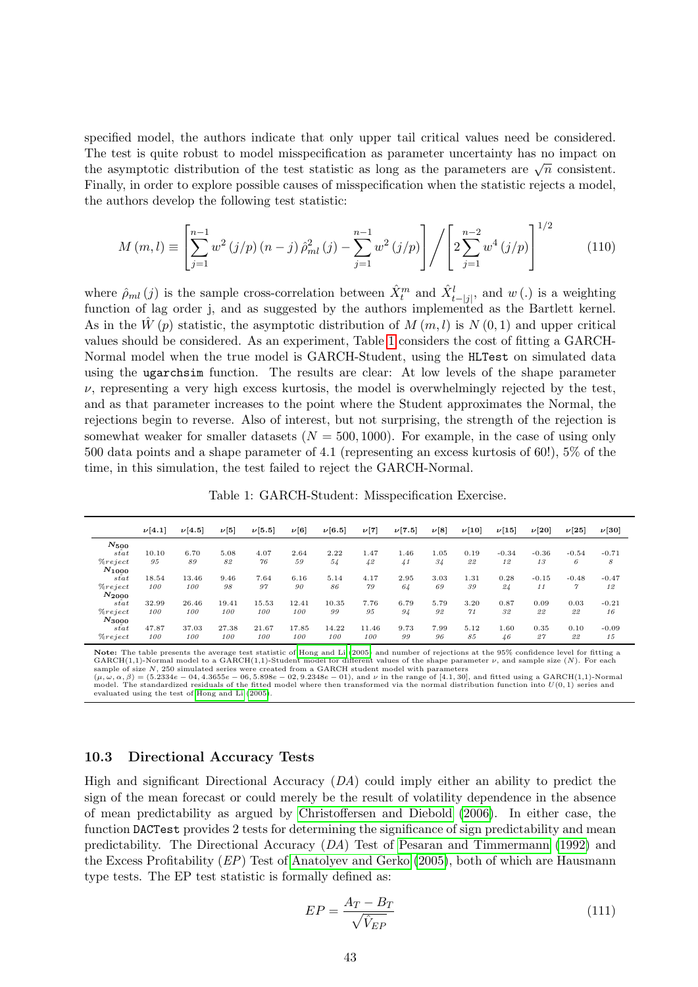specified model, the authors indicate that only upper tail critical values need be considered. The test is quite robust to model misspecification as parameter uncertainty has no impact on The test is quite footast to moder intespective attached as parameter uncertainty has no impact on<br>the asymptotic distribution of the test statistic as long as the parameters are  $\sqrt{n}$  consistent. Finally, in order to explore possible causes of misspecification when the statistic rejects a model, the authors develop the following test statistic:

$$
M(m,l) \equiv \left[ \sum_{j=1}^{n-1} w^2 (j/p) (n-j) \hat{\rho}_{ml}^2 (j) - \sum_{j=1}^{n-1} w^2 (j/p) \right] / \left[ 2 \sum_{j=1}^{n-2} w^4 (j/p) \right]^{1/2}
$$
(110)

where  $\hat{\rho}_{ml}(j)$  is the sample cross-correlation between  $\hat{X}^m_t$  and  $\hat{X}^l_{t-jj}$ , and  $w(.)$  is a weighting function of lag order j, and as suggested by the authors implemented as the Bartlett kernel. As in the  $W(p)$  statistic, the asymptotic distribution of  $M(m, l)$  is  $N(0, 1)$  and upper critical values should be considered. As an experiment, Table [1](#page-42-1) considers the cost of fitting a GARCH-Normal model when the true model is GARCH-Student, using the HLTest on simulated data using the ugarchsim function. The results are clear: At low levels of the shape parameter  $\nu$ , representing a very high excess kurtosis, the model is overwhelmingly rejected by the test, and as that parameter increases to the point where the Student approximates the Normal, the rejections begin to reverse. Also of interest, but not surprising, the strength of the rejection is somewhat weaker for smaller datasets ( $N = 500, 1000$ ). For example, in the case of using only 500 data points and a shape parameter of 4.1 (representing an excess kurtosis of 60!), 5% of the time, in this simulation, the test failed to reject the GARCH-Normal.

Table 1: GARCH-Student: Misspecification Exercise.

<span id="page-42-1"></span>

|              | $\nu[4.1]$ | $\nu[4.5]$ | $\nu[5]$ | $\nu [5.5]$ | $\nu[6]$ | $\nu[6.5]$ | $\nu[7]$ | $\nu [7.5]$     | $\nu[8]$ | $\nu[10]$ | $\nu[15]$ | $\nu$ [20] | $\nu$ [25] | $\nu[30]$ |
|--------------|------------|------------|----------|-------------|----------|------------|----------|-----------------|----------|-----------|-----------|------------|------------|-----------|
| $N_{500}$    |            |            |          |             |          |            |          |                 |          |           |           |            |            |           |
| stat         | 10.10      | 6.70       | 5.08     | 4.07        | 2.64     | 2.22       | 1.47     | 1.46            | 1.05     | 0.19      | $-0.34$   | $-0.36$    | $-0.54$    | $-0.71$   |
| $\% reject$  | 95         | 89         | 82       | 76          | 59       | 54         | 42       | $\overline{41}$ | 34       | 22        | 12        | 13         | 6          | 8         |
| $N_{1000}$   |            |            |          |             |          |            |          |                 |          |           |           |            |            |           |
| $s\hat{t}at$ | 18.54      | 13.46      | 9.46     | 7.64        | 6.16     | 5.14       | 4.17     | 2.95            | 3.03     | 1.31      | 0.28      | $-0.15$    | $-0.48$    | $-0.47$   |
| $\% reject$  | 100        | 100        | 98       | 97          | 90       | 86         | 79       | 64              | 69       | 39        | 24        | 11         | $\gamma$   | 12        |
| $N_{2000}$   |            |            |          |             |          |            |          |                 |          |           |           |            |            |           |
| $s\hat{t}at$ | 32.99      | 26.46      | 19.41    | 15.53       | 12.41    | 10.35      | 7.76     | 6.79            | 5.79     | 3.20      | 0.87      | 0.09       | 0.03       | $-0.21$   |
| $\% reject$  | 100        | 100        | 100      | 100         | 100      | 99         | 95       | 94              | 92       | 71        | 32        | 22         | 22         | 16        |
| $N_{3000}$   |            |            |          |             |          |            |          |                 |          |           |           |            |            |           |
| $s\hat{t}at$ | 47.87      | 37.03      | 27.38    | 21.67       | 17.85    | 14.22      | 11.46    | 9.73            | 7.99     | 5.12      | 1.60      | 0.35       | 0.10       | $-0.09$   |
| $\% reject$  | 100        | 100        | 100      | 100         | 100      | 100        | 100      | 99              | 96       | 85        | 46        | 27         | 22         | 15        |

Note: The table presents the average test statistic of [Hong and Li \(2005\)](#page-48-14) and number of rejections at the 95% confidence level for fitting a GARCH(1,1)-Normal model to a GARCH(1,1)-Student model for different values of the shape parameter ν, and sample size (N). For each sample of size N, 250 simulated series were created from a GARCH student model with parameters<br>(µ, ω, α, β) = (5.2334e – 04, 4.3655e – 06, 5.898e – 02, 9.2348e – 01), and v in the range of [4.1,30], and fitted using a GARC

evaluated using the test of [Hong and Li \(2005\)](#page-48-14).

#### <span id="page-42-0"></span>10.3 Directional Accuracy Tests

High and significant Directional Accuracy (DA) could imply either an ability to predict the sign of the mean forecast or could merely be the result of volatility dependence in the absence of mean predictability as argued by [Christoffersen and Diebold \(2006\)](#page-47-15). In either case, the function DACTest provides 2 tests for determining the significance of sign predictability and mean predictability. The Directional Accuracy (DA) Test of [Pesaran and Timmermann \(1992\)](#page-49-16) and the Excess Profitability (EP) Test of [Anatolyev and Gerko \(2005\)](#page-47-16), both of which are Hausmann type tests. The EP test statistic is formally defined as:

$$
EP = \frac{A_T - B_T}{\sqrt{\hat{V}_{EP}}} \tag{111}
$$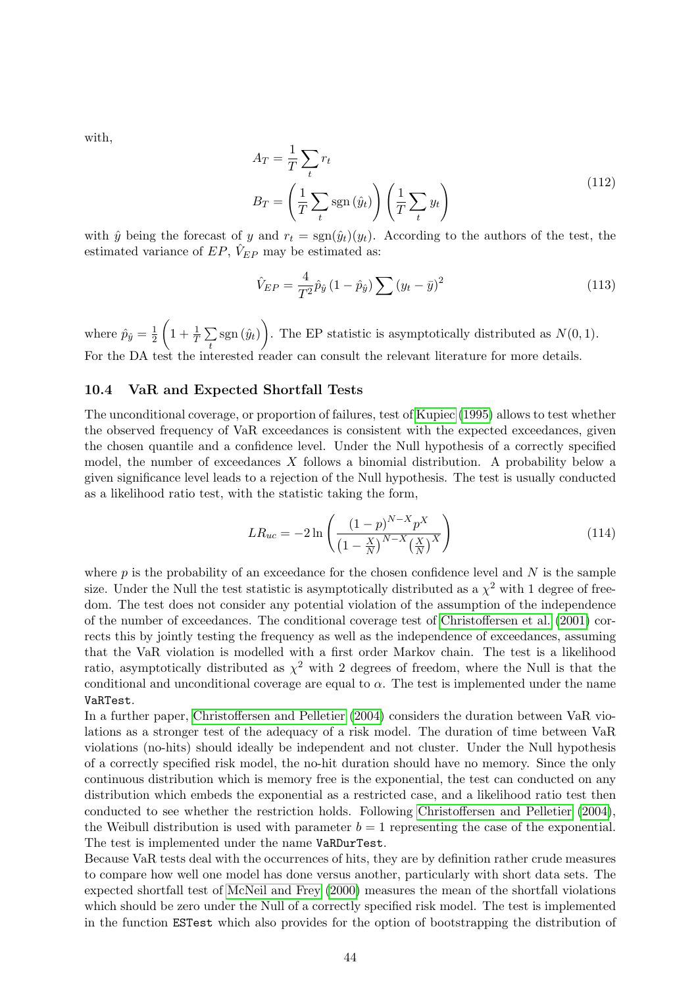with,

$$
A_T = \frac{1}{T} \sum_t r_t
$$
  
\n
$$
B_T = \left(\frac{1}{T} \sum_t \text{sgn}(\hat{y}_t)\right) \left(\frac{1}{T} \sum_t y_t\right)
$$
\n(112)

with  $\hat{y}$  being the forecast of y and  $r_t = \text{sgn}(\hat{y}_t)(y_t)$ . According to the authors of the test, the estimated variance of  $EP$ ,  $\hat{V}_{EP}$  may be estimated as:

$$
\hat{V}_{EP} = \frac{4}{T^2} \hat{p}_{\hat{y}} \left( 1 - \hat{p}_{\hat{y}} \right) \sum (y_t - \bar{y})^2 \tag{113}
$$

where  $\hat{p}_{\hat{y}} = \frac{1}{2}$ 2  $\left(1+\frac{1}{T}\sum\limits_{i=1}^{T}\right)$  $\sum_{t}$  sgn  $(\hat{y}_t)$ . The EP statistic is asymptotically distributed as  $N(0, 1)$ . For the DA test the interested reader can consult the relevant literature for more details.

#### <span id="page-43-0"></span>10.4 VaR and Expected Shortfall Tests

The unconditional coverage, or proportion of failures, test of [Kupiec \(1995\)](#page-48-15) allows to test whether the observed frequency of VaR exceedances is consistent with the expected exceedances, given the chosen quantile and a confidence level. Under the Null hypothesis of a correctly specified model, the number of exceedances X follows a binomial distribution. A probability below a given significance level leads to a rejection of the Null hypothesis. The test is usually conducted as a likelihood ratio test, with the statistic taking the form,

$$
LR_{uc} = -2\ln\left(\frac{(1-p)^{N-X}p^X}{(1-\frac{X}{N})^{N-X}(\frac{X}{N})^X}\right)
$$
\n(114)

where  $p$  is the probability of an exceedance for the chosen confidence level and  $N$  is the sample size. Under the Null the test statistic is asymptotically distributed as a  $\chi^2$  with 1 degree of freedom. The test does not consider any potential violation of the assumption of the independence of the number of exceedances. The conditional coverage test of [Christoffersen et al. \(2001\)](#page-47-17) corrects this by jointly testing the frequency as well as the independence of exceedances, assuming that the VaR violation is modelled with a first order Markov chain. The test is a likelihood ratio, asymptotically distributed as  $\chi^2$  with 2 degrees of freedom, where the Null is that the conditional and unconditional coverage are equal to  $\alpha$ . The test is implemented under the name VaRTest.

In a further paper, [Christoffersen and Pelletier \(2004\)](#page-47-18) considers the duration between VaR violations as a stronger test of the adequacy of a risk model. The duration of time between VaR violations (no-hits) should ideally be independent and not cluster. Under the Null hypothesis of a correctly specified risk model, the no-hit duration should have no memory. Since the only continuous distribution which is memory free is the exponential, the test can conducted on any distribution which embeds the exponential as a restricted case, and a likelihood ratio test then conducted to see whether the restriction holds. Following [Christoffersen and Pelletier \(2004\)](#page-47-18), the Weibull distribution is used with parameter  $b = 1$  representing the case of the exponential. The test is implemented under the name VaRDurTest.

Because VaR tests deal with the occurrences of hits, they are by definition rather crude measures to compare how well one model has done versus another, particularly with short data sets. The expected shortfall test of [McNeil and Frey \(2000\)](#page-49-17) measures the mean of the shortfall violations which should be zero under the Null of a correctly specified risk model. The test is implemented in the function ESTest which also provides for the option of bootstrapping the distribution of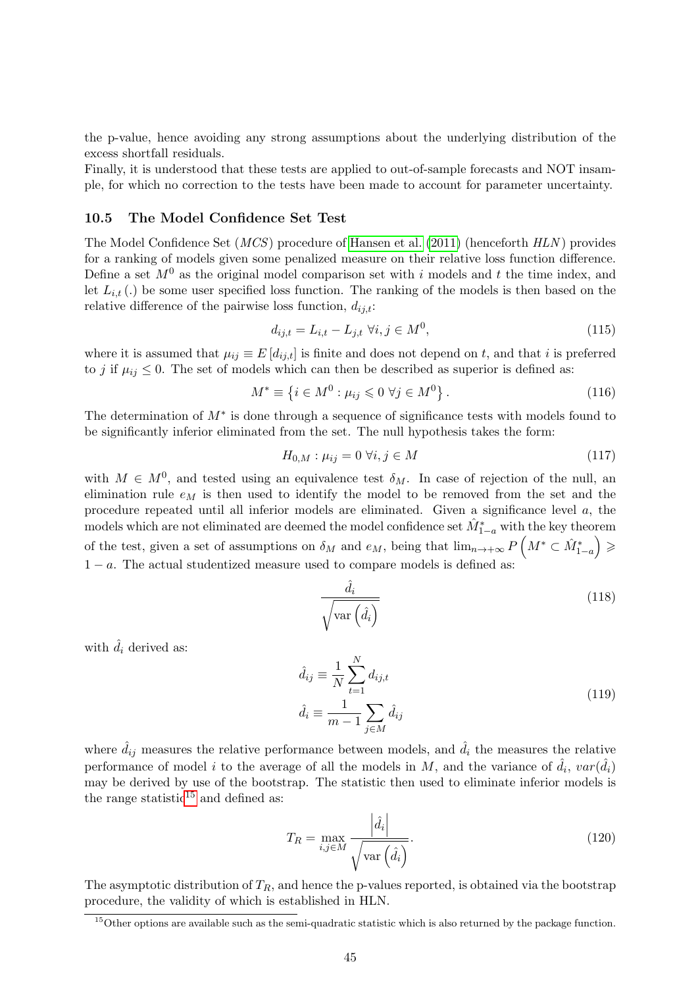the p-value, hence avoiding any strong assumptions about the underlying distribution of the excess shortfall residuals.

Finally, it is understood that these tests are applied to out-of-sample forecasts and NOT insample, for which no correction to the tests have been made to account for parameter uncertainty.

#### <span id="page-44-0"></span>10.5 The Model Confidence Set Test

The Model Confidence Set (MCS) procedure of [Hansen et al. \(2011\)](#page-48-16) (henceforth HLN ) provides for a ranking of models given some penalized measure on their relative loss function difference. Define a set  $M^0$  as the original model comparison set with i models and t the time index, and let  $L_{i,t}$  (.) be some user specified loss function. The ranking of the models is then based on the relative difference of the pairwise loss function,  $d_{ij,t}$ :

$$
d_{ij,t} = L_{i,t} - L_{j,t} \,\forall i, j \in M^0,\tag{115}
$$

where it is assumed that  $\mu_{ij} \equiv E[d_{ij,t}]$  is finite and does not depend on t, and that i is preferred to j if  $\mu_{ij} \leq 0$ . The set of models which can then be described as superior is defined as:

$$
M^* \equiv \left\{ i \in M^0 : \mu_{ij} \leqslant 0 \; \forall j \in M^0 \right\}. \tag{116}
$$

The determination of  $M^*$  is done through a sequence of significance tests with models found to be significantly inferior eliminated from the set. The null hypothesis takes the form:

$$
H_{0,M}: \mu_{ij} = 0 \,\,\forall i, j \in M \tag{117}
$$

with  $M \in M^0$ , and tested using an equivalence test  $\delta_M$ . In case of rejection of the null, an elimination rule  $e_M$  is then used to identify the model to be removed from the set and the procedure repeated until all inferior models are eliminated. Given a significance level a, the models which are not eliminated are deemed the model confidence set  $\hat{M}_{1-a}^*$  with the key theorem of the test, given a set of assumptions on  $\delta_M$  and  $e_M$ , being that  $\lim_{n\to+\infty} P\left(M^*\subset \hat{M}^*_{1-a}\right) \geqslant$  $1 - a$ . The actual studentized measure used to compare models is defined as:

$$
\frac{\hat{d}_i}{\sqrt{\text{var}\left(\hat{d}_i\right)}}\tag{118}
$$

with  $\hat{d}_i$  derived as:

$$
\hat{d}_{ij} \equiv \frac{1}{N} \sum_{t=1}^{N} d_{ij,t} \n\hat{d}_i \equiv \frac{1}{m-1} \sum_{j \in M} \hat{d}_{ij}
$$
\n(119)

where  $\hat{d}_{ij}$  measures the relative performance between models, and  $\hat{d}_i$  the measures the relative performance of model i to the average of all the models in M, and the variance of  $\hat{d}_i$ ,  $var(\hat{d}_i)$ may be derived by use of the bootstrap. The statistic then used to eliminate inferior models is the range statistic $15$  and defined as:

$$
T_R = \max_{i,j \in M} \frac{\left| \hat{d}_i \right|}{\sqrt{\text{var}\left(\hat{d}_i\right)}}. \tag{120}
$$

The asymptotic distribution of  $T_R$ , and hence the p-values reported, is obtained via the bootstrap procedure, the validity of which is established in HLN.

<span id="page-44-1"></span> $15$ Other options are available such as the semi-quadratic statistic which is also returned by the package function.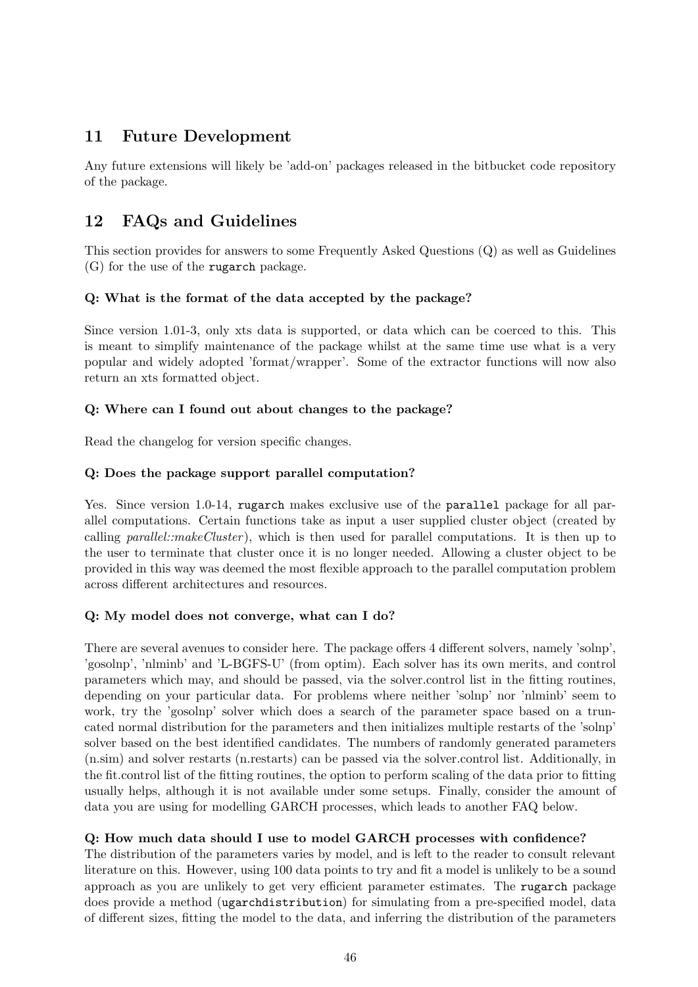# <span id="page-45-0"></span>11 Future Development

Any future extensions will likely be 'add-on' packages released in the bitbucket code repository of the package.

# <span id="page-45-1"></span>12 FAQs and Guidelines

This section provides for answers to some Frequently Asked Questions (Q) as well as Guidelines (G) for the use of the rugarch package.

### Q: What is the format of the data accepted by the package?

Since version 1.01-3, only xts data is supported, or data which can be coerced to this. This is meant to simplify maintenance of the package whilst at the same time use what is a very popular and widely adopted 'format/wrapper'. Some of the extractor functions will now also return an xts formatted object.

### Q: Where can I found out about changes to the package?

Read the changelog for version specific changes.

### Q: Does the package support parallel computation?

Yes. Since version 1.0-14, rugarch makes exclusive use of the parallel package for all parallel computations. Certain functions take as input a user supplied cluster object (created by calling parallel::makeCluster), which is then used for parallel computations. It is then up to the user to terminate that cluster once it is no longer needed. Allowing a cluster object to be provided in this way was deemed the most flexible approach to the parallel computation problem across different architectures and resources.

### Q: My model does not converge, what can I do?

There are several avenues to consider here. The package offers 4 different solvers, namely 'solnp', 'gosolnp', 'nlminb' and 'L-BGFS-U' (from optim). Each solver has its own merits, and control parameters which may, and should be passed, via the solver.control list in the fitting routines, depending on your particular data. For problems where neither 'solnp' nor 'nlminb' seem to work, try the 'gosolnp' solver which does a search of the parameter space based on a truncated normal distribution for the parameters and then initializes multiple restarts of the 'solnp' solver based on the best identified candidates. The numbers of randomly generated parameters (n.sim) and solver restarts (n.restarts) can be passed via the solver.control list. Additionally, in the fit.control list of the fitting routines, the option to perform scaling of the data prior to fitting usually helps, although it is not available under some setups. Finally, consider the amount of data you are using for modelling GARCH processes, which leads to another FAQ below.

### Q: How much data should I use to model GARCH processes with confidence?

The distribution of the parameters varies by model, and is left to the reader to consult relevant literature on this. However, using 100 data points to try and fit a model is unlikely to be a sound approach as you are unlikely to get very efficient parameter estimates. The rugarch package does provide a method (ugarchdistribution) for simulating from a pre-specified model, data of different sizes, fitting the model to the data, and inferring the distribution of the parameters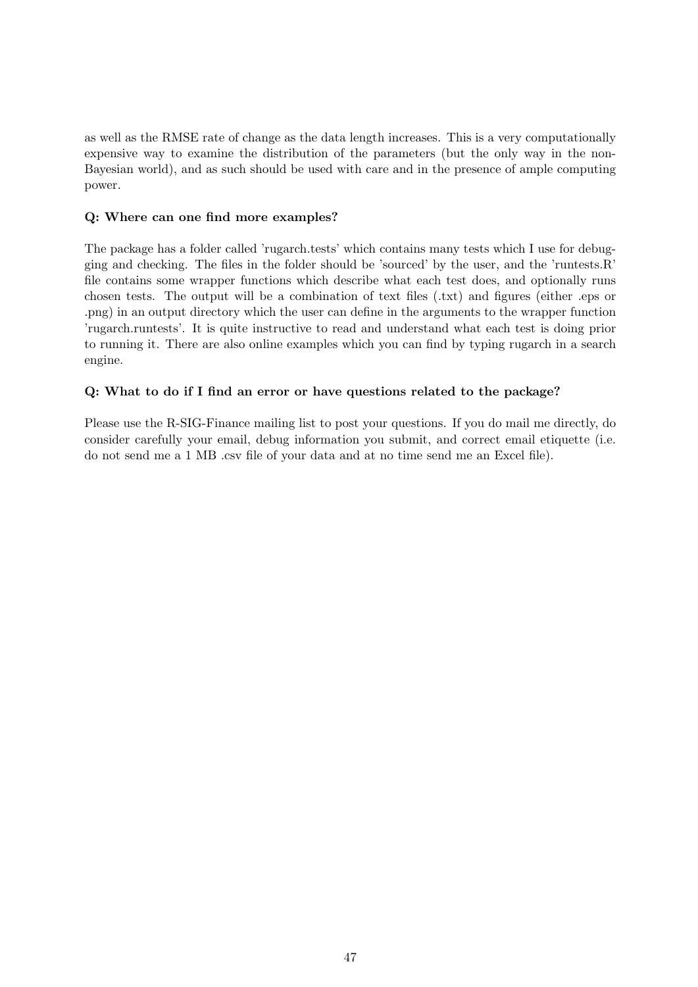as well as the RMSE rate of change as the data length increases. This is a very computationally expensive way to examine the distribution of the parameters (but the only way in the non-Bayesian world), and as such should be used with care and in the presence of ample computing power.

### Q: Where can one find more examples?

The package has a folder called 'rugarch.tests' which contains many tests which I use for debugging and checking. The files in the folder should be 'sourced' by the user, and the 'runtests.R' file contains some wrapper functions which describe what each test does, and optionally runs chosen tests. The output will be a combination of text files (.txt) and figures (either .eps or .png) in an output directory which the user can define in the arguments to the wrapper function 'rugarch.runtests'. It is quite instructive to read and understand what each test is doing prior to running it. There are also online examples which you can find by typing rugarch in a search engine.

### Q: What to do if I find an error or have questions related to the package?

Please use the R-SIG-Finance mailing list to post your questions. If you do mail me directly, do consider carefully your email, debug information you submit, and correct email etiquette (i.e. do not send me a 1 MB .csv file of your data and at no time send me an Excel file).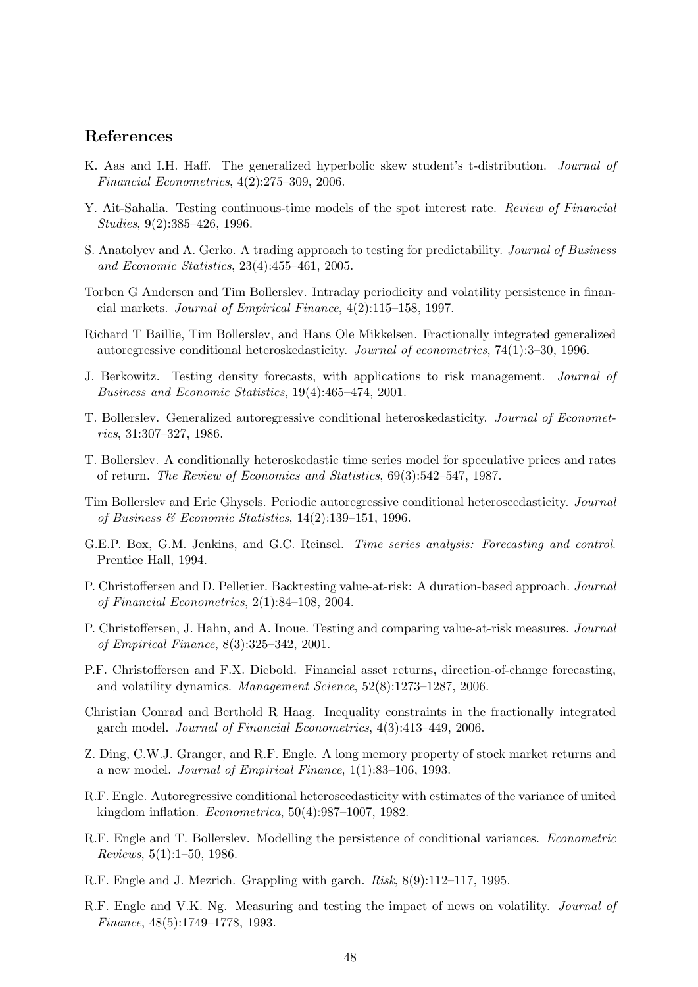# References

- <span id="page-47-12"></span>K. Aas and I.H. Haff. The generalized hyperbolic skew student's t-distribution. Journal of Financial Econometrics, 4(2):275–309, 2006.
- <span id="page-47-14"></span>Y. Ait-Sahalia. Testing continuous-time models of the spot interest rate. Review of Financial Studies, 9(2):385–426, 1996.
- <span id="page-47-16"></span>S. Anatolyev and A. Gerko. A trading approach to testing for predictability. Journal of Business and Economic Statistics, 23(4):455–461, 2005.
- <span id="page-47-7"></span>Torben G Andersen and Tim Bollerslev. Intraday periodicity and volatility persistence in financial markets. Journal of Empirical Finance, 4(2):115–158, 1997.
- <span id="page-47-9"></span>Richard T Baillie, Tim Bollerslev, and Hans Ole Mikkelsen. Fractionally integrated generalized autoregressive conditional heteroskedasticity. Journal of econometrics, 74(1):3–30, 1996.
- <span id="page-47-13"></span>J. Berkowitz. Testing density forecasts, with applications to risk management. Journal of Business and Economic Statistics, 19(4):465–474, 2001.
- <span id="page-47-2"></span>T. Bollerslev. Generalized autoregressive conditional heteroskedasticity. Journal of Econometrics, 31:307–327, 1986.
- <span id="page-47-11"></span>T. Bollerslev. A conditionally heteroskedastic time series model for speculative prices and rates of return. The Review of Economics and Statistics, 69(3):542–547, 1987.
- <span id="page-47-8"></span>Tim Bollerslev and Eric Ghysels. Periodic autoregressive conditional heteroscedasticity. Journal of Business & Economic Statistics, 14(2):139–151, 1996.
- <span id="page-47-0"></span>G.E.P. Box, G.M. Jenkins, and G.C. Reinsel. Time series analysis: Forecasting and control. Prentice Hall, 1994.
- <span id="page-47-18"></span>P. Christoffersen and D. Pelletier. Backtesting value-at-risk: A duration-based approach. Journal of Financial Econometrics, 2(1):84–108, 2004.
- <span id="page-47-17"></span>P. Christoffersen, J. Hahn, and A. Inoue. Testing and comparing value-at-risk measures. Journal of Empirical Finance, 8(3):325–342, 2001.
- <span id="page-47-15"></span>P.F. Christoffersen and F.X. Diebold. Financial asset returns, direction-of-change forecasting, and volatility dynamics. Management Science, 52(8):1273–1287, 2006.
- <span id="page-47-10"></span>Christian Conrad and Berthold R Haag. Inequality constraints in the fractionally integrated garch model. Journal of Financial Econometrics, 4(3):413–449, 2006.
- <span id="page-47-5"></span>Z. Ding, C.W.J. Granger, and R.F. Engle. A long memory property of stock market returns and a new model. Journal of Empirical Finance, 1(1):83–106, 1993.
- <span id="page-47-1"></span>R.F. Engle. Autoregressive conditional heteroscedasticity with estimates of the variance of united kingdom inflation. Econometrica, 50(4):987–1007, 1982.
- <span id="page-47-4"></span>R.F. Engle and T. Bollerslev. Modelling the persistence of conditional variances. Econometric Reviews, 5(1):1–50, 1986.
- <span id="page-47-3"></span>R.F. Engle and J. Mezrich. Grappling with garch. Risk, 8(9):112–117, 1995.
- <span id="page-47-6"></span>R.F. Engle and V.K. Ng. Measuring and testing the impact of news on volatility. Journal of Finance, 48(5):1749–1778, 1993.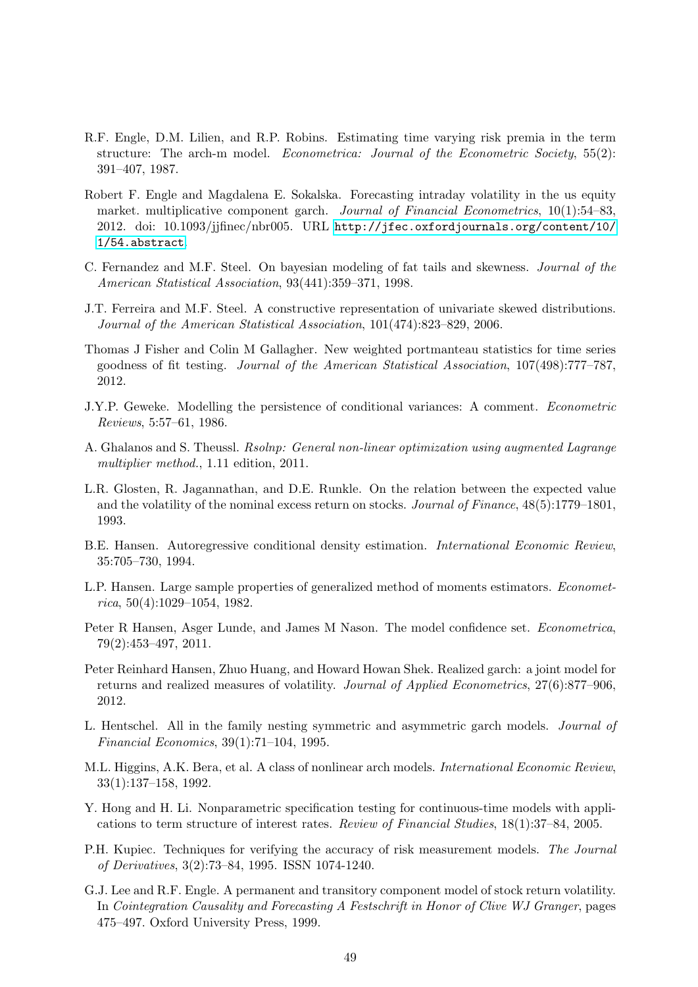- <span id="page-48-1"></span>R.F. Engle, D.M. Lilien, and R.P. Robins. Estimating time varying risk premia in the term structure: The arch-m model. Econometrica: Journal of the Econometric Society, 55(2): 391–407, 1987.
- <span id="page-48-7"></span>Robert F. Engle and Magdalena E. Sokalska. Forecasting intraday volatility in the us equity market. multiplicative component garch. *Journal of Financial Econometrics*, 10(1):54–83, 2012. doi: 10.1093/jjfinec/nbr005. URL [http://jfec.oxfordjournals.org/content/10/](http://jfec.oxfordjournals.org/content/10/1/54.abstract) [1/54.abstract](http://jfec.oxfordjournals.org/content/10/1/54.abstract).
- <span id="page-48-9"></span>C. Fernandez and M.F. Steel. On bayesian modeling of fat tails and skewness. Journal of the American Statistical Association, 93(441):359–371, 1998.
- <span id="page-48-10"></span>J.T. Ferreira and M.F. Steel. A constructive representation of univariate skewed distributions. Journal of the American Statistical Association, 101(474):823–829, 2006.
- <span id="page-48-12"></span>Thomas J Fisher and Colin M Gallagher. New weighted portmanteau statistics for time series goodness of fit testing. Journal of the American Statistical Association, 107(498):777–787, 2012.
- <span id="page-48-4"></span>J.Y.P. Geweke. Modelling the persistence of conditional variances: A comment. Econometric Reviews, 5:57–61, 1986.
- <span id="page-48-11"></span>A. Ghalanos and S. Theussl. Rsolnp: General non-linear optimization using augmented Lagrange multiplier method., 1.11 edition, 2011.
- <span id="page-48-2"></span>L.R. Glosten, R. Jagannathan, and D.E. Runkle. On the relation between the expected value and the volatility of the nominal excess return on stocks. Journal of Finance, 48(5):1779–1801, 1993.
- <span id="page-48-0"></span>B.E. Hansen. Autoregressive conditional density estimation. International Economic Review, 35:705–730, 1994.
- <span id="page-48-13"></span>L.P. Hansen. Large sample properties of generalized method of moments estimators. Economet $rica, 50(4):1029-1054, 1982.$
- <span id="page-48-16"></span>Peter R Hansen, Asger Lunde, and James M Nason. The model confidence set. Econometrica, 79(2):453–497, 2011.
- <span id="page-48-8"></span>Peter Reinhard Hansen, Zhuo Huang, and Howard Howan Shek. Realized garch: a joint model for returns and realized measures of volatility. Journal of Applied Econometrics, 27(6):877–906, 2012.
- <span id="page-48-5"></span>L. Hentschel. All in the family nesting symmetric and asymmetric garch models. Journal of Financial Economics, 39(1):71–104, 1995.
- <span id="page-48-3"></span>M.L. Higgins, A.K. Bera, et al. A class of nonlinear arch models. International Economic Review, 33(1):137–158, 1992.
- <span id="page-48-14"></span>Y. Hong and H. Li. Nonparametric specification testing for continuous-time models with applications to term structure of interest rates. Review of Financial Studies, 18(1):37–84, 2005.
- <span id="page-48-15"></span>P.H. Kupiec. Techniques for verifying the accuracy of risk measurement models. The Journal of Derivatives, 3(2):73–84, 1995. ISSN 1074-1240.
- <span id="page-48-6"></span>G.J. Lee and R.F. Engle. A permanent and transitory component model of stock return volatility. In Cointegration Causality and Forecasting A Festschrift in Honor of Clive WJ Granger, pages 475–497. Oxford University Press, 1999.